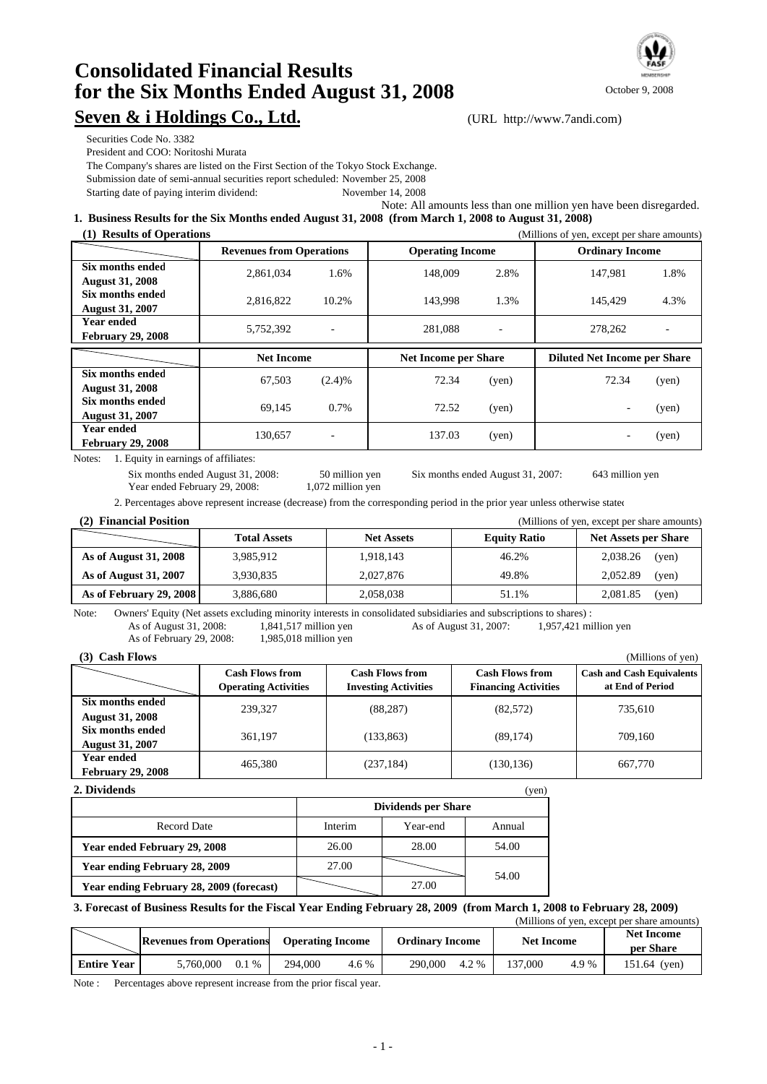

### **Consolidated Financial Results for the Six Months Ended August 31, 2008** Seven & i Holdings Co., Ltd. (URL http://www.7andi.com)

Securities Code No. 3382

President and COO: Noritoshi Murata

The Company's shares are listed on the First Section of the Tokyo Stock Exchange.

Submission date of semi-annual securities report scheduled: November 25, 2008 Starting date of paying interim dividend: November 14, 2008

Note: All amounts less than one million yen have been disregarded.

#### **1. Business Results for the Six Months ended August 31, 2008 (from March 1, 2008 to August 31, 2008)**

|  | (1) Results of Operations |
|--|---------------------------|

| <b>Results of Operations</b><br>(Millions of yen, except per share amounts) |                                 |        |                             |                         |                                     |                        |
|-----------------------------------------------------------------------------|---------------------------------|--------|-----------------------------|-------------------------|-------------------------------------|------------------------|
|                                                                             | <b>Revenues from Operations</b> |        |                             | <b>Operating Income</b> |                                     | <b>Ordinary Income</b> |
| Six months ended                                                            | 2.861.034                       | 1.6%   | 148,009                     | 2.8%                    | 147.981                             | 1.8%                   |
| <b>August 31, 2008</b>                                                      |                                 |        |                             |                         |                                     |                        |
| Six months ended                                                            | 2.816.822                       | 10.2%  | 143.998                     | 1.3%                    | 145.429                             | 4.3%                   |
| <b>August 31, 2007</b>                                                      |                                 |        |                             |                         |                                     |                        |
| <b>Year ended</b>                                                           | 5,752,392                       | ۰      | 281,088                     | ٠                       | 278,262                             |                        |
| <b>February 29, 2008</b>                                                    |                                 |        |                             |                         |                                     |                        |
|                                                                             |                                 |        |                             |                         |                                     |                        |
|                                                                             |                                 |        |                             |                         |                                     |                        |
|                                                                             | <b>Net Income</b>               |        | <b>Net Income per Share</b> |                         | <b>Diluted Net Income per Share</b> |                        |
| Six months ended                                                            |                                 |        |                             |                         |                                     |                        |
| <b>August 31, 2008</b>                                                      | 67,503                          | (2.4)% | 72.34                       | (yen)                   | 72.34                               | (yen)                  |
| Six months ended                                                            |                                 |        |                             |                         |                                     |                        |
| <b>August 31, 2007</b>                                                      | 69,145                          | 0.7%   | 72.52                       | (yen)                   |                                     | (yen)                  |
| <b>Year ended</b>                                                           | 130,657                         | ٠      | 137.03                      | (yen)                   |                                     | (yen)                  |

Notes: 1. Equity in earnings of affiliates:

Year ended February 29, 2008: 1,072 million yen 50 million yen

Six months ended August 31, 2008: Six months ended August 31, 2007: 643 million yen

2. Percentages above represent increase (decrease) from the corresponding period in the prior year unless otherwise stated

| <b>Net Assets</b> | <b>Equity Ratio</b>                 | <b>Net Assets per Share</b> |
|-------------------|-------------------------------------|-----------------------------|
|                   | 46.2%                               | 2,038.26<br>(ven)           |
|                   | 49.8%                               | 2,052.89<br>(ven)           |
|                   | 51.1%                               | (yen)<br>2.081.85           |
|                   | 1,918,143<br>2.027.876<br>2,058,038 |                             |

Note: Owners' Equity (Net assets excluding minority interests in consolidated subsidiaries and subscriptions to shares) :<br>As of August 31, 2008: 1,841,517 million yen As of August 31, 2007: 1,957,421 million yen As of August 31, 2007: As of February 29, 2008: 1,985,018 million yen

| <b>Cash Flows</b><br>(3)                      |                                                       |                                                       |                                                       | (Millions of yen)                                    |
|-----------------------------------------------|-------------------------------------------------------|-------------------------------------------------------|-------------------------------------------------------|------------------------------------------------------|
|                                               | <b>Cash Flows from</b><br><b>Operating Activities</b> | <b>Cash Flows from</b><br><b>Investing Activities</b> | <b>Cash Flows from</b><br><b>Financing Activities</b> | <b>Cash and Cash Equivalents</b><br>at End of Period |
| Six months ended<br><b>August 31, 2008</b>    | 239,327                                               | (88, 287)                                             | (82, 572)                                             | 735,610                                              |
| Six months ended<br><b>August 31, 2007</b>    | 361,197                                               | (133, 863)                                            | (89, 174)                                             | 709.160                                              |
| <b>Year ended</b><br><b>February 29, 2008</b> | 465,380                                               | (237, 184)                                            | (130, 136)                                            | 667,770                                              |

#### **2. Dividends** (yen)

|                                          | <b>Dividends per Share</b> |          |        |  |
|------------------------------------------|----------------------------|----------|--------|--|
| Record Date                              | Interim                    | Year-end | Annual |  |
| Year ended February 29, 2008             | 26.00                      | 28.00    | 54.00  |  |
| Year ending February 28, 2009            | 27.00                      |          | 54.00  |  |
| Year ending February 28, 2009 (forecast) |                            | 27.00    |        |  |

#### **3. Forecast of Business Results for the Fiscal Year Ending February 28, 2009 (from March 1, 2008 to February 28, 2009)**

|                    |                                 |                         |                        |                   | (Millions of yen, except per share amounts) |
|--------------------|---------------------------------|-------------------------|------------------------|-------------------|---------------------------------------------|
|                    | <b>Revenues from Operations</b> | <b>Operating Income</b> | <b>Ordinary Income</b> | <b>Net Income</b> | <b>Net Income</b><br>per Share              |
| <b>Entire Year</b> | 5,760,000<br>$0.1\%$            | 294,000<br>4.6 %        | 290,000<br>4.2 %       | 137.000<br>4.9 %  | 151.64 (yen)                                |

Note : Percentages above represent increase from the prior fiscal year.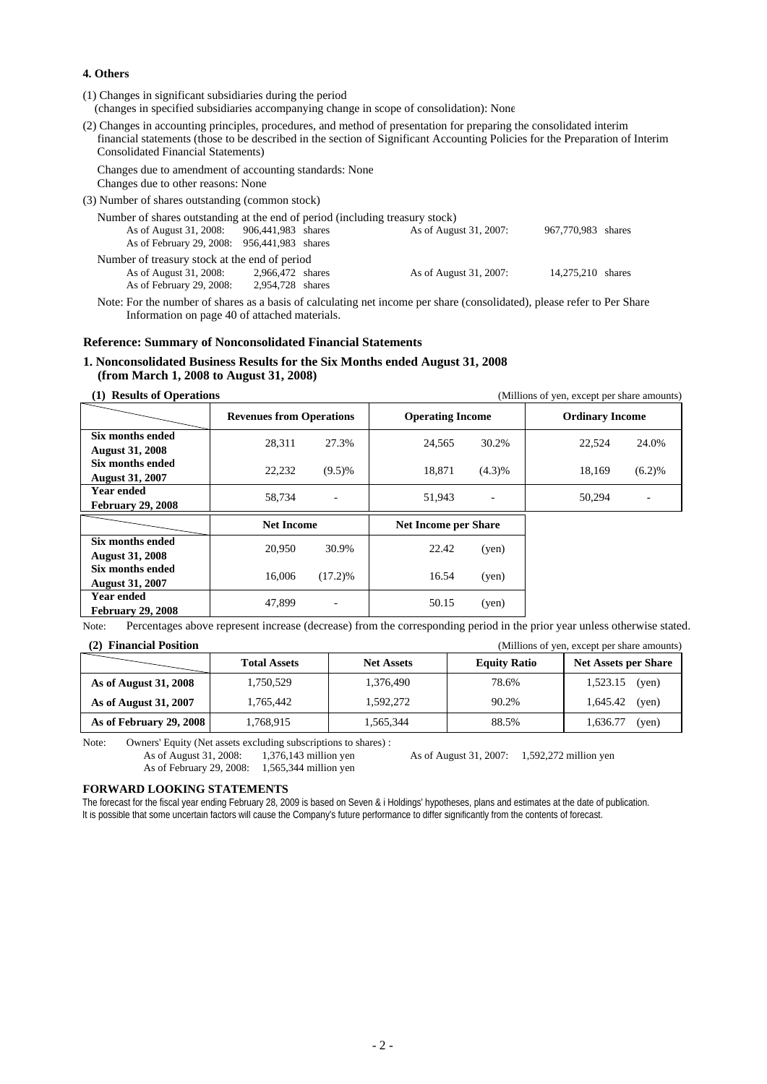#### **4. Others**

(1) Changes in significant subsidiaries during the period

(changes in specified subsidiaries accompanying change in scope of consolidation): None

(2) Changes in accounting principles, procedures, and method of presentation for preparing the consolidated interim financial statements (those to be described in the section of Significant Accounting Policies for the Preparation of Interim Consolidated Financial Statements)

Changes due to amendment of accounting standards: None

Changes due to other reasons: None

(3) Number of shares outstanding (common stock)

| Number of shares outstanding at the end of period (including treasury stock) |                  |                        |                    |  |
|------------------------------------------------------------------------------|------------------|------------------------|--------------------|--|
| As of August 31, 2008: 906, 441, 983 shares                                  |                  | As of August 31, 2007: | 967,770,983 shares |  |
| As of February 29, 2008: 956, 441, 983 shares                                |                  |                        |                    |  |
| Number of treasury stock at the end of period                                |                  |                        |                    |  |
| As of August 31, 2008:                                                       | 2.966.472 shares | As of August 31, 2007: | 14.275.210 shares  |  |
| As of February 29, 2008:                                                     | 2.954.728 shares |                        |                    |  |

Note: For the number of shares as a basis of calculating net income per share (consolidated), please refer to Per Share Information on page 40 of attached materials.

#### **Reference: Summary of Nonconsolidated Financial Statements**

#### **1. Nonconsolidated Business Results for the Six Months ended August 31, 2008 (from March 1, 2008 to August 31, 2008)**

**(1) Results of Operations** (Millions of yen, except per share amounts)

|                          | <b>Revenues from Operations</b> |                          | <b>Operating Income</b>     |           | <b>Ordinary Income</b> |           |  |
|--------------------------|---------------------------------|--------------------------|-----------------------------|-----------|------------------------|-----------|--|
| Six months ended         | 28,311                          | 27.3%                    | 24.565                      | 30.2%     | 22,524                 | 24.0%     |  |
| <b>August 31, 2008</b>   |                                 |                          |                             |           |                        |           |  |
| Six months ended         | 22.232                          | $(9.5)\%$                | 18.871                      | $(4.3)\%$ | 18.169                 | $(6.2)\%$ |  |
| <b>August 31, 2007</b>   |                                 |                          |                             |           |                        |           |  |
| <b>Year ended</b>        | 58.734                          |                          | 51.943                      |           | 50,294                 |           |  |
| <b>February 29, 2008</b> |                                 |                          |                             |           |                        |           |  |
|                          |                                 |                          |                             |           |                        |           |  |
|                          | <b>Net Income</b>               |                          | <b>Net Income per Share</b> |           |                        |           |  |
| Six months ended         |                                 |                          |                             |           |                        |           |  |
| <b>August 31, 2008</b>   | 20.950                          | 30.9%                    | 22.42                       | (yen)     |                        |           |  |
| <b>Six months ended</b>  |                                 |                          |                             |           |                        |           |  |
| <b>August 31, 2007</b>   | 16.006                          | $(17.2)\%$               | 16.54                       | (yen)     |                        |           |  |
| <b>Year ended</b>        | 47.899                          | $\overline{\phantom{a}}$ | 50.15                       | (yen)     |                        |           |  |

Note: Percentages above represent increase (decrease) from the corresponding period in the prior year unless otherwise stated.

| <b>Financial Position</b> | (Millions of yen, except per share amounts) |                   |                     |                             |
|---------------------------|---------------------------------------------|-------------------|---------------------|-----------------------------|
|                           | <b>Total Assets</b>                         | <b>Net Assets</b> | <b>Equity Ratio</b> | <b>Net Assets per Share</b> |
| As of August 31, 2008     | 1,750,529                                   | 1,376,490         | 78.6%               | 1,523.15<br>(ven)           |
| As of August 31, 2007     | 1.765.442                                   | 1,592,272         | 90.2%               | 1,645.42<br>(yen)           |
| As of February 29, 2008   | 1.768.915                                   | 1,565,344         | 88.5%               | 1.636.77<br>(ven)           |

Note: Owners' Equity (Net assets excluding subscriptions to shares) :<br>As of August 31, 2008: 1,376,143 million yen

As of February 29, 2008: 1,565,344 million yen

As of August 31, 2007: 1,592,272 million yen

**FORWARD LOOKING STATEMENTS**

The forecast for the fiscal year ending February 28, 2009 is based on Seven & i Holdings' hypotheses, plans and estimates at the date of publication. It is possible that some uncertain factors will cause the Company's future performance to differ significantly from the contents of forecast.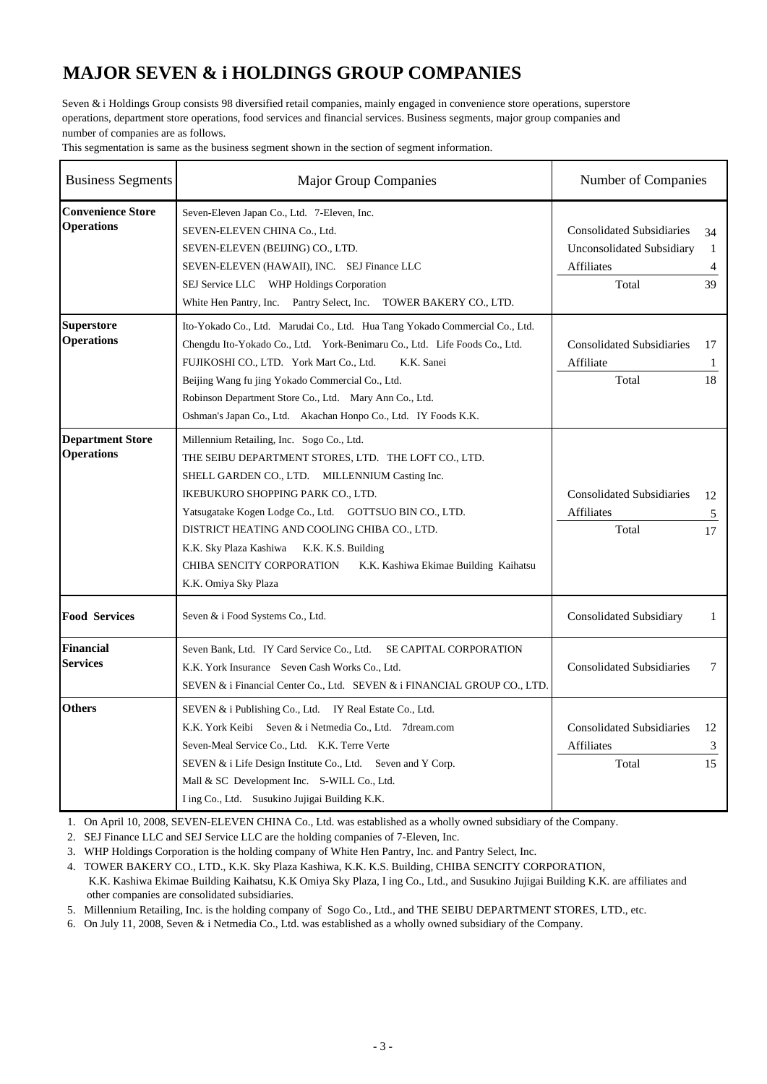### **MAJOR SEVEN & i HOLDINGS GROUP COMPANIES**

Seven & i Holdings Group consists 98 diversified retail companies, mainly engaged in convenience store operations, superstore operations, department store operations, food services and financial services. Business segments, major group companies and number of companies are as follows.

This segmentation is same as the business segment shown in the section of segment information.

| <b>Business Segments</b>                      | <b>Major Group Companies</b>                                                                                                                                                                                                                                                                                                                                                                                                                      | Number of Companies                                                                         |                    |  |  |
|-----------------------------------------------|---------------------------------------------------------------------------------------------------------------------------------------------------------------------------------------------------------------------------------------------------------------------------------------------------------------------------------------------------------------------------------------------------------------------------------------------------|---------------------------------------------------------------------------------------------|--------------------|--|--|
| <b>Convenience Store</b><br><b>Operations</b> | Seven-Eleven Japan Co., Ltd. 7-Eleven, Inc.<br>SEVEN-ELEVEN CHINA Co., Ltd.<br>SEVEN-ELEVEN (BEIJING) CO., LTD.<br>SEVEN-ELEVEN (HAWAII), INC. SEJ Finance LLC<br>SEJ Service LLC WHP Holdings Corporation<br>White Hen Pantry, Inc. Pantry Select, Inc. TOWER BAKERY CO., LTD.                                                                                                                                                                   | <b>Consolidated Subsidiaries</b><br><b>Unconsolidated Subsidiary</b><br>Affiliates<br>Total | 34<br>1<br>4<br>39 |  |  |
| <b>Superstore</b><br><b>Operations</b>        | Ito-Yokado Co., Ltd. Marudai Co., Ltd. Hua Tang Yokado Commercial Co., Ltd.<br>Chengdu Ito-Yokado Co., Ltd. York-Benimaru Co., Ltd. Life Foods Co., Ltd.<br>FUJIKOSHI CO., LTD. York Mart Co., Ltd.<br>K.K. Sanei<br>Beijing Wang fu jing Yokado Commercial Co., Ltd.<br>Robinson Department Store Co., Ltd. Mary Ann Co., Ltd.<br>Oshman's Japan Co., Ltd. Akachan Honpo Co., Ltd. IY Foods K.K.                                                 | <b>Consolidated Subsidiaries</b><br>Affiliate<br>Total                                      | 17<br>1<br>18      |  |  |
| <b>Department Store</b><br><b>Operations</b>  | Millennium Retailing, Inc. Sogo Co., Ltd.<br>THE SEIBU DEPARTMENT STORES, LTD. THE LOFT CO., LTD.<br>SHELL GARDEN CO., LTD. MILLENNIUM Casting Inc.<br>IKEBUKURO SHOPPING PARK CO., LTD.<br>Yatsugatake Kogen Lodge Co., Ltd. GOTTSUO BIN CO., LTD.<br>DISTRICT HEATING AND COOLING CHIBA CO., LTD.<br>K.K. Sky Plaza Kashiwa<br>K.K. K.S. Building<br>CHIBA SENCITY CORPORATION<br>K.K. Kashiwa Ekimae Building Kaihatsu<br>K.K. Omiya Sky Plaza | <b>Consolidated Subsidiaries</b><br><b>Affiliates</b><br>Total                              | 12<br>5<br>17      |  |  |
| <b>Food Services</b>                          | Seven & i Food Systems Co., Ltd.                                                                                                                                                                                                                                                                                                                                                                                                                  | <b>Consolidated Subsidiary</b>                                                              | 1                  |  |  |
| <b>Financial</b><br><b>Services</b>           | Seven Bank, Ltd. IY Card Service Co., Ltd.<br>SE CAPITAL CORPORATION<br>K.K. York Insurance Seven Cash Works Co., Ltd.<br>SEVEN & i Financial Center Co., Ltd. SEVEN & i FINANCIAL GROUP CO., LTD.                                                                                                                                                                                                                                                | <b>Consolidated Subsidiaries</b>                                                            | 7                  |  |  |
| <b>Others</b>                                 | SEVEN & i Publishing Co., Ltd. IY Real Estate Co., Ltd.<br>K.K. York Keibi Seven & i Netmedia Co., Ltd. 7dream.com<br>Seven-Meal Service Co., Ltd. K.K. Terre Verte<br>SEVEN & i Life Design Institute Co., Ltd. Seven and Y Corp.<br>Mall & SC Development Inc. S-WILL Co., Ltd.<br>I ing Co., Ltd. Susukino Jujigai Building K.K.                                                                                                               | <b>Consolidated Subsidiaries</b><br><b>Affiliates</b><br>Total                              | 12<br>3<br>15      |  |  |

1. On April 10, 2008, SEVEN-ELEVEN CHINA Co., Ltd. was established as a wholly owned subsidiary of the Company.

2. SEJ Finance LLC and SEJ Service LLC are the holding companies of 7-Eleven, Inc.

3. WHP Holdings Corporation is the holding company of White Hen Pantry, Inc. and Pantry Select, Inc.

4. TOWER BAKERY CO., LTD., K.K. Sky Plaza Kashiwa, K.K. K.S. Building, CHIBA SENCITY CORPORATION, K.K. Kashiwa Ekimae Building Kaihatsu, K.K*.* Omiya Sky Plaza, I ing Co., Ltd., and Susukino Jujigai Building K.K. are affiliates and other companies are consolidated subsidiaries.

5. Millennium Retailing, Inc. is the holding company of Sogo Co., Ltd., and THE SEIBU DEPARTMENT STORES, LTD., etc.

6. On July 11, 2008, Seven & i Netmedia Co., Ltd. was established as a wholly owned subsidiary of the Company.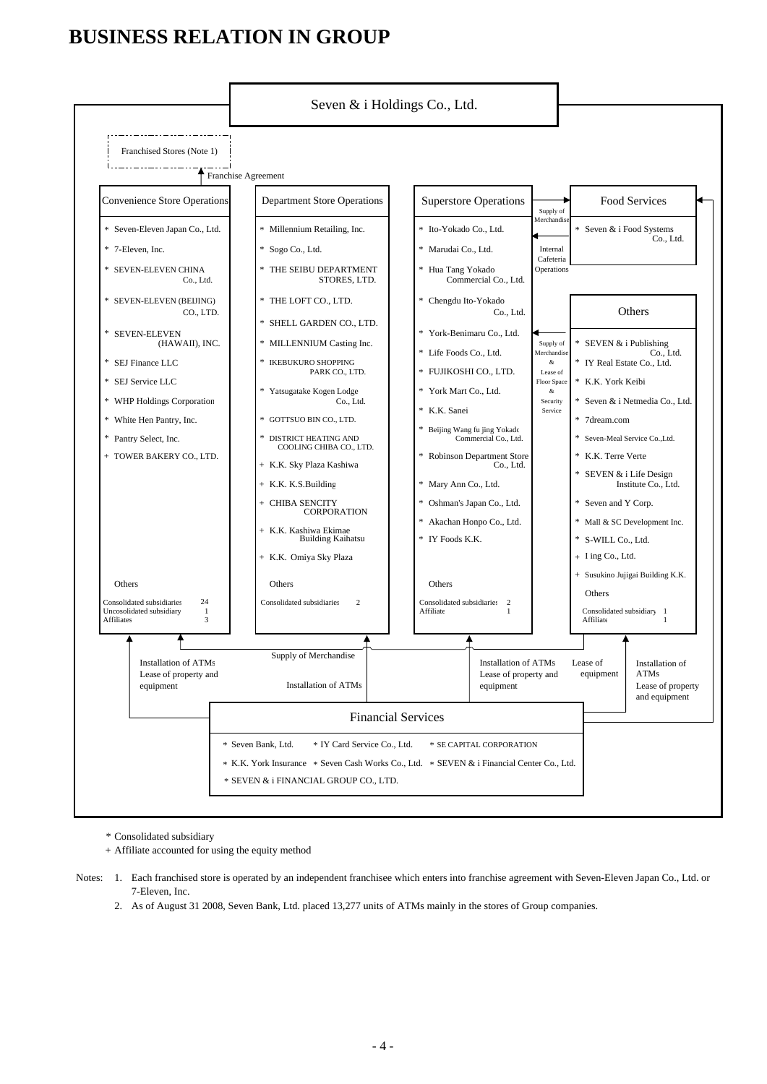## **BUSINESS RELATION IN GROUP**



Consolidated subsidiary \*

+ Affiliate accounted for using the equity method

Notes: 1. Each franchised store is operated by an independent franchisee which enters into franchise agreement with Seven-Eleven Japan Co., Ltd. or 7-Eleven, Inc.

2. As of August 31 2008, Seven Bank, Ltd. placed 13,277 units of ATMs mainly in the stores of Group companies.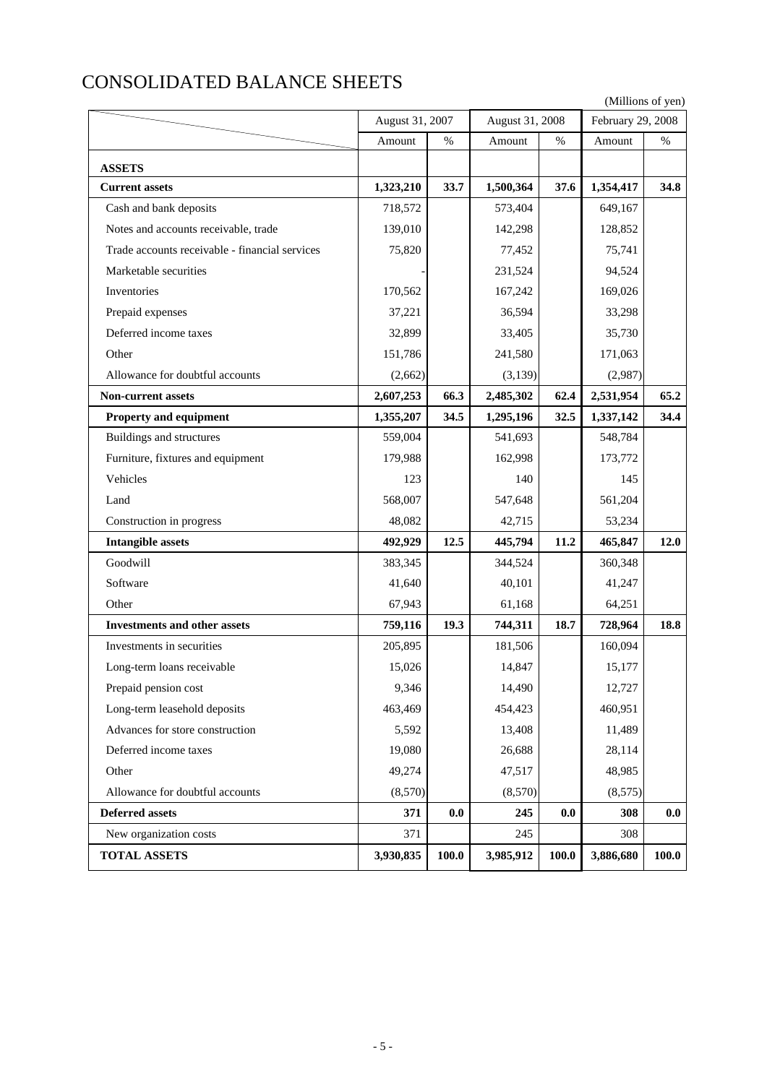# CONSOLIDATED BALANCE SHEETS

(Millions of yen)

|                                                | August 31, 2007 |       | August 31, 2008 |       | February 29, 2008 |       |
|------------------------------------------------|-----------------|-------|-----------------|-------|-------------------|-------|
|                                                | Amount          | $\%$  | Amount          | %     | Amount            | %     |
| <b>ASSETS</b>                                  |                 |       |                 |       |                   |       |
| <b>Current assets</b>                          | 1,323,210       | 33.7  | 1,500,364       | 37.6  | 1,354,417         | 34.8  |
| Cash and bank deposits                         | 718,572         |       | 573,404         |       | 649,167           |       |
| Notes and accounts receivable, trade           | 139,010         |       | 142,298         |       | 128,852           |       |
| Trade accounts receivable - financial services | 75,820          |       | 77,452          |       | 75,741            |       |
| Marketable securities                          |                 |       | 231,524         |       | 94,524            |       |
| Inventories                                    | 170,562         |       | 167,242         |       | 169,026           |       |
| Prepaid expenses                               | 37,221          |       | 36,594          |       | 33,298            |       |
| Deferred income taxes                          | 32,899          |       | 33,405          |       | 35,730            |       |
| Other                                          | 151,786         |       | 241,580         |       | 171,063           |       |
| Allowance for doubtful accounts                | (2,662)         |       | (3, 139)        |       | (2,987)           |       |
| <b>Non-current assets</b>                      | 2,607,253       | 66.3  | 2,485,302       | 62.4  | 2,531,954         | 65.2  |
| Property and equipment                         | 1,355,207       | 34.5  | 1,295,196       | 32.5  | 1,337,142         | 34.4  |
| Buildings and structures                       | 559,004         |       | 541,693         |       | 548,784           |       |
| Furniture, fixtures and equipment              | 179,988         |       | 162,998         |       | 173,772           |       |
| Vehicles                                       | 123             |       | 140             |       | 145               |       |
| Land                                           | 568,007         |       | 547,648         |       | 561,204           |       |
| Construction in progress                       | 48,082          |       | 42,715          |       | 53,234            |       |
| <b>Intangible assets</b>                       | 492,929         | 12.5  | 445,794         | 11.2  | 465,847           | 12.0  |
| Goodwill                                       | 383,345         |       | 344,524         |       | 360,348           |       |
| Software                                       | 41,640          |       | 40,101          |       | 41,247            |       |
| Other                                          | 67,943          |       | 61,168          |       | 64,251            |       |
| <b>Investments and other assets</b>            | 759,116         | 19.3  | 744,311         | 18.7  | 728,964           | 18.8  |
| Investments in securities                      | 205,895         |       | 181,506         |       | 160,094           |       |
| Long-term loans receivable                     | 15,026          |       | 14,847          |       | 15,177            |       |
| Prepaid pension cost                           | 9,346           |       | 14,490          |       | 12,727            |       |
| Long-term leasehold deposits                   | 463,469         |       | 454,423         |       | 460,951           |       |
| Advances for store construction                | 5,592           |       | 13,408          |       | 11,489            |       |
| Deferred income taxes                          | 19,080          |       | 26,688          |       | 28,114            |       |
| Other                                          | 49,274          |       | 47,517          |       | 48,985            |       |
| Allowance for doubtful accounts                | (8,570)         |       | (8,570)         |       | (8,575)           |       |
| <b>Deferred assets</b>                         | 371             | 0.0   | 245             | 0.0   | 308               | 0.0   |
| New organization costs                         | 371             |       | 245             |       | 308               |       |
| <b>TOTAL ASSETS</b>                            | 3,930,835       | 100.0 | 3,985,912       | 100.0 | 3,886,680         | 100.0 |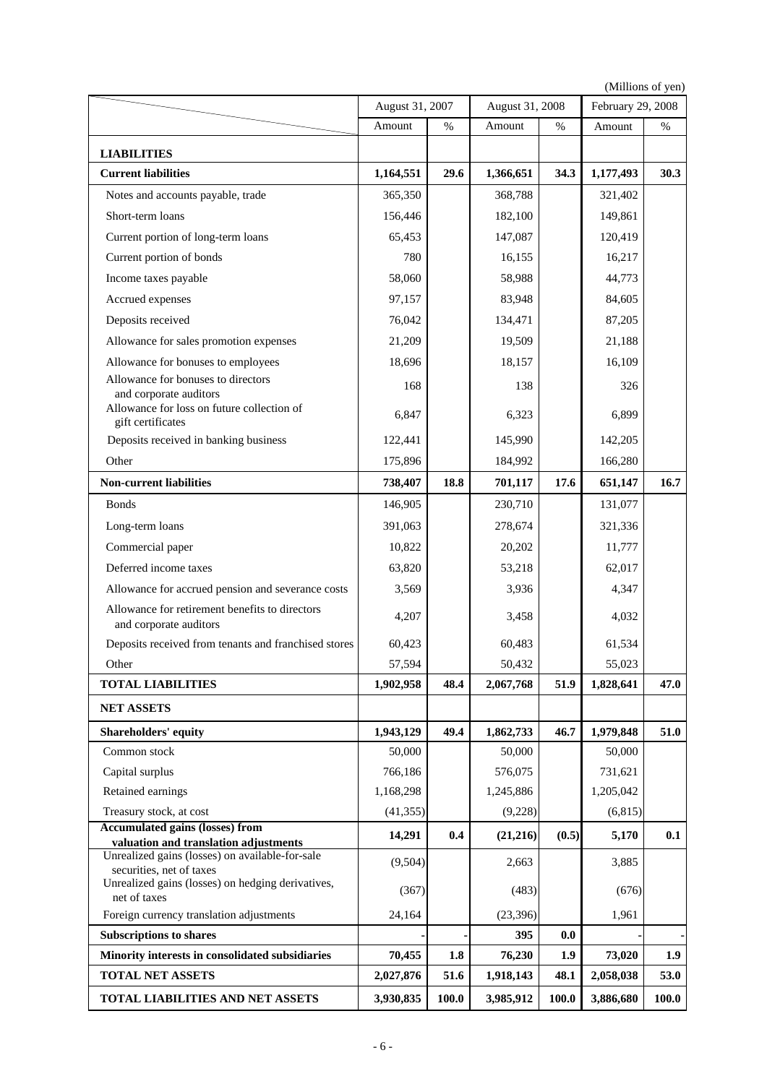(Millions of yen)

|                                                                                          | August 31, 2007  |       | August 31, 2008 |            | February 29, 2008 |       |
|------------------------------------------------------------------------------------------|------------------|-------|-----------------|------------|-------------------|-------|
|                                                                                          | Amount           | $\%$  | Amount          | %          | Amount            | $\%$  |
| <b>LIABILITIES</b>                                                                       |                  |       |                 |            |                   |       |
| <b>Current liabilities</b>                                                               | 1,164,551        | 29.6  | 1,366,651       | 34.3       | 1,177,493         | 30.3  |
| Notes and accounts payable, trade                                                        | 365,350          |       | 368,788         |            | 321,402           |       |
| Short-term loans                                                                         | 156,446          |       | 182,100         |            | 149,861           |       |
| Current portion of long-term loans                                                       | 65,453           |       | 147,087         |            | 120,419           |       |
| Current portion of bonds                                                                 | 780              |       | 16,155          |            | 16,217            |       |
| Income taxes payable                                                                     | 58,060           |       | 58,988          |            | 44,773            |       |
| Accrued expenses                                                                         | 97,157           |       | 83,948          |            | 84,605            |       |
| Deposits received                                                                        | 76,042           |       | 134,471         |            | 87,205            |       |
| Allowance for sales promotion expenses                                                   | 21,209           |       | 19,509          |            | 21,188            |       |
| Allowance for bonuses to employees                                                       | 18,696           |       | 18,157          |            | 16,109            |       |
| Allowance for bonuses to directors                                                       | 168              |       | 138             |            | 326               |       |
| and corporate auditors<br>Allowance for loss on future collection of                     |                  |       |                 |            |                   |       |
| gift certificates                                                                        | 6,847            |       | 6,323           |            | 6,899             |       |
| Deposits received in banking business                                                    | 122,441          |       | 145,990         |            | 142,205           |       |
| Other                                                                                    | 175,896          |       | 184,992         |            | 166,280           |       |
| <b>Non-current liabilities</b>                                                           | 738,407          | 18.8  | 701,117         | 17.6       | 651,147           | 16.7  |
| <b>Bonds</b>                                                                             | 146,905          |       | 230,710         |            | 131,077           |       |
| Long-term loans                                                                          | 391,063          |       | 278,674         |            | 321,336           |       |
| Commercial paper                                                                         | 10,822           |       | 20,202          |            | 11,777            |       |
| Deferred income taxes                                                                    | 63,820           |       | 53,218          |            | 62,017            |       |
| Allowance for accrued pension and severance costs                                        | 3,569            |       | 3,936           |            | 4,347             |       |
| Allowance for retirement benefits to directors<br>and corporate auditors                 | 4,207            |       | 3,458           |            | 4,032             |       |
| Deposits received from tenants and franchised stores                                     | 60,423           |       | 60,483          |            | 61,534            |       |
| Other                                                                                    | 57,594           |       | 50,432          |            | 55,023            |       |
| <b>TOTAL LIABILITIES</b>                                                                 | 1,902,958        | 48.4  | 2,067,768       | 51.9       | 1,828,641         | 47.0  |
| <b>NET ASSETS</b>                                                                        |                  |       |                 |            |                   |       |
| <b>Shareholders' equity</b>                                                              | 1,943,129        | 49.4  | 1,862,733       | 46.7       | 1,979,848         | 51.0  |
| Common stock                                                                             | 50,000           |       | 50,000          |            | 50,000            |       |
| Capital surplus                                                                          | 766.186          |       | 576,075         |            | 731.621           |       |
| Retained earnings                                                                        | 1,168,298        |       | 1,245,886       |            | 1,205,042         |       |
| Treasury stock, at cost                                                                  | (41, 355)        |       | (9,228)         |            | (6, 815)          |       |
| <b>Accumulated gains (losses) from</b>                                                   | 14,291           | 0.4   | (21,216)        | (0.5)      | 5,170             | 0.1   |
| valuation and translation adjustments<br>Unrealized gains (losses) on available-for-sale |                  |       |                 |            |                   |       |
| securities, net of taxes<br>Unrealized gains (losses) on hedging derivatives,            | (9,504)<br>(367) |       | 2,663<br>(483)  |            | 3,885<br>(676)    |       |
| net of taxes                                                                             |                  |       |                 |            |                   |       |
| Foreign currency translation adjustments                                                 | 24,164           |       | (23,396)        |            | 1,961             |       |
| <b>Subscriptions to shares</b><br>Minority interests in consolidated subsidiaries        | 70,455           | 1.8   | 395<br>76,230   | 0.0<br>1.9 | 73,020            | 1.9   |
| <b>TOTAL NET ASSETS</b>                                                                  | 2,027,876        | 51.6  | 1,918,143       | 48.1       | 2,058,038         | 53.0  |
| TOTAL LIABILITIES AND NET ASSETS                                                         | 3,930,835        |       | 3,985,912       |            |                   | 100.0 |
|                                                                                          |                  | 100.0 |                 | 100.0      | 3,886,680         |       |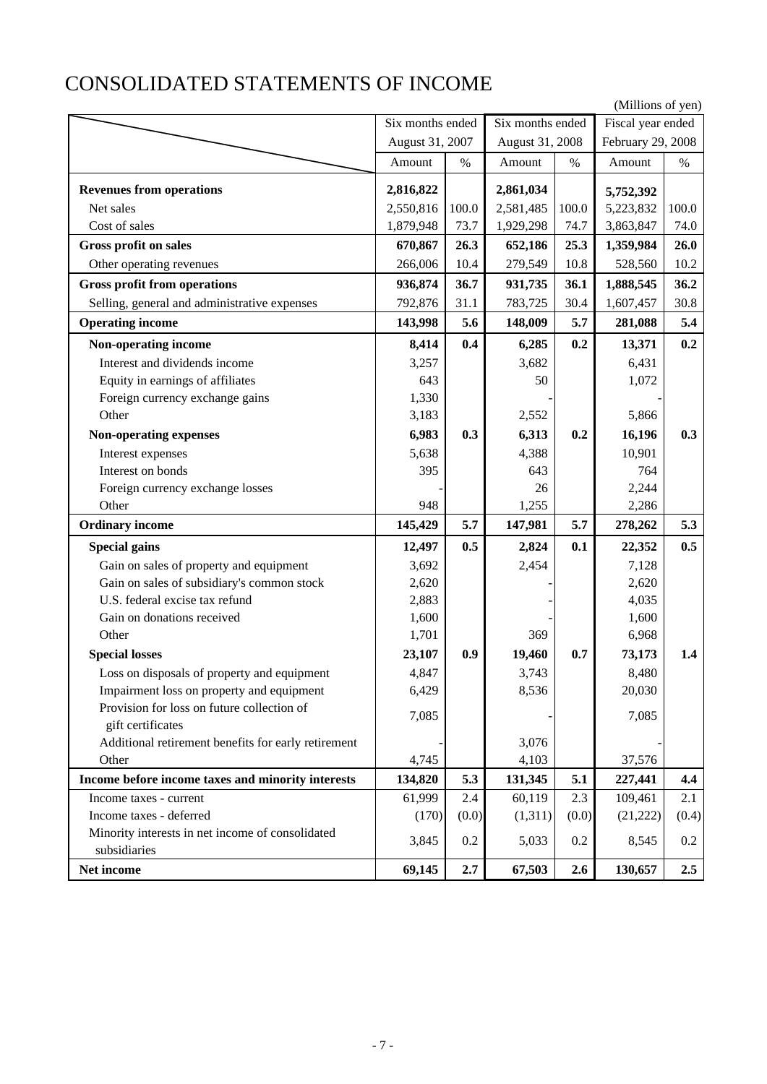# CONSOLIDATED STATEMENTS OF INCOME

|                                                                          |                  |       |                  |       | (Millions of yen) |       |
|--------------------------------------------------------------------------|------------------|-------|------------------|-------|-------------------|-------|
|                                                                          | Six months ended |       | Six months ended |       | Fiscal year ended |       |
|                                                                          | August 31, 2007  |       | August 31, 2008  |       | February 29, 2008 |       |
|                                                                          | Amount           | $\%$  | Amount           | $\%$  | Amount            | $\%$  |
| <b>Revenues from operations</b>                                          | 2,816,822        |       | 2,861,034        |       | 5,752,392         |       |
| Net sales                                                                | 2,550,816        | 100.0 | 2,581,485        | 100.0 | 5,223,832         | 100.0 |
| Cost of sales                                                            | 1,879,948        | 73.7  | 1,929,298        | 74.7  | 3,863,847         | 74.0  |
| <b>Gross profit on sales</b>                                             | 670,867          | 26.3  | 652,186          | 25.3  | 1,359,984         | 26.0  |
| Other operating revenues                                                 | 266,006          | 10.4  | 279,549          | 10.8  | 528,560           | 10.2  |
| <b>Gross profit from operations</b>                                      | 936,874          | 36.7  | 931,735          | 36.1  | 1,888,545         | 36.2  |
| Selling, general and administrative expenses                             | 792,876          | 31.1  | 783,725          | 30.4  | 1,607,457         | 30.8  |
| <b>Operating income</b>                                                  | 143,998          | 5.6   | 148,009          | 5.7   | 281,088           | 5.4   |
| Non-operating income                                                     | 8,414            | 0.4   | 6,285            | 0.2   | 13,371            | 0.2   |
| Interest and dividends income                                            | 3,257            |       | 3,682            |       | 6,431             |       |
| Equity in earnings of affiliates                                         | 643              |       | 50               |       | 1,072             |       |
| Foreign currency exchange gains                                          | 1,330            |       |                  |       |                   |       |
| Other                                                                    | 3,183            |       | 2,552            |       | 5,866             |       |
| <b>Non-operating expenses</b>                                            | 6,983            | 0.3   | 6,313            | 0.2   | 16,196            | 0.3   |
| Interest expenses                                                        | 5,638            |       | 4,388            |       | 10,901            |       |
| Interest on bonds                                                        | 395              |       | 643              |       | 764               |       |
| Foreign currency exchange losses                                         |                  |       | 26               |       | 2,244             |       |
| Other                                                                    | 948              |       | 1,255            |       | 2,286             |       |
| <b>Ordinary income</b>                                                   | 145,429          | 5.7   | 147,981          | 5.7   | 278,262           | 5.3   |
| <b>Special gains</b>                                                     | 12,497           | 0.5   | 2,824            | 0.1   | 22,352            | 0.5   |
| Gain on sales of property and equipment                                  | 3,692            |       | 2,454            |       | 7,128             |       |
| Gain on sales of subsidiary's common stock                               | 2,620            |       |                  |       | 2,620             |       |
| U.S. federal excise tax refund                                           | 2,883            |       |                  |       | 4,035             |       |
| Gain on donations received                                               | 1,600            |       |                  |       | 1,600             |       |
| Other                                                                    | 1,701            |       | 369              |       | 6,968             |       |
| <b>Special losses</b>                                                    | 23,107           | 0.9   | 19,460           | 0.7   | 73,173            | 1.4   |
| Loss on disposals of property and equipment                              | 4,847            |       | 3,743            |       | 8,480             |       |
| Impairment loss on property and equipment                                | 6,429            |       | 8,536            |       | 20,030            |       |
| Provision for loss on future collection of                               | 7,085            |       |                  |       | 7,085             |       |
| gift certificates<br>Additional retirement benefits for early retirement |                  |       | 3,076            |       |                   |       |
| Other                                                                    | 4,745            |       | 4,103            |       | 37,576            |       |
| Income before income taxes and minority interests                        | 134,820          | 5.3   | 131,345          | 5.1   | 227,441           | 4.4   |
| Income taxes - current                                                   | 61,999           | 2.4   | 60,119           | 2.3   | 109,461           | 2.1   |
| Income taxes - deferred                                                  | (170)            | (0.0) | (1,311)          | (0.0) | (21, 222)         | (0.4) |
| Minority interests in net income of consolidated                         |                  |       |                  |       |                   |       |
| subsidiaries                                                             | 3,845            | 0.2   | 5,033            | 0.2   | 8,545             | 0.2   |
| Net income                                                               | 69,145           | 2.7   | 67,503           | 2.6   | 130,657           | 2.5   |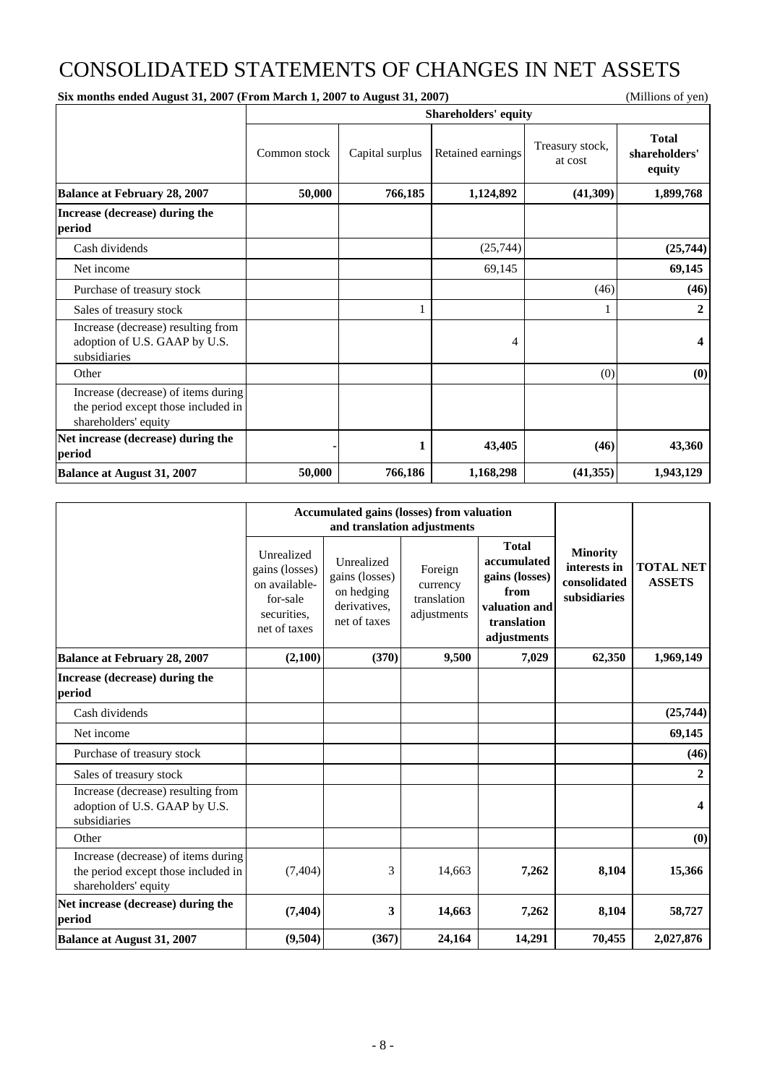# CONSOLIDATED STATEMENTS OF CHANGES IN NET ASSETS

**Six months ended August 31, 2007 (From March 1, 2007 to August 31, 2007)** (Millions of yen)

|                                                                                                    |              |                 | <b>Shareholders' equity</b> |                            |                                         |
|----------------------------------------------------------------------------------------------------|--------------|-----------------|-----------------------------|----------------------------|-----------------------------------------|
|                                                                                                    | Common stock | Capital surplus | Retained earnings           | Treasury stock,<br>at cost | <b>Total</b><br>shareholders'<br>equity |
| <b>Balance at February 28, 2007</b>                                                                | 50,000       | 766,185         | 1,124,892                   | (41,309)                   | 1,899,768                               |
| Increase (decrease) during the<br>period                                                           |              |                 |                             |                            |                                         |
| Cash dividends                                                                                     |              |                 | (25,744)                    |                            | (25,744)                                |
| Net income                                                                                         |              |                 | 69,145                      |                            | 69,145                                  |
| Purchase of treasury stock                                                                         |              |                 |                             | (46)                       | (46)                                    |
| Sales of treasury stock                                                                            |              |                 |                             |                            | 2                                       |
| Increase (decrease) resulting from<br>adoption of U.S. GAAP by U.S.<br>subsidiaries                |              |                 | 4                           |                            | 4                                       |
| Other                                                                                              |              |                 |                             | (0)                        | (0)                                     |
| Increase (decrease) of items during<br>the period except those included in<br>shareholders' equity |              |                 |                             |                            |                                         |
| Net increase (decrease) during the<br>period                                                       |              | 1               | 43,405                      | (46)                       | 43,360                                  |
| <b>Balance at August 31, 2007</b>                                                                  | 50,000       | 766,186         | 1,168,298                   | (41,355)                   | 1,943,129                               |

|                                                                                                    |                                                                                          | <b>Accumulated gains (losses) from valuation</b><br>and translation adjustments |                                                   |                                                                                                      |                                                                 |                                   |
|----------------------------------------------------------------------------------------------------|------------------------------------------------------------------------------------------|---------------------------------------------------------------------------------|---------------------------------------------------|------------------------------------------------------------------------------------------------------|-----------------------------------------------------------------|-----------------------------------|
|                                                                                                    | Unrealized<br>gains (losses)<br>on available-<br>for-sale<br>securities.<br>net of taxes | Unrealized<br>gains (losses)<br>on hedging<br>derivatives,<br>net of taxes      | Foreign<br>currency<br>translation<br>adjustments | <b>Total</b><br>accumulated<br>gains (losses)<br>from<br>valuation and<br>translation<br>adjustments | <b>Minority</b><br>interests in<br>consolidated<br>subsidiaries | <b>TOTAL NET</b><br><b>ASSETS</b> |
| <b>Balance at February 28, 2007</b>                                                                | (2,100)                                                                                  | (370)                                                                           | 9,500                                             | 7,029                                                                                                | 62,350                                                          | 1,969,149                         |
| Increase (decrease) during the<br>period                                                           |                                                                                          |                                                                                 |                                                   |                                                                                                      |                                                                 |                                   |
| Cash dividends                                                                                     |                                                                                          |                                                                                 |                                                   |                                                                                                      |                                                                 | (25,744)                          |
| Net income                                                                                         |                                                                                          |                                                                                 |                                                   |                                                                                                      |                                                                 | 69,145                            |
| Purchase of treasury stock                                                                         |                                                                                          |                                                                                 |                                                   |                                                                                                      |                                                                 | (46)                              |
| Sales of treasury stock                                                                            |                                                                                          |                                                                                 |                                                   |                                                                                                      |                                                                 | $\mathbf{2}$                      |
| Increase (decrease) resulting from<br>adoption of U.S. GAAP by U.S.<br>subsidiaries                |                                                                                          |                                                                                 |                                                   |                                                                                                      |                                                                 | 4                                 |
| Other                                                                                              |                                                                                          |                                                                                 |                                                   |                                                                                                      |                                                                 | (0)                               |
| Increase (decrease) of items during<br>the period except those included in<br>shareholders' equity | (7, 404)                                                                                 | 3                                                                               | 14,663                                            | 7,262                                                                                                | 8,104                                                           | 15,366                            |
| Net increase (decrease) during the<br>period                                                       | (7, 404)                                                                                 | 3                                                                               | 14,663                                            | 7,262                                                                                                | 8,104                                                           | 58,727                            |
| <b>Balance at August 31, 2007</b>                                                                  | (9,504)                                                                                  | (367)                                                                           | 24,164                                            | 14,291                                                                                               | 70,455                                                          | 2,027,876                         |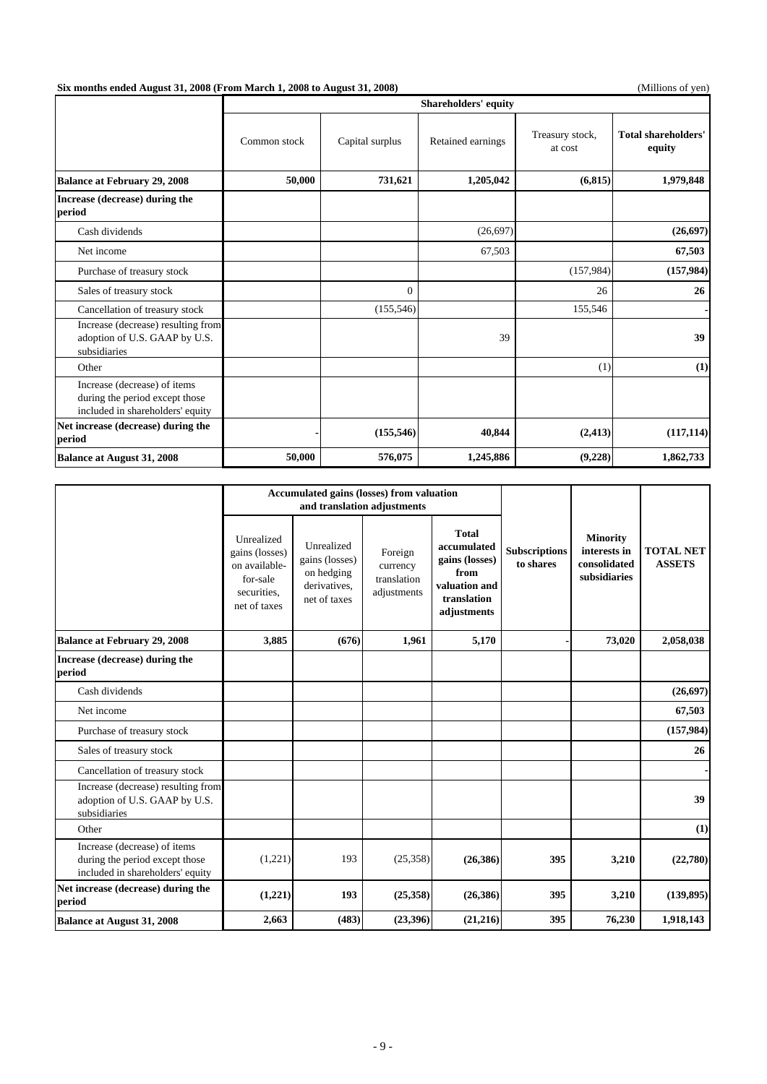# **Six months ended August 31, 2008 (From March 1, 2008 to August 31, 2008)** (Millions of yen) (Millions of yen)

|                                                                                                    | <b>Shareholders' equity</b> |                 |                   |                            |                                      |
|----------------------------------------------------------------------------------------------------|-----------------------------|-----------------|-------------------|----------------------------|--------------------------------------|
|                                                                                                    | Common stock                | Capital surplus | Retained earnings | Treasury stock,<br>at cost | <b>Total shareholders'</b><br>equity |
| <b>Balance at February 29, 2008</b>                                                                | 50,000                      | 731,621         | 1,205,042         | (6, 815)                   | 1,979,848                            |
| Increase (decrease) during the<br>period                                                           |                             |                 |                   |                            |                                      |
| Cash dividends                                                                                     |                             |                 | (26, 697)         |                            | (26,697)                             |
| Net income                                                                                         |                             |                 | 67,503            |                            | 67,503                               |
| Purchase of treasury stock                                                                         |                             |                 |                   | (157,984)                  | (157,984)                            |
| Sales of treasury stock                                                                            |                             | $\Omega$        |                   | 26                         | 26                                   |
| Cancellation of treasury stock                                                                     |                             | (155, 546)      |                   | 155,546                    |                                      |
| Increase (decrease) resulting from<br>adoption of U.S. GAAP by U.S.<br>subsidiaries                |                             |                 | 39                |                            | 39                                   |
| Other                                                                                              |                             |                 |                   | (1)                        | (1)                                  |
| Increase (decrease) of items<br>during the period except those<br>included in shareholders' equity |                             |                 |                   |                            |                                      |
| Net increase (decrease) during the<br>period                                                       |                             | (155, 546)      | 40,844            | (2, 413)                   | (117, 114)                           |
| <b>Balance at August 31, 2008</b>                                                                  | 50,000                      | 576,075         | 1,245,886         | (9,228)                    | 1,862,733                            |

|                                                                                                    |                                                                                          | <b>Accumulated gains (losses) from valuation</b><br>and translation adjustments |                                                   |                                                                                                      |                                   |                                                                 |                                   |
|----------------------------------------------------------------------------------------------------|------------------------------------------------------------------------------------------|---------------------------------------------------------------------------------|---------------------------------------------------|------------------------------------------------------------------------------------------------------|-----------------------------------|-----------------------------------------------------------------|-----------------------------------|
|                                                                                                    | Unrealized<br>gains (losses)<br>on available-<br>for-sale<br>securities.<br>net of taxes | Unrealized<br>gains (losses)<br>on hedging<br>derivatives.<br>net of taxes      | Foreign<br>currency<br>translation<br>adjustments | <b>Total</b><br>accumulated<br>gains (losses)<br>from<br>valuation and<br>translation<br>adjustments | <b>Subscriptions</b><br>to shares | <b>Minority</b><br>interests in<br>consolidated<br>subsidiaries | <b>TOTAL NET</b><br><b>ASSETS</b> |
| <b>Balance at February 29, 2008</b>                                                                | 3,885                                                                                    | (676)                                                                           | 1,961                                             | 5,170                                                                                                |                                   | 73,020                                                          | 2,058,038                         |
| Increase (decrease) during the<br>period                                                           |                                                                                          |                                                                                 |                                                   |                                                                                                      |                                   |                                                                 |                                   |
| Cash dividends                                                                                     |                                                                                          |                                                                                 |                                                   |                                                                                                      |                                   |                                                                 | (26,697)                          |
| Net income                                                                                         |                                                                                          |                                                                                 |                                                   |                                                                                                      |                                   |                                                                 | 67,503                            |
| Purchase of treasury stock                                                                         |                                                                                          |                                                                                 |                                                   |                                                                                                      |                                   |                                                                 | (157,984)                         |
| Sales of treasury stock                                                                            |                                                                                          |                                                                                 |                                                   |                                                                                                      |                                   |                                                                 | 26                                |
| Cancellation of treasury stock                                                                     |                                                                                          |                                                                                 |                                                   |                                                                                                      |                                   |                                                                 |                                   |
| Increase (decrease) resulting from<br>adoption of U.S. GAAP by U.S.<br>subsidiaries                |                                                                                          |                                                                                 |                                                   |                                                                                                      |                                   |                                                                 | 39                                |
| Other                                                                                              |                                                                                          |                                                                                 |                                                   |                                                                                                      |                                   |                                                                 | (1)                               |
| Increase (decrease) of items<br>during the period except those<br>included in shareholders' equity | (1,221)                                                                                  | 193                                                                             | (25,358)                                          | (26, 386)                                                                                            | 395                               | 3,210                                                           | (22,780)                          |
| Net increase (decrease) during the<br>period                                                       | (1,221)                                                                                  | 193                                                                             | (25,358)                                          | (26,386)                                                                                             | 395                               | 3,210                                                           | (139, 895)                        |
| Balance at August 31, 2008                                                                         | 2,663                                                                                    | (483)                                                                           | (23,396)                                          | (21,216)                                                                                             | 395                               | 76,230                                                          | 1,918,143                         |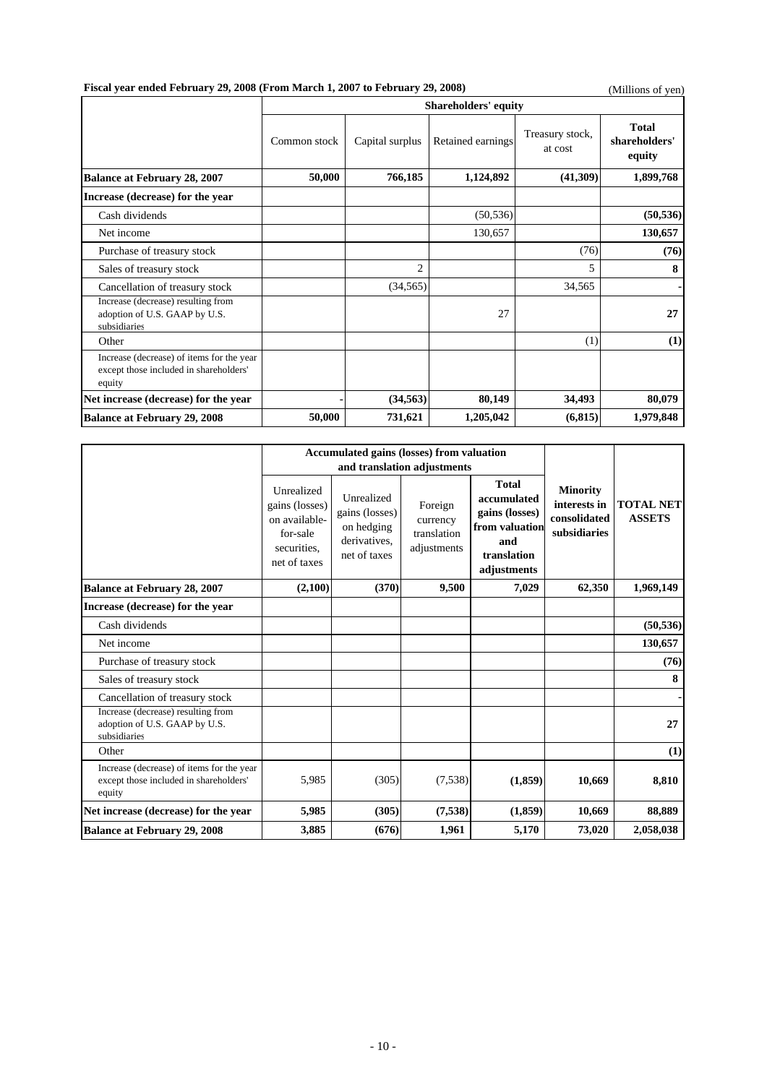|  | Fiscal year ended February 29, 2008 (From March 1, 2007 to February 29, 2008) |
|--|-------------------------------------------------------------------------------|
|  |                                                                               |

 $\mathbf{r}$ 

**(Millions of yen)** 

|                                                                                               |              |                 | <b>Shareholders' equity</b> |                            |                                  |
|-----------------------------------------------------------------------------------------------|--------------|-----------------|-----------------------------|----------------------------|----------------------------------|
|                                                                                               | Common stock | Capital surplus | Retained earnings           | Treasury stock,<br>at cost | Total<br>shareholders'<br>equity |
| <b>Balance at February 28, 2007</b>                                                           | 50,000       | 766,185         | 1,124,892                   | (41, 309)                  | 1,899,768                        |
| Increase (decrease) for the year                                                              |              |                 |                             |                            |                                  |
| Cash dividends                                                                                |              |                 | (50, 536)                   |                            | (50, 536)                        |
| Net income                                                                                    |              |                 | 130,657                     |                            | 130,657                          |
| Purchase of treasury stock                                                                    |              |                 |                             | (76)                       | (76)                             |
| Sales of treasury stock                                                                       |              | $\overline{2}$  |                             | 5                          | 8                                |
| Cancellation of treasury stock                                                                |              | (34, 565)       |                             | 34,565                     |                                  |
| Increase (decrease) resulting from<br>adoption of U.S. GAAP by U.S.<br>subsidiaries           |              |                 | 27                          |                            | 27                               |
| Other                                                                                         |              |                 |                             | (1)                        | (1)                              |
| Increase (decrease) of items for the year<br>except those included in shareholders'<br>equity |              |                 |                             |                            |                                  |
| Net increase (decrease) for the year                                                          |              | (34, 563)       | 80,149                      | 34,493                     | 80,079                           |
| <b>Balance at February 29, 2008</b>                                                           | 50,000       | 731,621         | 1,205,042                   | (6, 815)                   | 1,979,848                        |

|                                                                                               |                                                                                          | <b>Accumulated gains (losses) from valuation</b>                                  |                                                   |                                                                                                      |                                                                 |                                   |
|-----------------------------------------------------------------------------------------------|------------------------------------------------------------------------------------------|-----------------------------------------------------------------------------------|---------------------------------------------------|------------------------------------------------------------------------------------------------------|-----------------------------------------------------------------|-----------------------------------|
|                                                                                               |                                                                                          |                                                                                   | and translation adjustments                       |                                                                                                      |                                                                 |                                   |
|                                                                                               | Unrealized<br>gains (losses)<br>on available-<br>for-sale<br>securities.<br>net of taxes | <b>Unrealized</b><br>gains (losses)<br>on hedging<br>derivatives.<br>net of taxes | Foreign<br>currency<br>translation<br>adjustments | <b>Total</b><br>accumulated<br>gains (losses)<br>from valuation<br>and<br>translation<br>adjustments | <b>Minority</b><br>interests in<br>consolidated<br>subsidiaries | <b>TOTAL NET</b><br><b>ASSETS</b> |
| <b>Balance at February 28, 2007</b>                                                           | (2,100)                                                                                  | (370)                                                                             | 9,500                                             | 7,029                                                                                                | 62,350                                                          | 1,969,149                         |
| Increase (decrease) for the year                                                              |                                                                                          |                                                                                   |                                                   |                                                                                                      |                                                                 |                                   |
| Cash dividends                                                                                |                                                                                          |                                                                                   |                                                   |                                                                                                      |                                                                 | (50, 536)                         |
| Net income                                                                                    |                                                                                          |                                                                                   |                                                   |                                                                                                      |                                                                 | 130,657                           |
| Purchase of treasury stock                                                                    |                                                                                          |                                                                                   |                                                   |                                                                                                      |                                                                 | (76)                              |
| Sales of treasury stock                                                                       |                                                                                          |                                                                                   |                                                   |                                                                                                      |                                                                 | 8                                 |
| Cancellation of treasury stock                                                                |                                                                                          |                                                                                   |                                                   |                                                                                                      |                                                                 |                                   |
| Increase (decrease) resulting from<br>adoption of U.S. GAAP by U.S.<br>subsidiaries           |                                                                                          |                                                                                   |                                                   |                                                                                                      |                                                                 | 27                                |
| Other                                                                                         |                                                                                          |                                                                                   |                                                   |                                                                                                      |                                                                 | (1)                               |
| Increase (decrease) of items for the year<br>except those included in shareholders'<br>equity | 5,985                                                                                    | (305)                                                                             | (7,538)                                           | (1,859)                                                                                              | 10,669                                                          | 8,810                             |
| Net increase (decrease) for the year                                                          | 5,985                                                                                    | (305)                                                                             | (7,538)                                           | (1,859)                                                                                              | 10,669                                                          | 88,889                            |
| <b>Balance at February 29, 2008</b>                                                           | 3,885                                                                                    | (676)                                                                             | 1,961                                             | 5,170                                                                                                | 73,020                                                          | 2,058,038                         |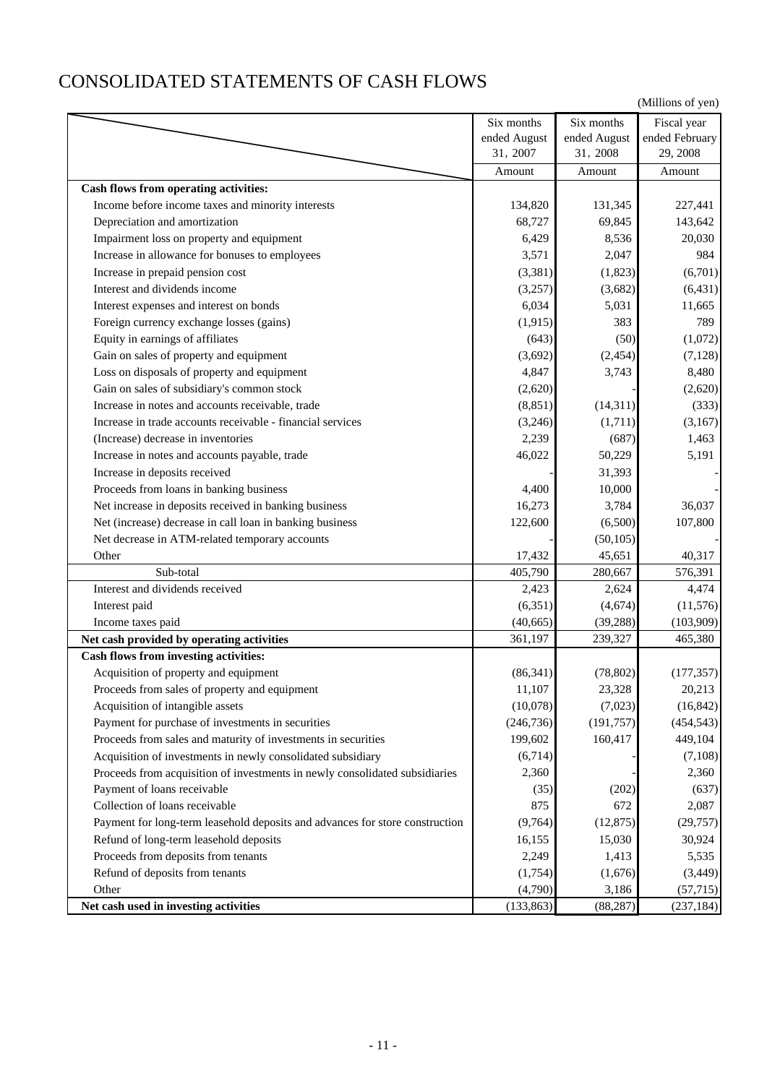## CONSOLIDATED STATEMENTS OF CASH FLOWS

|                                                                              |              |              | (Millions of yen) |
|------------------------------------------------------------------------------|--------------|--------------|-------------------|
|                                                                              | Six months   | Six months   | Fiscal year       |
|                                                                              | ended August | ended August | ended February    |
|                                                                              | 31, 2007     | 31, 2008     | 29, 2008          |
|                                                                              | Amount       | Amount       | Amount            |
| Cash flows from operating activities:                                        |              |              |                   |
| Income before income taxes and minority interests                            | 134,820      | 131,345      | 227,441           |
| Depreciation and amortization                                                | 68,727       | 69,845       | 143,642           |
| Impairment loss on property and equipment                                    | 6,429        | 8,536        | 20,030            |
| Increase in allowance for bonuses to employees                               | 3,571        | 2,047        | 984               |
| Increase in prepaid pension cost                                             | (3,381)      | (1,823)      | (6,701)           |
| Interest and dividends income                                                | (3,257)      | (3,682)      | (6, 431)          |
| Interest expenses and interest on bonds                                      | 6,034        | 5,031        | 11,665            |
| Foreign currency exchange losses (gains)                                     | (1, 915)     | 383          | 789               |
| Equity in earnings of affiliates                                             | (643)        | (50)         | (1,072)           |
| Gain on sales of property and equipment                                      | (3,692)      | (2, 454)     | (7, 128)          |
| Loss on disposals of property and equipment                                  | 4,847        | 3,743        | 8,480             |
| Gain on sales of subsidiary's common stock                                   | (2,620)      |              | (2,620)           |
| Increase in notes and accounts receivable, trade                             | (8, 851)     | (14, 311)    | (333)             |
| Increase in trade accounts receivable - financial services                   | (3,246)      | (1,711)      | (3,167)           |
| (Increase) decrease in inventories                                           | 2,239        | (687)        | 1,463             |
| Increase in notes and accounts payable, trade                                | 46,022       | 50,229       | 5,191             |
| Increase in deposits received                                                |              | 31,393       |                   |
| Proceeds from loans in banking business                                      | 4,400        | 10,000       |                   |
| Net increase in deposits received in banking business                        | 16,273       | 3,784        | 36,037            |
| Net (increase) decrease in call loan in banking business                     | 122,600      | (6,500)      | 107,800           |
| Net decrease in ATM-related temporary accounts                               |              | (50, 105)    |                   |
| Other                                                                        | 17,432       | 45,651       | 40,317            |
| Sub-total                                                                    | 405,790      | 280,667      | 576,391           |
| Interest and dividends received                                              | 2,423        | 2,624        | 4,474             |
| Interest paid                                                                | (6, 351)     | (4,674)      | (11, 576)         |
| Income taxes paid                                                            | (40, 665)    | (39, 288)    | (103,909)         |
| Net cash provided by operating activities                                    | 361,197      | 239,327      | 465,380           |
| Cash flows from investing activities:                                        |              |              |                   |
| Acquisition of property and equipment                                        | (86, 341)    | (78, 802)    | (177, 357)        |
| Proceeds from sales of property and equipment                                | 11,107       | 23,328       | 20,213            |
| Acquisition of intangible assets                                             | (10,078)     | (7,023)      | (16, 842)         |
| Payment for purchase of investments in securities                            | (246, 736)   | (191, 757)   | (454, 543)        |
| Proceeds from sales and maturity of investments in securities                | 199,602      | 160,417      | 449,104           |
| Acquisition of investments in newly consolidated subsidiary                  | (6,714)      |              | (7,108)           |
| Proceeds from acquisition of investments in newly consolidated subsidiaries  | 2,360        |              | 2,360             |
| Payment of loans receivable                                                  | (35)         | (202)        | (637)             |
| Collection of loans receivable                                               | 875          | 672          | 2,087             |
| Payment for long-term leasehold deposits and advances for store construction | (9,764)      | (12, 875)    | (29, 757)         |
| Refund of long-term leasehold deposits                                       | 16,155       | 15,030       | 30,924            |
| Proceeds from deposits from tenants                                          | 2,249        | 1,413        | 5,535             |
| Refund of deposits from tenants                                              | (1,754)      | (1,676)      | (3, 449)          |
| Other                                                                        | (4,790)      | 3,186        | (57, 715)         |
| Net cash used in investing activities                                        | (133, 863)   | (88, 287)    | (237, 184)        |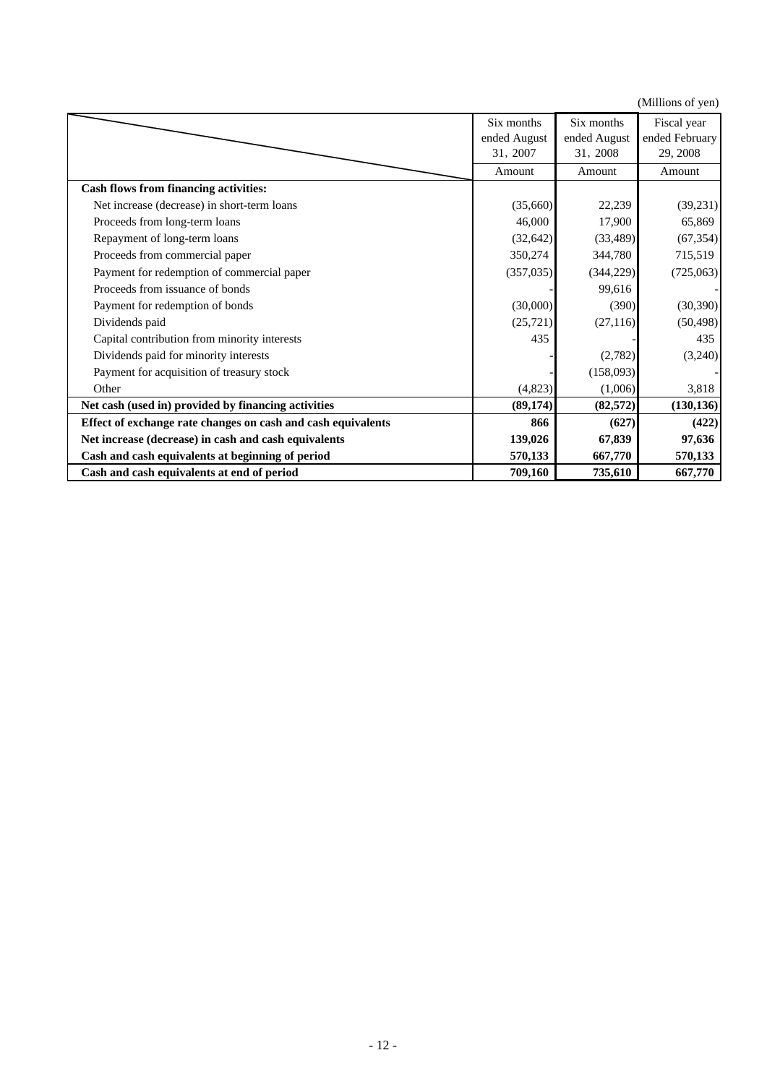|                                                              |              |              | (Millions of yen) |
|--------------------------------------------------------------|--------------|--------------|-------------------|
|                                                              | Six months   | Six months   | Fiscal year       |
|                                                              | ended August | ended August | ended February    |
|                                                              | 31, 2007     | 31, 2008     | 29, 2008          |
|                                                              | Amount       | Amount       | Amount            |
| <b>Cash flows from financing activities:</b>                 |              |              |                   |
| Net increase (decrease) in short-term loans                  | (35,660)     | 22,239       | (39, 231)         |
| Proceeds from long-term loans                                | 46,000       | 17,900       | 65,869            |
| Repayment of long-term loans                                 | (32, 642)    | (33,489)     | (67, 354)         |
| Proceeds from commercial paper                               | 350,274      | 344,780      | 715,519           |
| Payment for redemption of commercial paper                   | (357, 035)   | (344, 229)   | (725,063)         |
| Proceeds from issuance of bonds                              |              | 99,616       |                   |
| Payment for redemption of bonds                              | (30,000)     | (390)        | (30, 390)         |
| Dividends paid                                               | (25, 721)    | (27, 116)    | (50, 498)         |
| Capital contribution from minority interests                 | 435          |              | 435               |
| Dividends paid for minority interests                        |              | (2,782)      | (3,240)           |
| Payment for acquisition of treasury stock                    |              | (158,093)    |                   |
| Other                                                        | (4,823)      | (1,006)      | 3,818             |
| Net cash (used in) provided by financing activities          | (89, 174)    | (82, 572)    | (130, 136)        |
| Effect of exchange rate changes on cash and cash equivalents | 866          | (627)        | (422)             |
| Net increase (decrease) in cash and cash equivalents         | 139,026      | 67,839       | 97,636            |
| Cash and cash equivalents at beginning of period             | 570,133      | 667,770      | 570,133           |
| Cash and cash equivalents at end of period                   | 709,160      | 735,610      | 667,770           |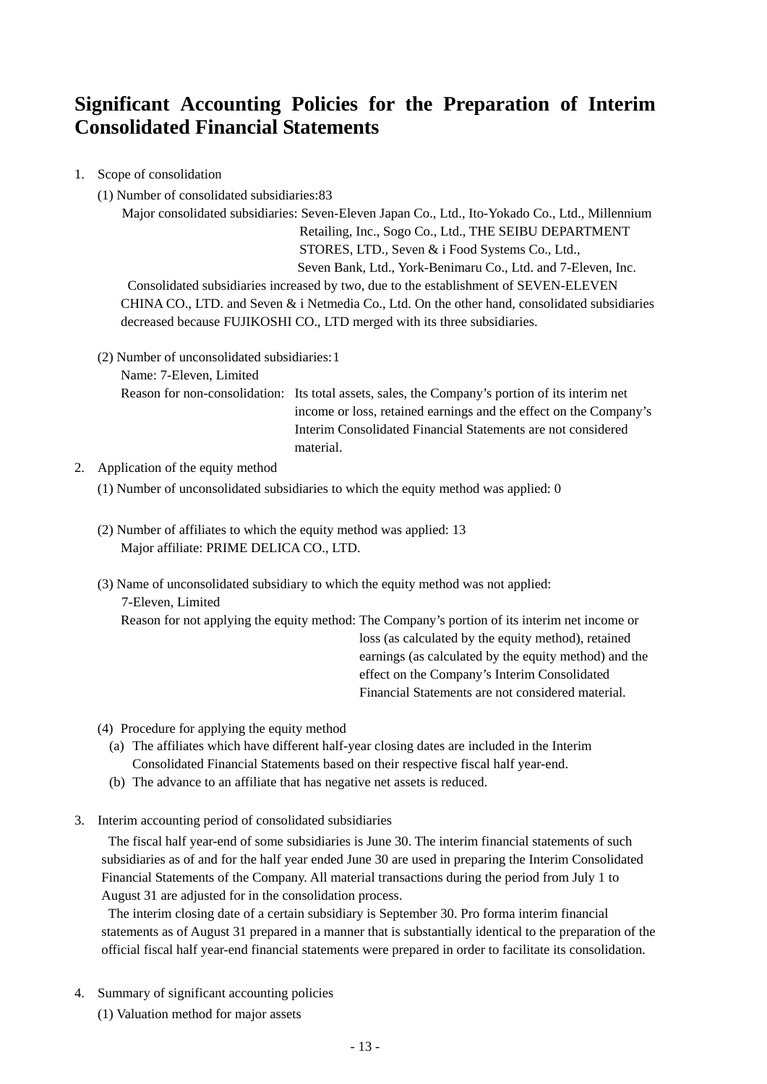### **Significant Accounting Policies for the Preparation of Interim Consolidated Financial Statements**

1. Scope of consolidation

(1) Number of consolidated subsidiaries: 83

Major consolidated subsidiaries: Seven-Eleven Japan Co., Ltd., Ito-Yokado Co., Ltd., Millennium Retailing, Inc., Sogo Co., Ltd., THE SEIBU DEPARTMENT STORES, LTD., Seven & i Food Systems Co., Ltd., Seven Bank, Ltd., York-Benimaru Co., Ltd. and 7-Eleven, Inc.

Consolidated subsidiaries increased by two, due to the establishment of SEVEN-ELEVEN CHINA CO., LTD. and Seven & i Netmedia Co., Ltd. On the other hand, consolidated subsidiaries decreased because FUJIKOSHI CO., LTD merged with its three subsidiaries.

(2) Number of unconsolidated subsidiaries: 1

Name: 7-Eleven, Limited

Reason for non-consolidation: Its total assets, sales, the Company's portion of its interim net income or loss, retained earnings and the effect on the Company's Interim Consolidated Financial Statements are not considered material.

#### 2. Application of the equity method

(1) Number of unconsolidated subsidiaries to which the equity method was applied: 0

- (2) Number of affiliates to which the equity method was applied: 13 Major affiliate: PRIME DELICA CO., LTD.
- (3) Name of unconsolidated subsidiary to which the equity method was not applied: 7-Eleven, Limited

Reason for not applying the equity method: The Company's portion of its interim net income or loss (as calculated by the equity method), retained earnings (as calculated by the equity method) and the effect on the Company's Interim Consolidated Financial Statements are not considered material.

- (4) Procedure for applying the equity method
	- (a) The affiliates which have different half-year closing dates are included in the Interim Consolidated Financial Statements based on their respective fiscal half year-end.
	- (b) The advance to an affiliate that has negative net assets is reduced.
- 3. Interim accounting period of consolidated subsidiaries

The fiscal half year-end of some subsidiaries is June 30. The interim financial statements of such subsidiaries as of and for the half year ended June 30 are used in preparing the Interim Consolidated Financial Statements of the Company. All material transactions during the period from July 1 to August 31 are adjusted for in the consolidation process.

The interim closing date of a certain subsidiary is September 30. Pro forma interim financial statements as of August 31 prepared in a manner that is substantially identical to the preparation of the official fiscal half year-end financial statements were prepared in order to facilitate its consolidation.

4. Summary of significant accounting policies

(1) Valuation method for major assets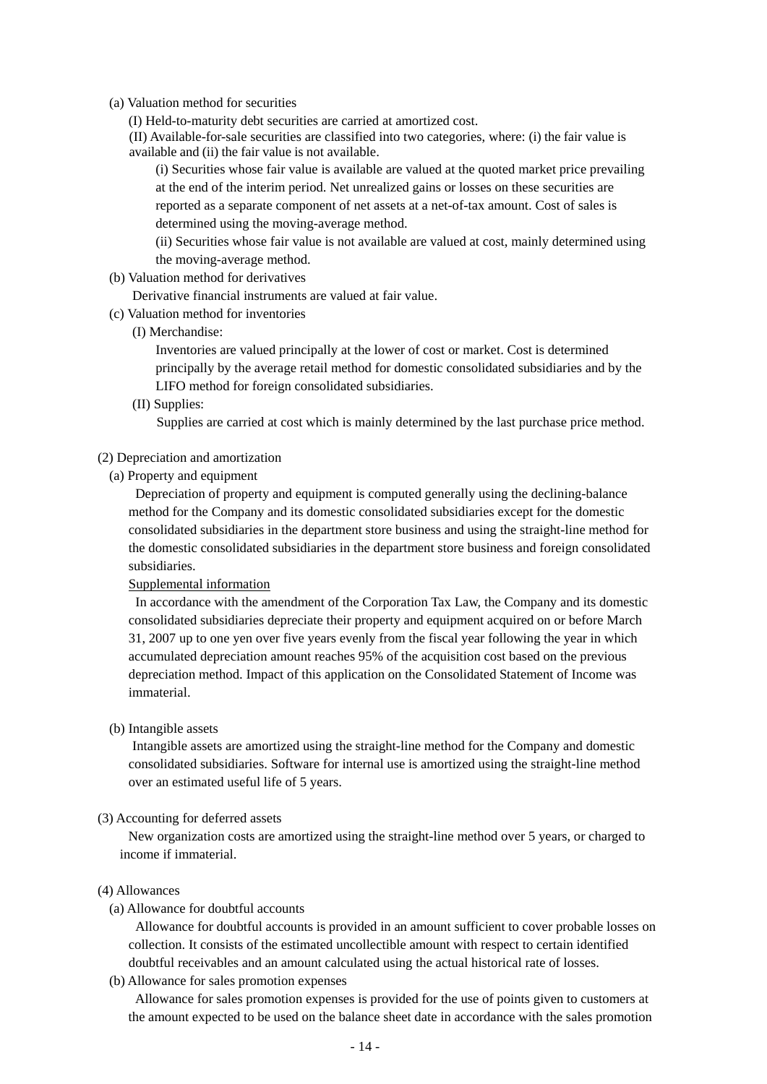#### (a) Valuation method for securities

(I) Held-to-maturity debt securities are carried at amortized cost.

 (II) Available-for-sale securities are classified into two categories, where: (i) the fair value is available and (ii) the fair value is not available.

(i) Securities whose fair value is available are valued at the quoted market price prevailing at the end of the interim period. Net unrealized gains or losses on these securities are reported as a separate component of net assets at a net-of-tax amount. Cost of sales is determined using the moving-average method.

(ii) Securities whose fair value is not available are valued at cost, mainly determined using the moving-average method.

(b) Valuation method for derivatives

Derivative financial instruments are valued at fair value.

- (c) Valuation method for inventories
	- (I) Merchandise:

Inventories are valued principally at the lower of cost or market. Cost is determined principally by the average retail method for domestic consolidated subsidiaries and by the LIFO method for foreign consolidated subsidiaries.

(II) Supplies:

Supplies are carried at cost which is mainly determined by the last purchase price method.

#### (2) Depreciation and amortization

(a) Property and equipment

Depreciation of property and equipment is computed generally using the declining-balance method for the Company and its domestic consolidated subsidiaries except for the domestic consolidated subsidiaries in the department store business and using the straight-line method for the domestic consolidated subsidiaries in the department store business and foreign consolidated subsidiaries.

#### Supplemental information

In accordance with the amendment of the Corporation Tax Law, the Company and its domestic consolidated subsidiaries depreciate their property and equipment acquired on or before March 31, 2007 up to one yen over five years evenly from the fiscal year following the year in which accumulated depreciation amount reaches 95% of the acquisition cost based on the previous depreciation method. Impact of this application on the Consolidated Statement of Income was immaterial.

(b) Intangible assets

Intangible assets are amortized using the straight-line method for the Company and domestic consolidated subsidiaries. Software for internal use is amortized using the straight-line method over an estimated useful life of 5 years.

#### (3) Accounting for deferred assets

New organization costs are amortized using the straight-line method over 5 years, or charged to income if immaterial.

#### (4) Allowances

(a) Allowance for doubtful accounts

Allowance for doubtful accounts is provided in an amount sufficient to cover probable losses on collection. It consists of the estimated uncollectible amount with respect to certain identified doubtful receivables and an amount calculated using the actual historical rate of losses.

(b) Allowance for sales promotion expenses

Allowance for sales promotion expenses is provided for the use of points given to customers at the amount expected to be used on the balance sheet date in accordance with the sales promotion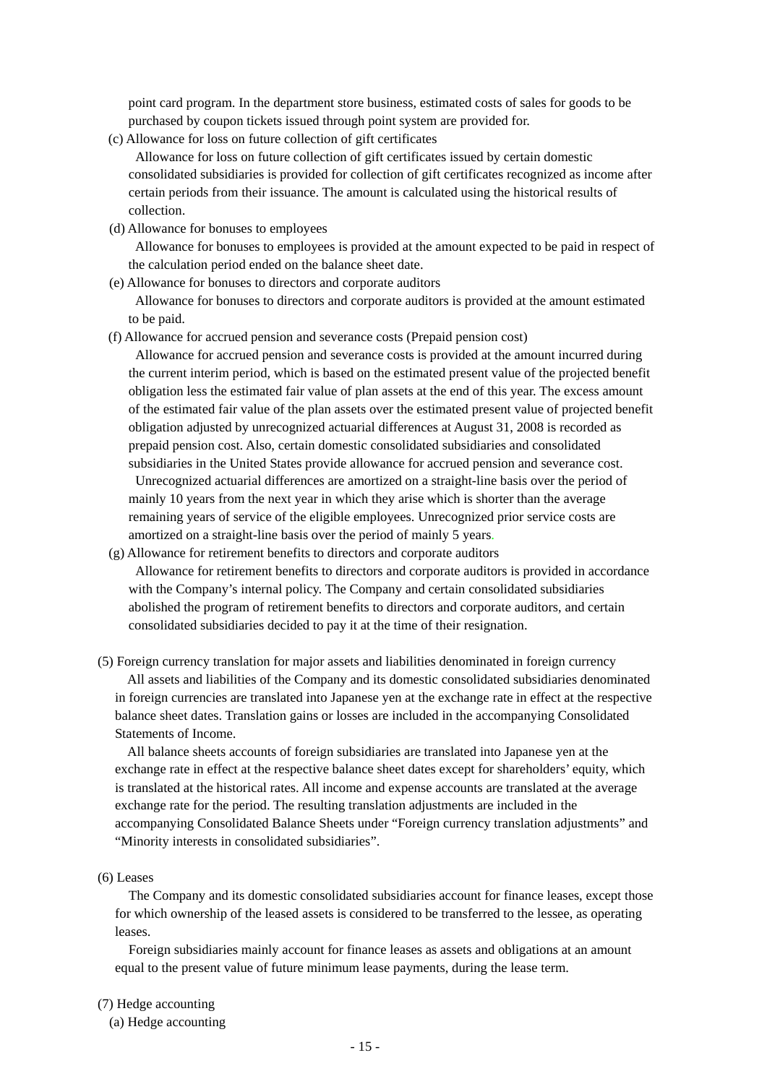point card program. In the department store business, estimated costs of sales for goods to be purchased by coupon tickets issued through point system are provided for.

(c) Allowance for loss on future collection of gift certificates

Allowance for loss on future collection of gift certificates issued by certain domestic consolidated subsidiaries is provided for collection of gift certificates recognized as income after certain periods from their issuance. The amount is calculated using the historical results of collection.

(d) Allowance for bonuses to employees

Allowance for bonuses to employees is provided at the amount expected to be paid in respect of the calculation period ended on the balance sheet date.

- (e) Allowance for bonuses to directors and corporate auditors Allowance for bonuses to directors and corporate auditors is provided at the amount estimated to be paid.
- (f) Allowance for accrued pension and severance costs (Prepaid pension cost)

Allowance for accrued pension and severance costs is provided at the amount incurred during the current interim period, which is based on the estimated present value of the projected benefit obligation less the estimated fair value of plan assets at the end of this year. The excess amount of the estimated fair value of the plan assets over the estimated present value of projected benefit obligation adjusted by unrecognized actuarial differences at August 31, 2008 is recorded as prepaid pension cost. Also, certain domestic consolidated subsidiaries and consolidated subsidiaries in the United States provide allowance for accrued pension and severance cost.

Unrecognized actuarial differences are amortized on a straight-line basis over the period of mainly 10 years from the next year in which they arise which is shorter than the average remaining years of service of the eligible employees. Unrecognized prior service costs are amortized on a straight-line basis over the period of mainly 5 years.

(g) Allowance for retirement benefits to directors and corporate auditors

Allowance for retirement benefits to directors and corporate auditors is provided in accordance with the Company's internal policy. The Company and certain consolidated subsidiaries abolished the program of retirement benefits to directors and corporate auditors, and certain consolidated subsidiaries decided to pay it at the time of their resignation.

 (5) Foreign currency translation for major assets and liabilities denominated in foreign currency All assets and liabilities of the Company and its domestic consolidated subsidiaries denominated in foreign currencies are translated into Japanese yen at the exchange rate in effect at the respective balance sheet dates. Translation gains or losses are included in the accompanying Consolidated Statements of Income.

All balance sheets accounts of foreign subsidiaries are translated into Japanese yen at the exchange rate in effect at the respective balance sheet dates except for shareholders' equity, which is translated at the historical rates. All income and expense accounts are translated at the average exchange rate for the period. The resulting translation adjustments are included in the accompanying Consolidated Balance Sheets under "Foreign currency translation adjustments" and "Minority interests in consolidated subsidiaries".

#### (6) Leases

The Company and its domestic consolidated subsidiaries account for finance leases, except those for which ownership of the leased assets is considered to be transferred to the lessee, as operating leases.

Foreign subsidiaries mainly account for finance leases as assets and obligations at an amount equal to the present value of future minimum lease payments, during the lease term.

#### (7) Hedge accounting

(a) Hedge accounting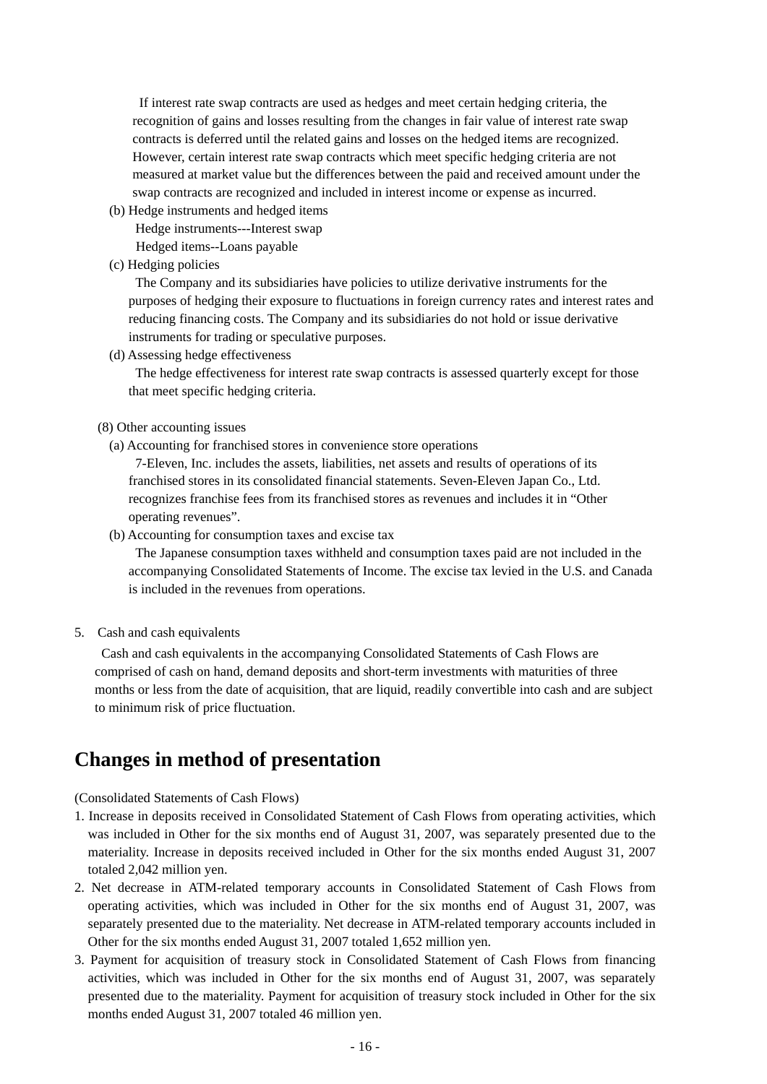If interest rate swap contracts are used as hedges and meet certain hedging criteria, the recognition of gains and losses resulting from the changes in fair value of interest rate swap contracts is deferred until the related gains and losses on the hedged items are recognized. However, certain interest rate swap contracts which meet specific hedging criteria are not measured at market value but the differences between the paid and received amount under the swap contracts are recognized and included in interest income or expense as incurred.

(b) Hedge instruments and hedged items

 Hedge instruments---Interest swap Hedged items--Loans payable

(c) Hedging policies

The Company and its subsidiaries have policies to utilize derivative instruments for the purposes of hedging their exposure to fluctuations in foreign currency rates and interest rates and reducing financing costs. The Company and its subsidiaries do not hold or issue derivative instruments for trading or speculative purposes.

(d) Assessing hedge effectiveness

The hedge effectiveness for interest rate swap contracts is assessed quarterly except for those that meet specific hedging criteria.

#### (8) Other accounting issues

- (a) Accounting for franchised stores in convenience store operations 7-Eleven, Inc. includes the assets, liabilities, net assets and results of operations of its franchised stores in its consolidated financial statements. Seven-Eleven Japan Co., Ltd. recognizes franchise fees from its franchised stores as revenues and includes it in "Other operating revenues".
- (b) Accounting for consumption taxes and excise tax

The Japanese consumption taxes withheld and consumption taxes paid are not included in the accompanying Consolidated Statements of Income. The excise tax levied in the U.S. and Canada is included in the revenues from operations.

5. Cash and cash equivalents

Cash and cash equivalents in the accompanying Consolidated Statements of Cash Flows are comprised of cash on hand, demand deposits and short-term investments with maturities of three months or less from the date of acquisition, that are liquid, readily convertible into cash and are subject to minimum risk of price fluctuation.

### **Changes in method of presentation**

(Consolidated Statements of Cash Flows)

- 1. Increase in deposits received in Consolidated Statement of Cash Flows from operating activities, which was included in Other for the six months end of August 31, 2007, was separately presented due to the materiality. Increase in deposits received included in Other for the six months ended August 31, 2007 totaled 2,042 million yen.
- 2. Net decrease in ATM-related temporary accounts in Consolidated Statement of Cash Flows from operating activities, which was included in Other for the six months end of August 31, 2007, was separately presented due to the materiality. Net decrease in ATM-related temporary accounts included in Other for the six months ended August 31, 2007 totaled 1,652 million yen.
- 3. Payment for acquisition of treasury stock in Consolidated Statement of Cash Flows from financing activities, which was included in Other for the six months end of August 31, 2007, was separately presented due to the materiality. Payment for acquisition of treasury stock included in Other for the six months ended August 31, 2007 totaled 46 million yen.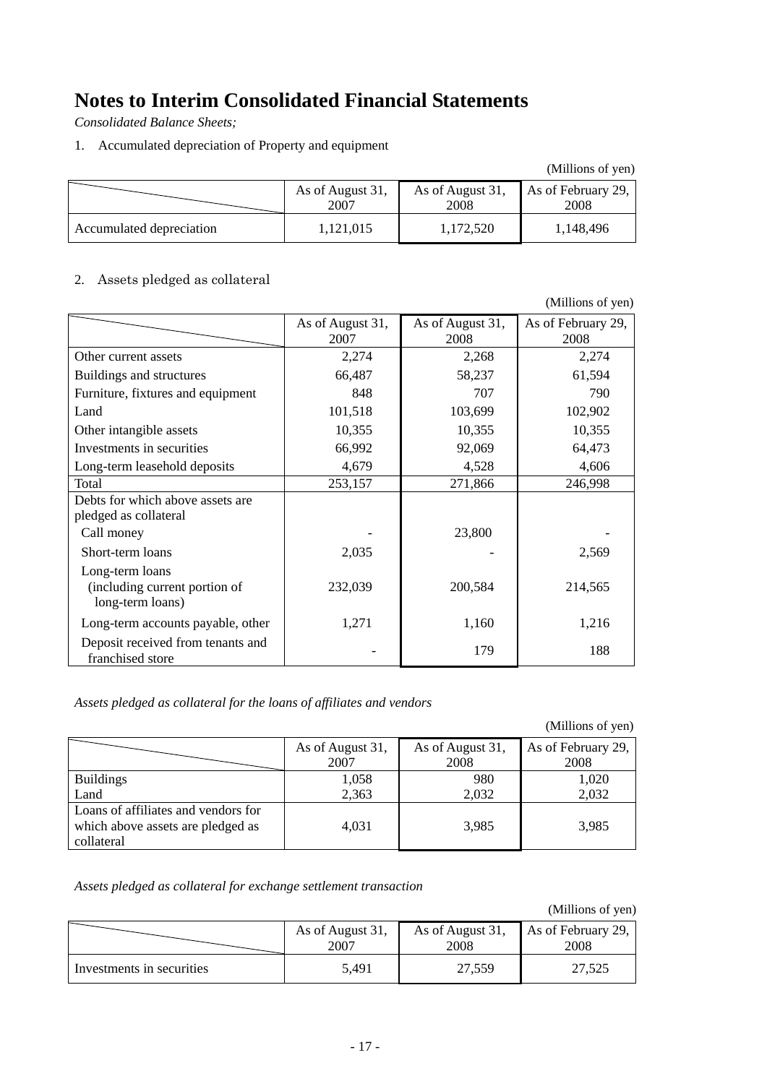## **Notes to Interim Consolidated Financial Statements**

*Consolidated Balance Sheets;* 

1. Accumulated depreciation of Property and equipment

|                          |                          |                          | (Millions of yen)          |
|--------------------------|--------------------------|--------------------------|----------------------------|
|                          | As of August 31,<br>2007 | As of August 31,<br>2008 | As of February 29,<br>2008 |
| Accumulated depreciation | 1,121,015                | 1,172,520                | 1,148,496                  |

### 2. Assets pledged as collateral

|                                                                      |                          |                          | (Millions of yen)          |
|----------------------------------------------------------------------|--------------------------|--------------------------|----------------------------|
|                                                                      | As of August 31,<br>2007 | As of August 31,<br>2008 | As of February 29,<br>2008 |
| Other current assets                                                 | 2,274                    | 2,268                    | 2,274                      |
| Buildings and structures                                             | 66,487                   | 58,237                   | 61,594                     |
| Furniture, fixtures and equipment                                    | 848                      | 707                      | 790                        |
| Land                                                                 | 101,518                  | 103,699                  | 102,902                    |
| Other intangible assets                                              | 10,355                   | 10,355                   | 10,355                     |
| Investments in securities                                            | 66,992                   | 92,069                   | 64,473                     |
| Long-term leasehold deposits                                         | 4,679                    | 4,528                    | 4,606                      |
| Total                                                                | 253,157                  | 271,866                  | 246,998                    |
| Debts for which above assets are                                     |                          |                          |                            |
| pledged as collateral                                                |                          |                          |                            |
| Call money                                                           |                          | 23,800                   |                            |
| Short-term loans                                                     | 2,035                    |                          | 2,569                      |
| Long-term loans<br>(including current portion of<br>long-term loans) | 232,039                  | 200,584                  | 214,565                    |
| Long-term accounts payable, other                                    | 1,271                    | 1,160                    | 1,216                      |
| Deposit received from tenants and<br>franchised store                |                          | 179                      | 188                        |

*Assets pledged as collateral for the loans of affiliates and vendors* 

|                                                                                        |                          |                          | (Millions of yen)          |
|----------------------------------------------------------------------------------------|--------------------------|--------------------------|----------------------------|
|                                                                                        | As of August 31,<br>2007 | As of August 31,<br>2008 | As of February 29,<br>2008 |
| <b>Buildings</b>                                                                       | 1,058                    | 980                      | 1,020                      |
| Land                                                                                   | 2,363                    | 2,032                    | 2,032                      |
| Loans of affiliates and vendors for<br>which above assets are pledged as<br>collateral | 4,031                    | 3,985                    | 3,985                      |

*Assets pledged as collateral for exchange settlement transaction* 

(Millions of yen)

|                           | As of August 31,<br>2007 | As of August 31,<br>2008 | As of February 29,<br>2008 |
|---------------------------|--------------------------|--------------------------|----------------------------|
| Investments in securities | 5.491                    | 27.559                   | 27,525                     |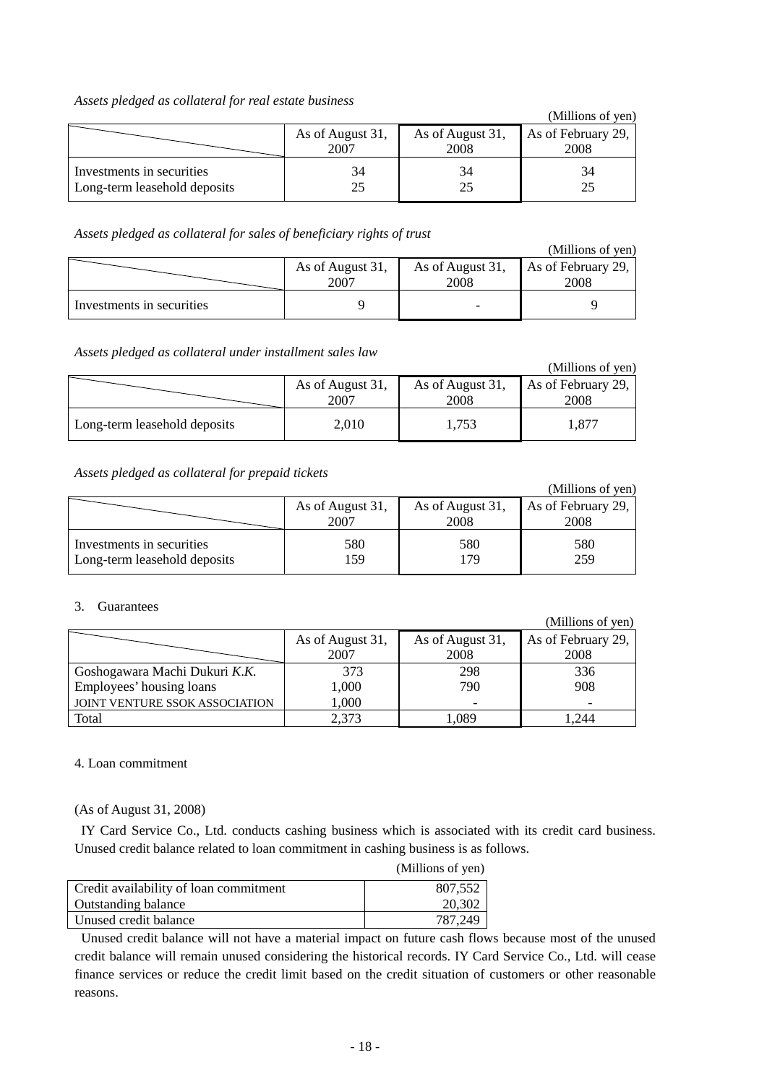*Assets pledged as collateral for real estate business* 

|                              |                  |                  | (Millions of yen)  |
|------------------------------|------------------|------------------|--------------------|
|                              | As of August 31, | As of August 31, | As of February 29, |
|                              | 2007             | 2008             | 2008               |
| Investments in securities    | 34               | 34               | 34                 |
| Long-term leasehold deposits | 25               | 25               | 25                 |

*Assets pledged as collateral for sales of beneficiary rights of trust* 

|                                                                                    |  |  | (Millions of yen) |  |  |
|------------------------------------------------------------------------------------|--|--|-------------------|--|--|
| As of August 31,<br>As of August 31,<br>As of February 29,<br>2008<br>2007<br>2008 |  |  |                   |  |  |
| Investments in securities                                                          |  |  |                   |  |  |

*Assets pledged as collateral under installment sales law* 

|                              |                          |                          | (Millions of yen)          |
|------------------------------|--------------------------|--------------------------|----------------------------|
|                              | As of August 31,<br>2007 | As of August 31,<br>2008 | As of February 29,<br>2008 |
| Long-term leasehold deposits | 2,010                    | 1,753                    | 877.،                      |

*Assets pledged as collateral for prepaid tickets* 

| Trappers provided the content of the property nonches     |                          |                          |                            |  |  |
|-----------------------------------------------------------|--------------------------|--------------------------|----------------------------|--|--|
|                                                           |                          |                          | (Millions of yen)          |  |  |
|                                                           | As of August 31,<br>2007 | As of August 31,<br>2008 | As of February 29,<br>2008 |  |  |
| Investments in securities<br>Long-term leasehold deposits | 580<br>159               | 580<br>179               | 580<br>259                 |  |  |
|                                                           |                          |                          |                            |  |  |

#### 3. Guarantees

|                                |                  |                  | (Millions of yen)  |
|--------------------------------|------------------|------------------|--------------------|
|                                | As of August 31, | As of August 31, | As of February 29, |
|                                | 2007             | 2008             | 2008               |
| Goshogawara Machi Dukuri K.K.  | 373              | 298              | 336                |
| Employees' housing loans       | 1,000            | 790              | 908                |
| JOINT VENTURE SSOK ASSOCIATION | 1,000            |                  |                    |
| Total                          | 2,373            | .089             | .244               |

#### 4. Loan commitment

#### (As of August 31, 2008)

IY Card Service Co., Ltd. conducts cashing business which is associated with its credit card business. Unused credit balance related to loan commitment in cashing business is as follows.

|                                        | (Millions of yen) |
|----------------------------------------|-------------------|
| Credit availability of loan commitment | 807,552           |
| <b>Outstanding balance</b>             | 20,302            |
| Unused credit balance                  | 787,249           |

Unused credit balance will not have a material impact on future cash flows because most of the unused credit balance will remain unused considering the historical records. IY Card Service Co., Ltd. will cease finance services or reduce the credit limit based on the credit situation of customers or other reasonable reasons.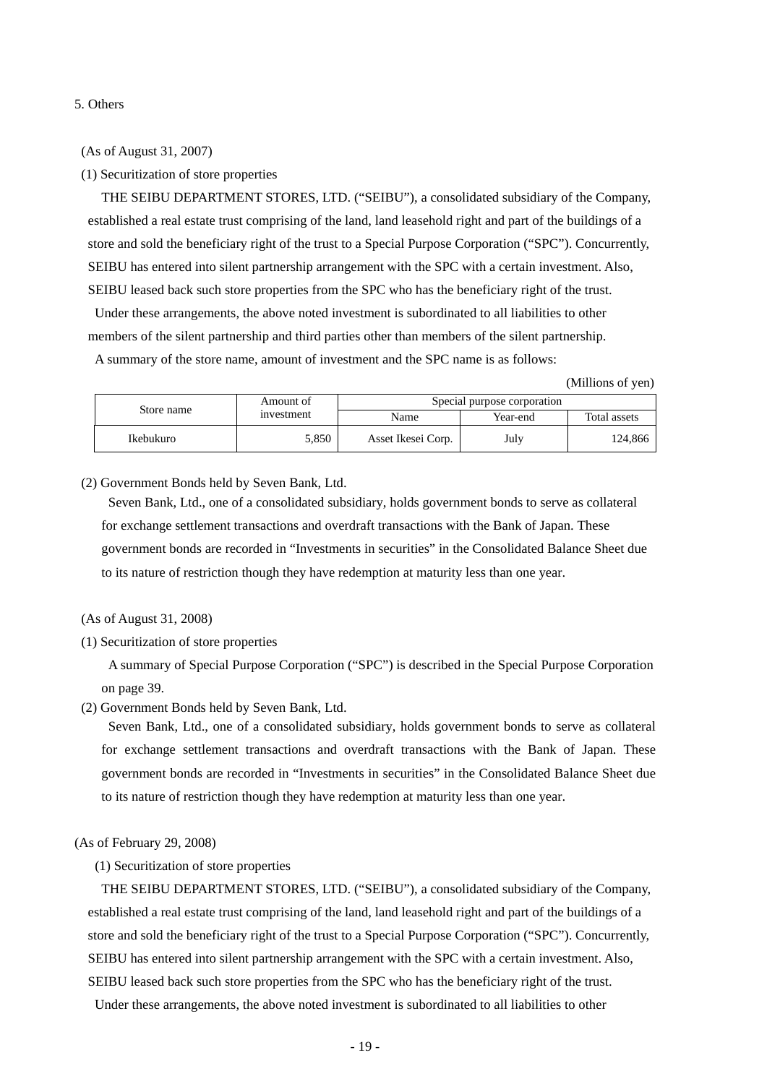#### 5. Others

#### (As of August 31, 2007)

#### (1) Securitization of store properties

THE SEIBU DEPARTMENT STORES, LTD. ("SEIBU"), a consolidated subsidiary of the Company, established a real estate trust comprising of the land, land leasehold right and part of the buildings of a store and sold the beneficiary right of the trust to a Special Purpose Corporation ("SPC"). Concurrently, SEIBU has entered into silent partnership arrangement with the SPC with a certain investment. Also, SEIBU leased back such store properties from the SPC who has the beneficiary right of the trust.

Under these arrangements, the above noted investment is subordinated to all liabilities to other members of the silent partnership and third parties other than members of the silent partnership.

A summary of the store name, amount of investment and the SPC name is as follows:

#### (Millions of yen)

| Amount of<br>Store name |            | Special purpose corporation |          |              |
|-------------------------|------------|-----------------------------|----------|--------------|
|                         | investment | Name                        | Year-end | Total assets |
| Ikebukuro               | 5,850      | Asset Ikesei Corp.          | July     | 124.866      |

(2) Government Bonds held by Seven Bank, Ltd.

 Seven Bank, Ltd., one of a consolidated subsidiary, holds government bonds to serve as collateral for exchange settlement transactions and overdraft transactions with the Bank of Japan. These government bonds are recorded in "Investments in securities" in the Consolidated Balance Sheet due to its nature of restriction though they have redemption at maturity less than one year.

#### (As of August 31, 2008)

(1) Securitization of store properties

 A summary of Special Purpose Corporation ("SPC") is described in the Special Purpose Corporation on page 39.

(2) Government Bonds held by Seven Bank, Ltd.

 Seven Bank, Ltd., one of a consolidated subsidiary, holds government bonds to serve as collateral for exchange settlement transactions and overdraft transactions with the Bank of Japan. These government bonds are recorded in "Investments in securities" in the Consolidated Balance Sheet due to its nature of restriction though they have redemption at maturity less than one year.

#### (As of February 29, 2008)

#### (1) Securitization of store properties

THE SEIBU DEPARTMENT STORES, LTD. ("SEIBU"), a consolidated subsidiary of the Company, established a real estate trust comprising of the land, land leasehold right and part of the buildings of a store and sold the beneficiary right of the trust to a Special Purpose Corporation ("SPC"). Concurrently, SEIBU has entered into silent partnership arrangement with the SPC with a certain investment. Also, SEIBU leased back such store properties from the SPC who has the beneficiary right of the trust.

Under these arrangements, the above noted investment is subordinated to all liabilities to other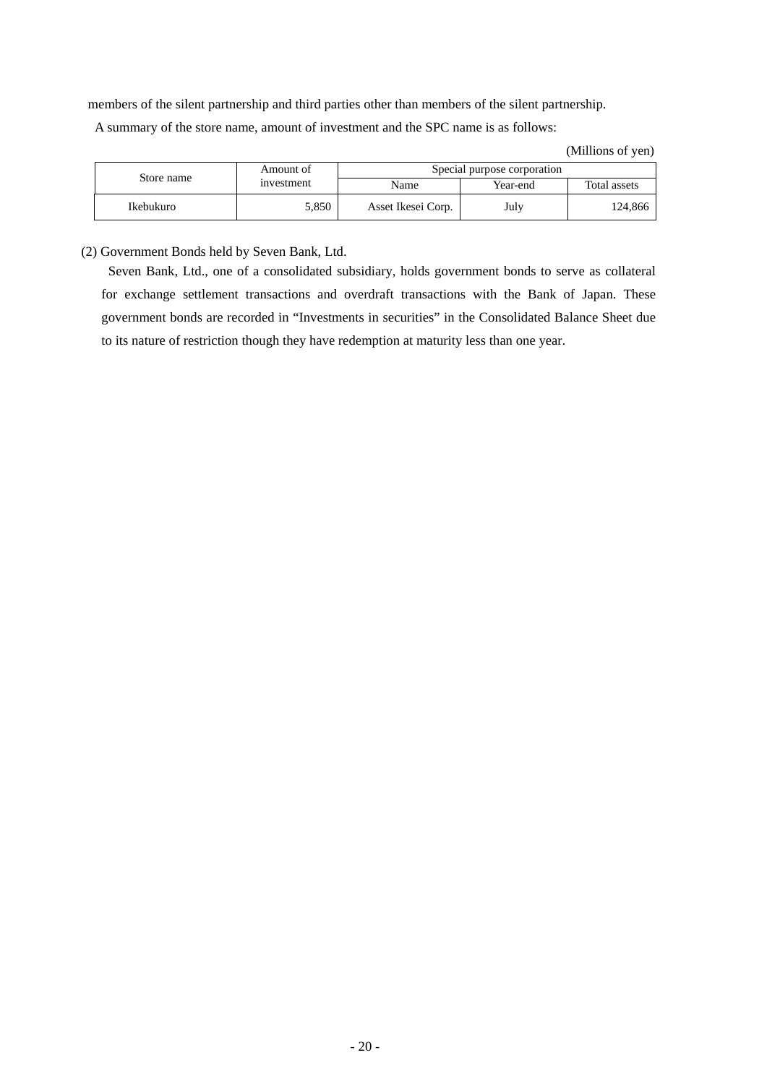members of the silent partnership and third parties other than members of the silent partnership.

A summary of the store name, amount of investment and the SPC name is as follows:

#### (Millions of yen)

|           | Amount of<br>Store name |                    | Special purpose corporation |              |  |
|-----------|-------------------------|--------------------|-----------------------------|--------------|--|
|           | <i>s</i> investment     | Name               | Year-end                    | Total assets |  |
| Ikebukuro | 5.850                   | Asset Ikesei Corp. | July                        | 124.866      |  |

(2) Government Bonds held by Seven Bank, Ltd.

 Seven Bank, Ltd., one of a consolidated subsidiary, holds government bonds to serve as collateral for exchange settlement transactions and overdraft transactions with the Bank of Japan. These government bonds are recorded in "Investments in securities" in the Consolidated Balance Sheet due to its nature of restriction though they have redemption at maturity less than one year.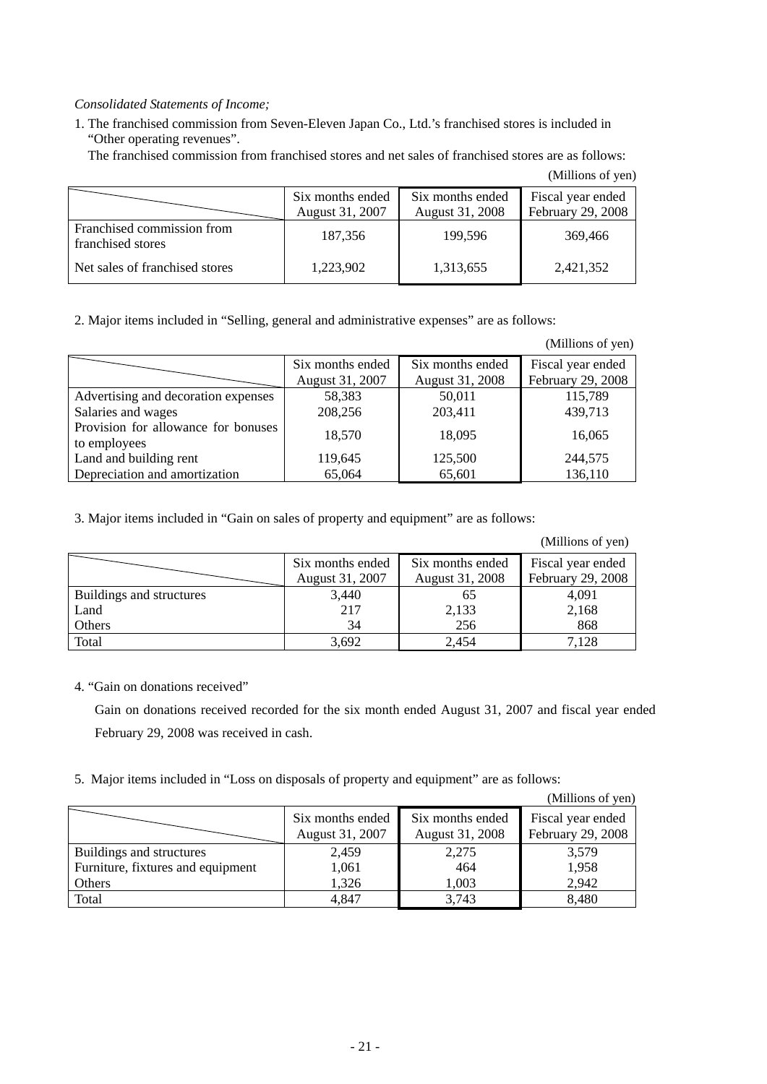#### *Consolidated Statements of Income;*

1. The franchised commission from Seven-Eleven Japan Co., Ltd.'s franchised stores is included in "Other operating revenues".

The franchised commission from franchised stores and net sales of franchised stores are as follows:

|                                                 | Six months ended<br>August 31, 2007 | Six months ended<br>August 31, 2008 | Fiscal year ended<br>February 29, 2008 |
|-------------------------------------------------|-------------------------------------|-------------------------------------|----------------------------------------|
| Franchised commission from<br>franchised stores | 187,356                             | 199,596                             | 369,466                                |
| Net sales of franchised stores                  | 1,223,902                           | 1,313,655                           | 2,421,352                              |

2. Major items included in "Selling, general and administrative expenses" are as follows:

|                                                     |                                      |                 | (Millions of yen) |
|-----------------------------------------------------|--------------------------------------|-----------------|-------------------|
|                                                     | Six months ended<br>Six months ended |                 | Fiscal year ended |
|                                                     | August 31, 2007                      | August 31, 2008 | February 29, 2008 |
| Advertising and decoration expenses                 | 58,383                               | 50,011          | 115,789           |
| Salaries and wages                                  | 208,256                              | 203,411         | 439,713           |
| Provision for allowance for bonuses<br>to employees | 18,570                               | 18,095          | 16,065            |
| Land and building rent                              | 119,645                              | 125,500         | 244,575           |
| Depreciation and amortization                       | 65,064                               | 65,601          | 136,110           |

3. Major items included in "Gain on sales of property and equipment" are as follows:

(Millions of yen)

|                          | Six months ended<br>August 31, 2007 | Six months ended<br>August 31, 2008 | Fiscal year ended<br>February 29, 2008 |
|--------------------------|-------------------------------------|-------------------------------------|----------------------------------------|
| Buildings and structures | 3,440                               | 65                                  | 4,091                                  |
| Land                     | 217                                 | 2,133                               | 2,168                                  |
| Others                   | 34                                  | 256                                 | 868                                    |
| Total                    | 3.692                               | 2.454                               | 7,128                                  |

4. "Gain on donations received"

 Gain on donations received recorded for the six month ended August 31, 2007 and fiscal year ended February 29, 2008 was received in cash.

5. Major items included in "Loss on disposals of property and equipment" are as follows:

| Fiscal year ended<br>February 29, 2008 |
|----------------------------------------|
|                                        |
|                                        |
|                                        |
|                                        |
|                                        |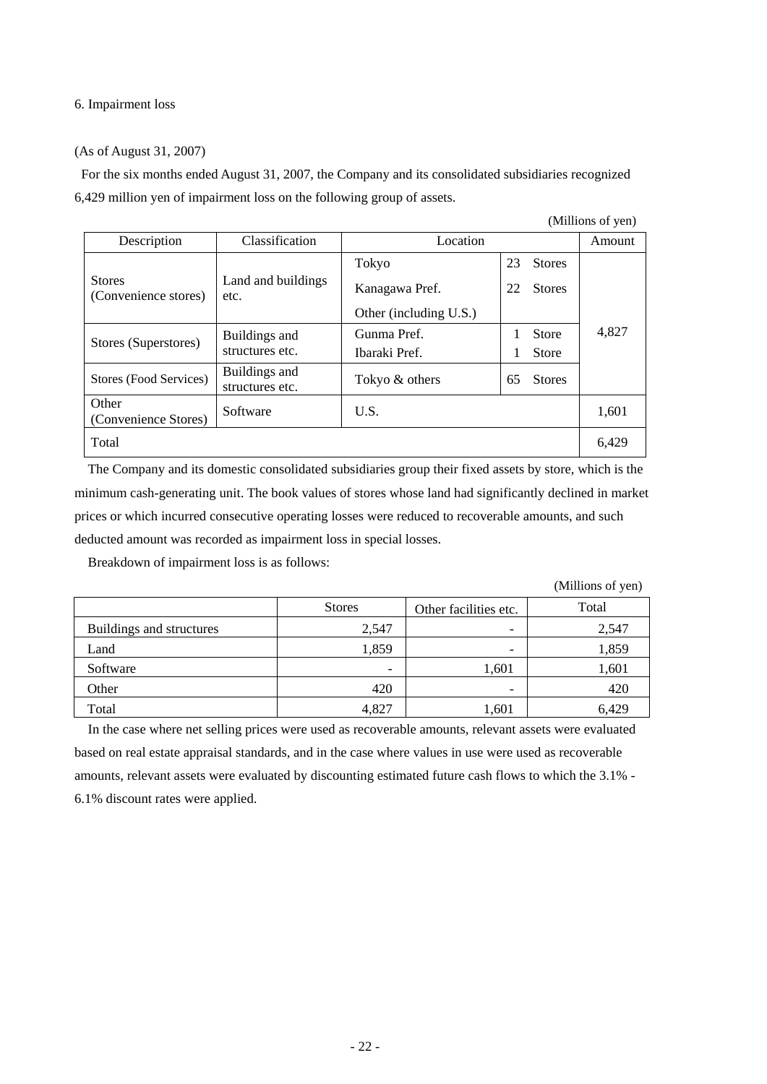#### 6. Impairment loss

#### (As of August 31, 2007)

For the six months ended August 31, 2007, the Company and its consolidated subsidiaries recognized 6,429 million yen of impairment loss on the following group of assets.

|                                       |                                  |                        |    |               | $(1$ vininons of $\gamma$ ch) |
|---------------------------------------|----------------------------------|------------------------|----|---------------|-------------------------------|
| Description                           | Classification                   | Location               |    |               | Amount                        |
|                                       |                                  | Tokyo                  | 23 | <b>Stores</b> |                               |
| <b>Stores</b><br>(Convenience stores) | Land and buildings<br>etc.       | Kanagawa Pref.         |    | <b>Stores</b> |                               |
|                                       |                                  | Other (including U.S.) |    |               |                               |
| Stores (Superstores)                  | Buildings and                    | Gunma Pref.            |    | Store         | 4,827                         |
|                                       | structures etc.                  | Ibaraki Pref.          |    | Store         |                               |
| Stores (Food Services)                | Buildings and<br>structures etc. | Tokyo & others         | 65 | <b>Stores</b> |                               |
| Other<br>(Convenience Stores)         | Software                         | U.S.                   |    |               | 1,601                         |
| Total                                 |                                  |                        |    |               | 6.429                         |

The Company and its domestic consolidated subsidiaries group their fixed assets by store, which is the minimum cash-generating unit. The book values of stores whose land had significantly declined in market prices or which incurred consecutive operating losses were reduced to recoverable amounts, and such deducted amount was recorded as impairment loss in special losses.

Breakdown of impairment loss is as follows:

(Millions of yen)

(Millions of yen)

|                          | <b>Stores</b> | Other facilities etc.    | Total |
|--------------------------|---------------|--------------------------|-------|
| Buildings and structures | 2,547         |                          | 2,547 |
| Land                     | 1,859         | $\overline{\phantom{0}}$ | 1,859 |
| Software                 | -             | 1,601                    | 1,601 |
| Other                    | 420           |                          | 420   |
| Total                    | 4,827         | 1,601                    | 6,429 |

In the case where net selling prices were used as recoverable amounts, relevant assets were evaluated based on real estate appraisal standards, and in the case where values in use were used as recoverable amounts, relevant assets were evaluated by discounting estimated future cash flows to which the 3.1% - 6.1% discount rates were applied.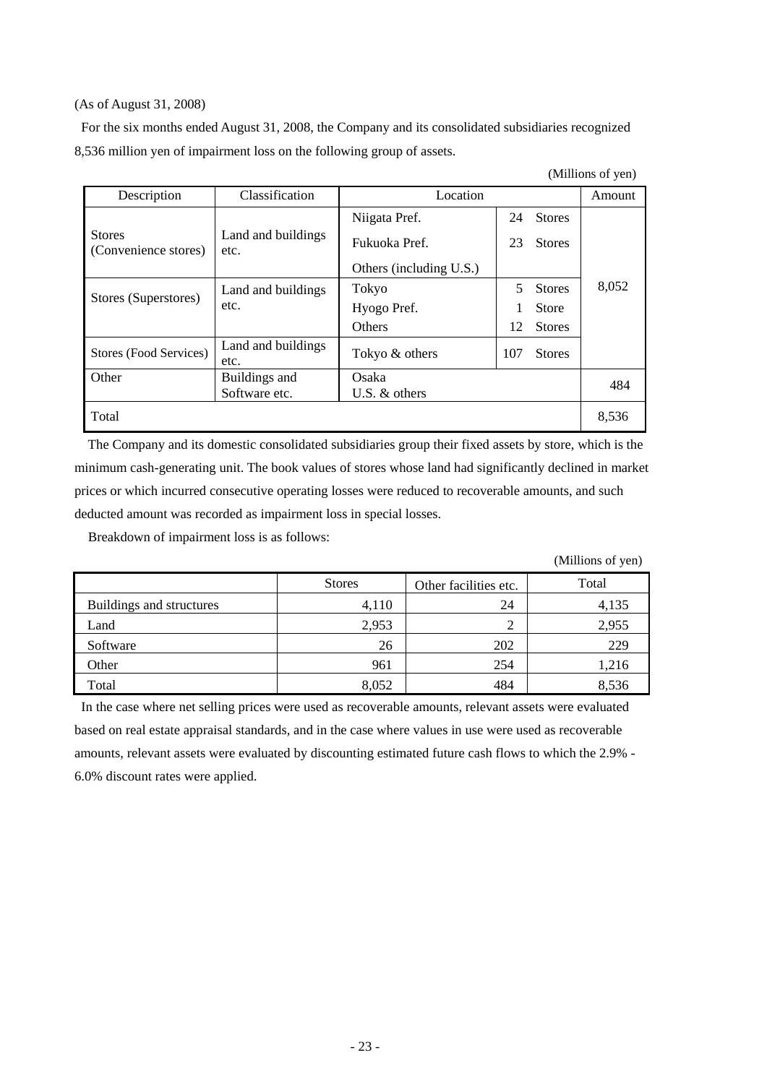#### (As of August 31, 2008)

For the six months ended August 31, 2008, the Company and its consolidated subsidiaries recognized 8,536 million yen of impairment loss on the following group of assets.

| (Millions of yen) |  |
|-------------------|--|
|-------------------|--|

| Description                           | Classification                 | Location                 |     |               |       |
|---------------------------------------|--------------------------------|--------------------------|-----|---------------|-------|
|                                       |                                | Niigata Pref.            | 24  | <b>Stores</b> |       |
| <b>Stores</b><br>(Convenience stores) | Land and buildings<br>etc.     | Fukuoka Pref.            | 23  | <b>Stores</b> |       |
|                                       |                                | Others (including U.S.)  |     |               |       |
| Stores (Superstores)                  | Land and buildings             | Tokyo                    | 5   | <b>Stores</b> | 8,052 |
|                                       | etc.                           | Hyogo Pref.              |     | <b>Store</b>  |       |
|                                       |                                | <b>Others</b>            | 12  | <b>Stores</b> |       |
| Stores (Food Services)                | Land and buildings<br>etc.     | Tokyo & others           | 107 | <b>Stores</b> |       |
| Other                                 | Buildings and<br>Software etc. | Osaka<br>U.S. $&$ others |     |               | 484   |
|                                       |                                |                          |     |               |       |
| Total                                 |                                |                          |     |               | 8,536 |

The Company and its domestic consolidated subsidiaries group their fixed assets by store, which is the minimum cash-generating unit. The book values of stores whose land had significantly declined in market prices or which incurred consecutive operating losses were reduced to recoverable amounts, and such deducted amount was recorded as impairment loss in special losses.

Breakdown of impairment loss is as follows:

(Millions of yen)

|                          | <b>Stores</b> | Other facilities etc. | Total |
|--------------------------|---------------|-----------------------|-------|
| Buildings and structures | 4,110         | 24                    | 4,135 |
| Land                     | 2,953         |                       | 2,955 |
| Software                 | 26            | 202                   | 229   |
| Other                    | 961           | 254                   | 1,216 |
| Total                    | 8,052         | 484                   | 8.536 |

In the case where net selling prices were used as recoverable amounts, relevant assets were evaluated based on real estate appraisal standards, and in the case where values in use were used as recoverable amounts, relevant assets were evaluated by discounting estimated future cash flows to which the 2.9% - 6.0% discount rates were applied.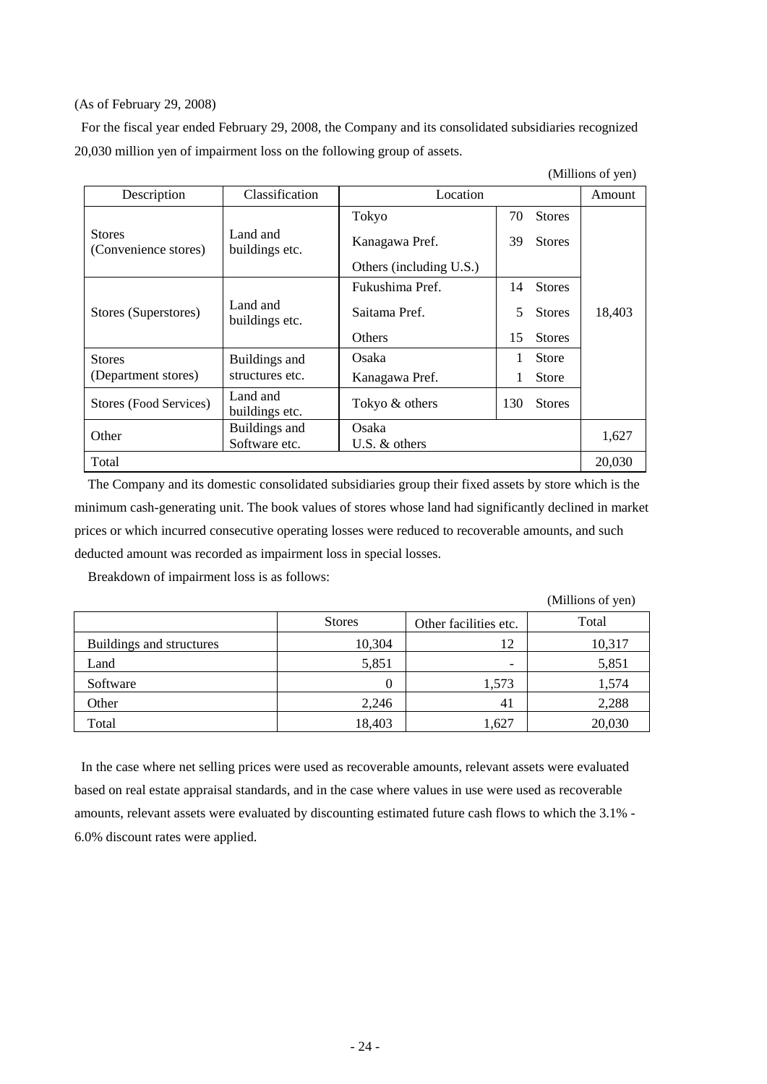#### (As of February 29, 2008)

For the fiscal year ended February 29, 2008, the Company and its consolidated subsidiaries recognized 20,030 million yen of impairment loss on the following group of assets.

|                                       |                            |                         |     |               | (Millions of yen) |
|---------------------------------------|----------------------------|-------------------------|-----|---------------|-------------------|
| Description                           | Classification             | Location                |     |               | Amount            |
|                                       |                            | Tokyo                   | 70  | <b>Stores</b> |                   |
| <b>Stores</b><br>(Convenience stores) | Land and<br>buildings etc. | Kanagawa Pref.          | 39  | <b>Stores</b> |                   |
|                                       |                            | Others (including U.S.) |     |               |                   |
|                                       |                            | Fukushima Pref.         | 14  | <b>Stores</b> |                   |
| Stores (Superstores)                  | Land and<br>buildings etc. | Saitama Pref.           | 5.  | <b>Stores</b> | 18,403            |
|                                       |                            | Others                  | 15  | <b>Stores</b> |                   |
| <b>Stores</b>                         | Buildings and              | Osaka                   | 1   | <b>Store</b>  |                   |
| (Department stores)                   | structures etc.            | Kanagawa Pref.          |     | <b>Store</b>  |                   |
| Stores (Food Services)                | Land and<br>buildings etc. | Tokyo & others          | 130 | <b>Stores</b> |                   |
| Other                                 | Buildings and              | Osaka                   |     | 1,627         |                   |
|                                       | Software etc.              | U.S. $&$ others         |     |               |                   |
| Total                                 |                            |                         |     |               | 20,030            |

The Company and its domestic consolidated subsidiaries group their fixed assets by store which is the minimum cash-generating unit. The book values of stores whose land had significantly declined in market prices or which incurred consecutive operating losses were reduced to recoverable amounts, and such deducted amount was recorded as impairment loss in special losses.

Breakdown of impairment loss is as follows:

|                          |               |                          | (Millions of yen) |
|--------------------------|---------------|--------------------------|-------------------|
|                          | <b>Stores</b> | Other facilities etc.    | Total             |
| Buildings and structures | 10,304        | 12                       | 10,317            |
| Land                     | 5,851         | $\overline{\phantom{0}}$ | 5,851             |
| Software                 | 0             | 1,573                    | 1,574             |
| Other                    | 2,246         | 41                       | 2,288             |
| Total                    | 18,403        | 1,627                    | 20,030            |

In the case where net selling prices were used as recoverable amounts, relevant assets were evaluated based on real estate appraisal standards, and in the case where values in use were used as recoverable amounts, relevant assets were evaluated by discounting estimated future cash flows to which the 3.1% - 6.0% discount rates were applied.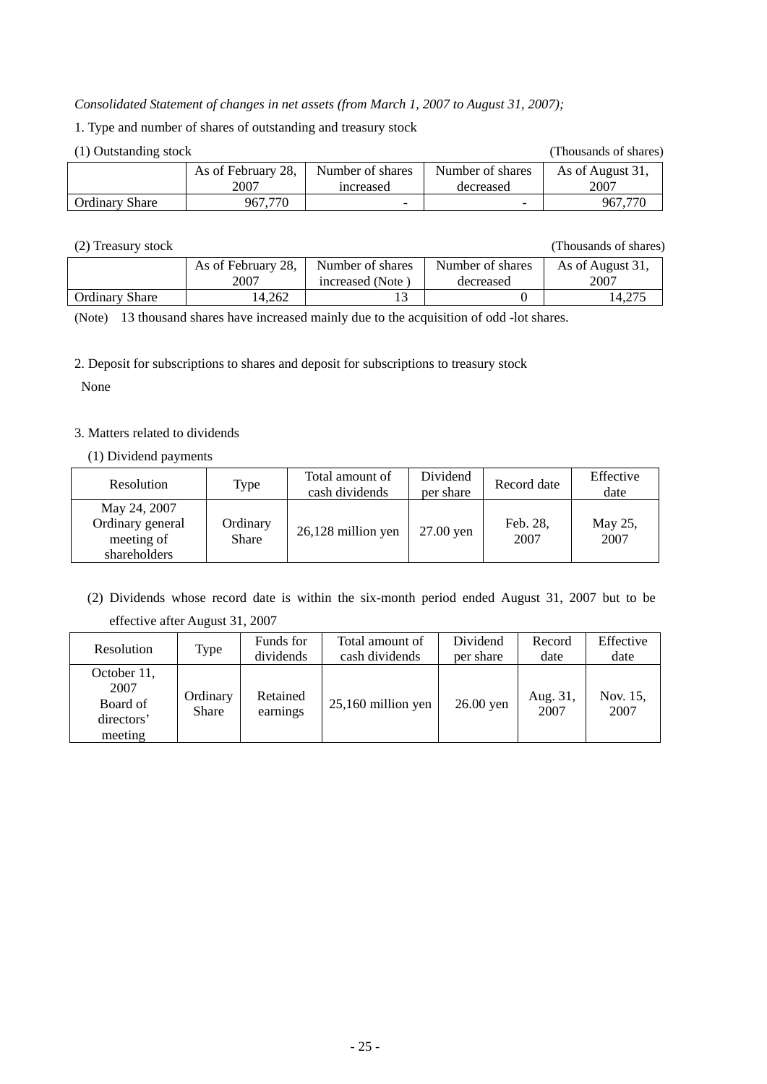#### *Consolidated Statement of changes in net assets (from March 1, 2007 to August 31, 2007);*

1. Type and number of shares of outstanding and treasury stock

#### (1) Outstanding stock (Thousands of shares)

|                       | As of February 28,<br>2007 | Number of shares<br><i>ncreased</i> | Number of shares<br>decreased | As of August 31,<br>2007 |
|-----------------------|----------------------------|-------------------------------------|-------------------------------|--------------------------|
|                       |                            |                                     |                               |                          |
| <b>Ordinary Share</b> | 967.770                    | $\overline{\phantom{0}}$            | $\overline{\phantom{0}}$      | 967,770                  |

(2) Treasury stock (Thousands of shares)

| $\sim$                |                    |                  |                  |                  |
|-----------------------|--------------------|------------------|------------------|------------------|
|                       | As of February 28, | Number of shares | Number of shares | As of August 31, |
|                       | 2007               | increased (Note) | decreased        | 2007             |
| <b>Ordinary Share</b> | 14.262             |                  |                  | 14.275           |

(Note) 13 thousand shares have increased mainly due to the acquisition of odd -lot shares.

2. Deposit for subscriptions to shares and deposit for subscriptions to treasury stock

None

#### 3. Matters related to dividends

#### (1) Dividend payments

| Resolution                                                     | Type                     | Total amount of<br>cash dividends | Dividend<br>per share | Record date      | Effective<br>date |
|----------------------------------------------------------------|--------------------------|-----------------------------------|-----------------------|------------------|-------------------|
| May 24, 2007<br>Ordinary general<br>meeting of<br>shareholders | Ordinary<br><b>Share</b> | 26,128 million yen                | $27.00$ yen           | Feb. 28,<br>2007 | May 25,<br>2007   |

(2) Dividends whose record date is within the six-month period ended August 31, 2007 but to be effective after August 31, 2007

| Resolution                                               | Type                     | Funds for<br>dividends | Total amount of<br>cash dividends | Dividend<br>per share | Record<br>date   | Effective<br>date |
|----------------------------------------------------------|--------------------------|------------------------|-----------------------------------|-----------------------|------------------|-------------------|
| October 11,<br>2007<br>Board of<br>directors'<br>meeting | Ordinary<br><b>Share</b> | Retained<br>earnings   | $25,160$ million yen              | 26.00 yen             | Aug. 31,<br>2007 | Nov. 15,<br>2007  |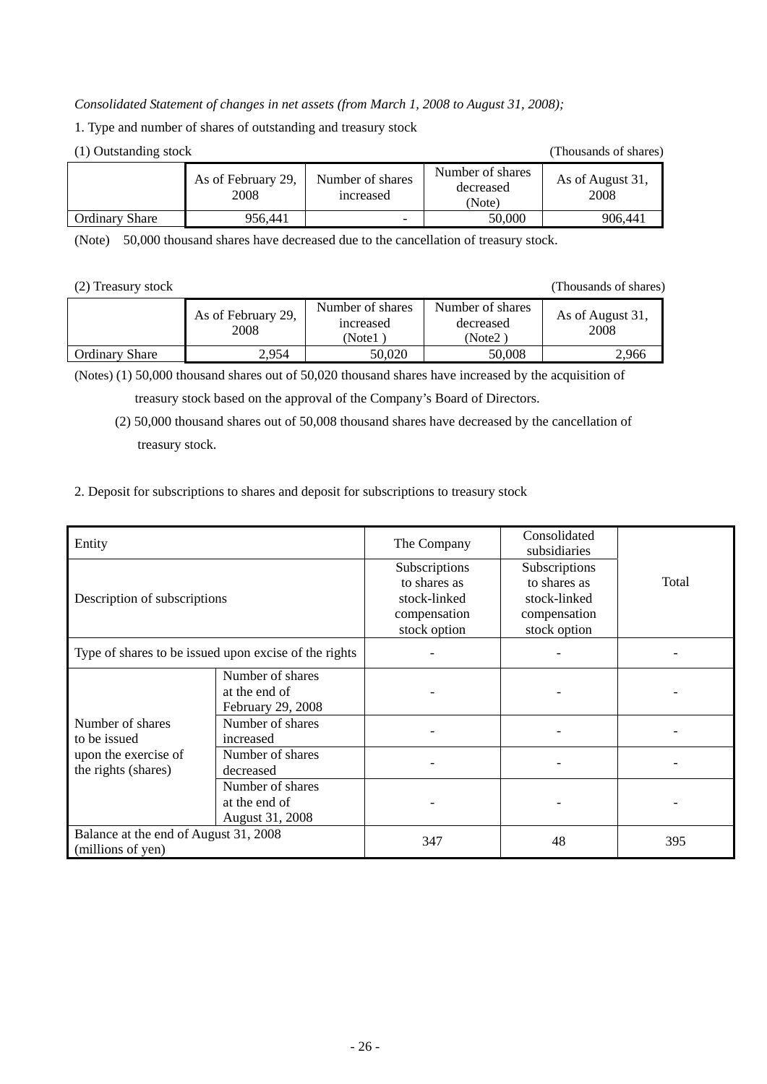#### *Consolidated Statement of changes in net assets (from March 1, 2008 to August 31, 2008);*

1. Type and number of shares of outstanding and treasury stock

(1) Outstanding stock (Thousands of shares)

|                       | As of February 29,<br>2008 | Number of shares<br>increased | Number of shares<br>decreased<br>(Note) | As of August 31,<br>2008 |
|-----------------------|----------------------------|-------------------------------|-----------------------------------------|--------------------------|
| <b>Ordinary Share</b> | 956.441                    | $\overline{\phantom{0}}$      | 50.000                                  | 906.441                  |

(Note) 50,000 thousand shares have decreased due to the cancellation of treasury stock.

(2) Treasury stock (Thousands of shares)

|                       | As of February 29,<br>2008 | Number of shares<br>increased<br>(Note1) | Number of shares<br>decreased<br>(Note2) | As of August 31,<br>2008 |
|-----------------------|----------------------------|------------------------------------------|------------------------------------------|--------------------------|
| <b>Ordinary Share</b> | 2.954                      | 50,020                                   | 50,008                                   | 2.966                    |

(Notes) (1) 50,000 thousand shares out of 50,020 thousand shares have increased by the acquisition of

treasury stock based on the approval of the Company's Board of Directors.

- (2) 50,000 thousand shares out of 50,008 thousand shares have decreased by the cancellation of treasury stock.
- 2. Deposit for subscriptions to shares and deposit for subscriptions to treasury stock

| Entity                                                     |                                                        | The Company                                                                   | Consolidated<br>subsidiaries                                                  |       |
|------------------------------------------------------------|--------------------------------------------------------|-------------------------------------------------------------------------------|-------------------------------------------------------------------------------|-------|
| Description of subscriptions                               |                                                        | Subscriptions<br>to shares as<br>stock-linked<br>compensation<br>stock option | Subscriptions<br>to shares as<br>stock-linked<br>compensation<br>stock option | Total |
| Type of shares to be issued upon excise of the rights      |                                                        |                                                                               |                                                                               |       |
|                                                            | Number of shares<br>at the end of<br>February 29, 2008 |                                                                               |                                                                               |       |
| Number of shares<br>to be issued                           | Number of shares<br>increased                          |                                                                               |                                                                               |       |
| upon the exercise of<br>the rights (shares)                | Number of shares<br>decreased                          |                                                                               |                                                                               |       |
|                                                            | Number of shares<br>at the end of<br>August 31, 2008   |                                                                               |                                                                               |       |
| Balance at the end of August 31, 2008<br>(millions of yen) |                                                        | 347                                                                           | 48                                                                            | 395   |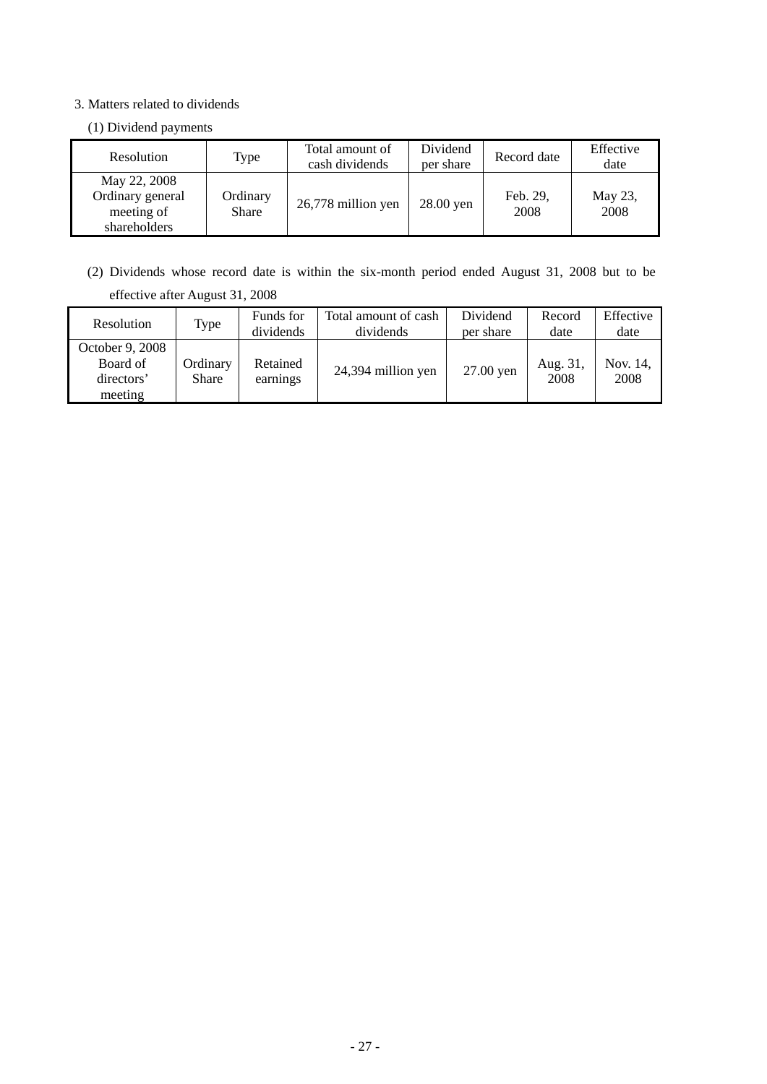#### 3. Matters related to dividends

(1) Dividend payments

| Resolution                                                     | Type                     | Total amount of<br>cash dividends | Dividend<br>per share | Record date      | Effective<br>date |
|----------------------------------------------------------------|--------------------------|-----------------------------------|-----------------------|------------------|-------------------|
| May 22, 2008<br>Ordinary general<br>meeting of<br>shareholders | Ordinary<br><b>Share</b> | 26,778 million yen                | $28.00$ yen           | Feb. 29,<br>2008 | May 23,<br>2008   |

(2) Dividends whose record date is within the six-month period ended August 31, 2008 but to be effective after August 31, 2008

| Resolution                                           | Type                     | Funds for<br>dividends | Total amount of cash<br>dividends | Dividend<br>per share | Record<br>date   | Effective<br>date |
|------------------------------------------------------|--------------------------|------------------------|-----------------------------------|-----------------------|------------------|-------------------|
| October 9, 2008<br>Board of<br>directors'<br>meeting | Ordinary<br><b>Share</b> | Retained<br>earnings   | 24,394 million yen                | 27.00 yen             | Aug. 31,<br>2008 | Nov. 14.<br>2008  |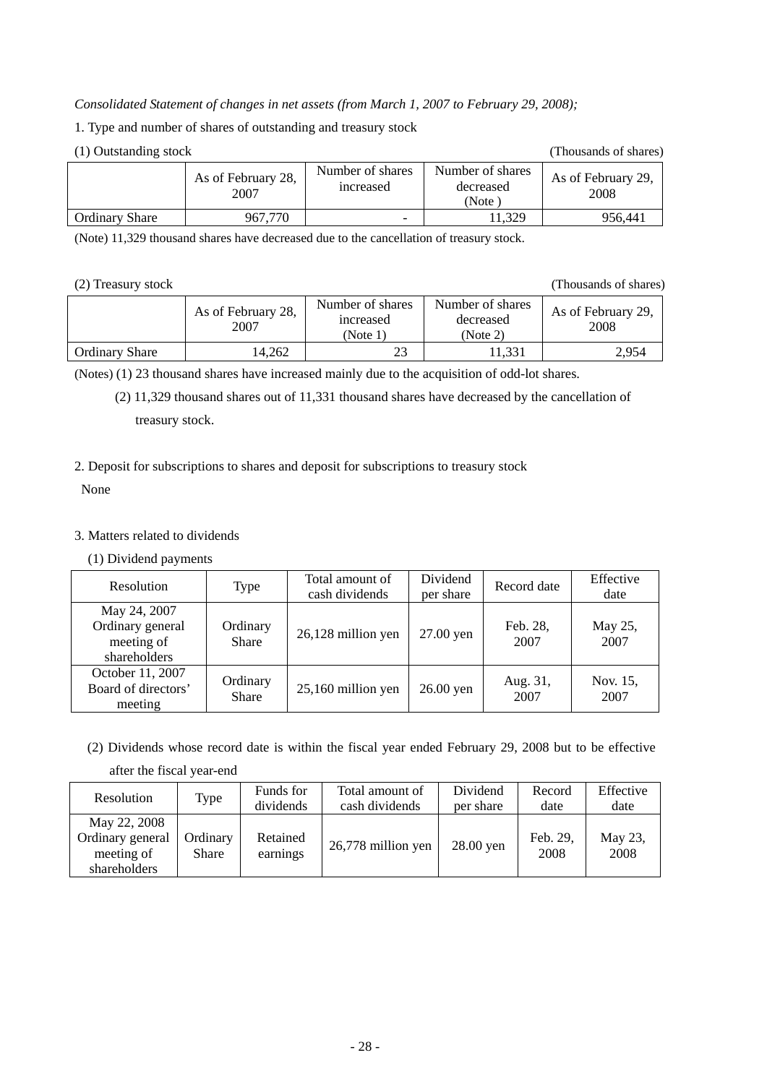#### *Consolidated Statement of changes in net assets (from March 1, 2007 to February 29, 2008);*

1. Type and number of shares of outstanding and treasury stock

(1) Outstanding stock (Thousands of shares)

|                       | As of February 28,<br>2007 | Number of shares<br>increased | Number of shares<br>decreased<br>(Note | As of February 29,<br>2008 |
|-----------------------|----------------------------|-------------------------------|----------------------------------------|----------------------------|
| <b>Ordinary Share</b> | 967.770                    | $\overline{\phantom{0}}$      | 1.329                                  | 956.441                    |

(Note) 11,329 thousand shares have decreased due to the cancellation of treasury stock.

(2) Treasury stock (Thousands of shares)

|                       | As of February 28,<br>2007 | Number of shares<br>increased<br>(Note 1) | Number of shares<br>decreased<br>(Note 2) | As of February 29,<br>2008 |
|-----------------------|----------------------------|-------------------------------------------|-------------------------------------------|----------------------------|
| <b>Ordinary Share</b> | 14.262                     | 23                                        | 1.331                                     | 2.954                      |

(Notes) (1) 23 thousand shares have increased mainly due to the acquisition of odd-lot shares.

(2) 11,329 thousand shares out of 11,331 thousand shares have decreased by the cancellation of treasury stock.

#### 2. Deposit for subscriptions to shares and deposit for subscriptions to treasury stock

None

#### 3. Matters related to dividends

(1) Dividend payments

| Resolution                                                     | Type                     | Total amount of<br>cash dividends | Dividend<br>per share | Record date      | Effective<br>date |
|----------------------------------------------------------------|--------------------------|-----------------------------------|-----------------------|------------------|-------------------|
| May 24, 2007<br>Ordinary general<br>meeting of<br>shareholders | Ordinary<br><b>Share</b> | 26,128 million yen                | 27.00 yen             | Feb. 28,<br>2007 | May 25,<br>2007   |
| October 11, 2007<br>Board of directors'<br>meeting             | Ordinary<br><b>Share</b> | 25,160 million yen                | $26.00$ yen           | Aug. 31,<br>2007 | Nov. 15,<br>2007  |

(2) Dividends whose record date is within the fiscal year ended February 29, 2008 but to be effective after the fiscal year-end

| Resolution                                                     | Type              | Funds for            | Total amount of    | Dividend  | Record           | Effective       |
|----------------------------------------------------------------|-------------------|----------------------|--------------------|-----------|------------------|-----------------|
|                                                                |                   | dividends            | cash dividends     | per share | date             | date            |
| May 22, 2008<br>Ordinary general<br>meeting of<br>shareholders | Ordinary<br>Share | Retained<br>earnings | 26,778 million yen | 28.00 yen | Feb. 29.<br>2008 | May 23,<br>2008 |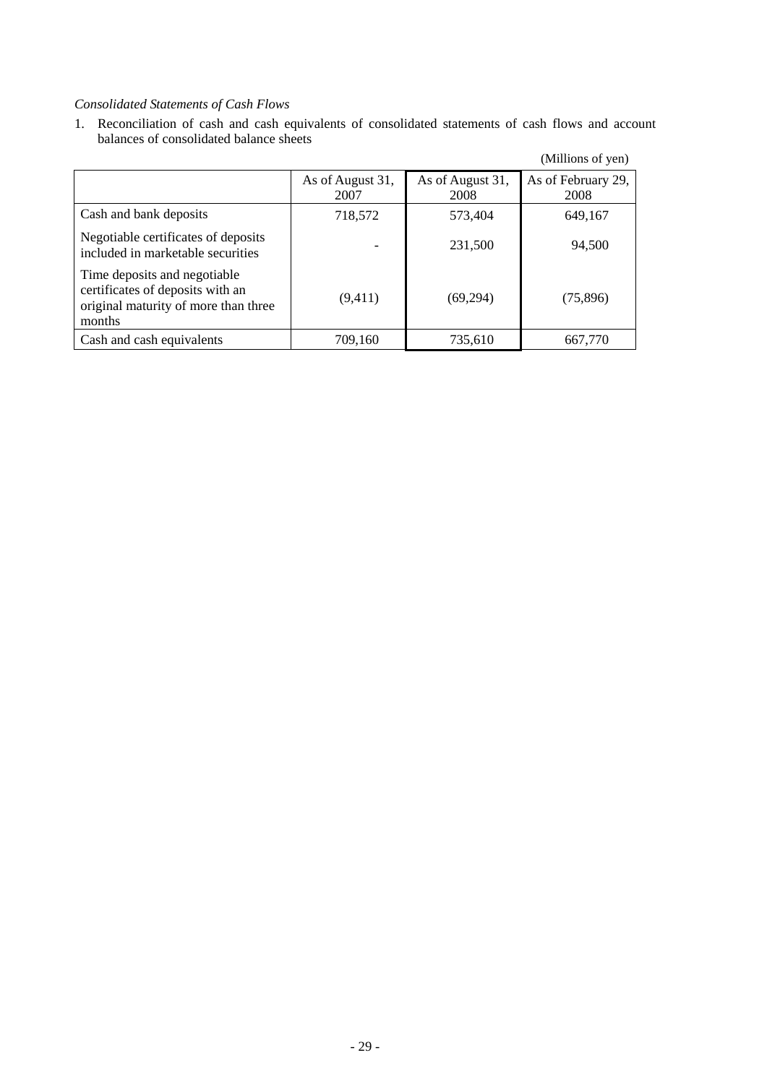### *Consolidated Statements of Cash Flows*

1. Reconciliation of cash and cash equivalents of consolidated statements of cash flows and account balances of consolidated balance sheets

|                                                                                                                    |                          |                          | (Millions of yen)          |
|--------------------------------------------------------------------------------------------------------------------|--------------------------|--------------------------|----------------------------|
|                                                                                                                    | As of August 31,<br>2007 | As of August 31,<br>2008 | As of February 29,<br>2008 |
| Cash and bank deposits                                                                                             | 718,572                  | 573,404                  | 649,167                    |
| Negotiable certificates of deposits<br>included in marketable securities                                           |                          | 231,500                  | 94,500                     |
| Time deposits and negotiable<br>certificates of deposits with an<br>original maturity of more than three<br>months | (9,411)                  | (69,294)                 | (75,896)                   |
| Cash and cash equivalents                                                                                          | 709,160                  | 735,610                  | 667,770                    |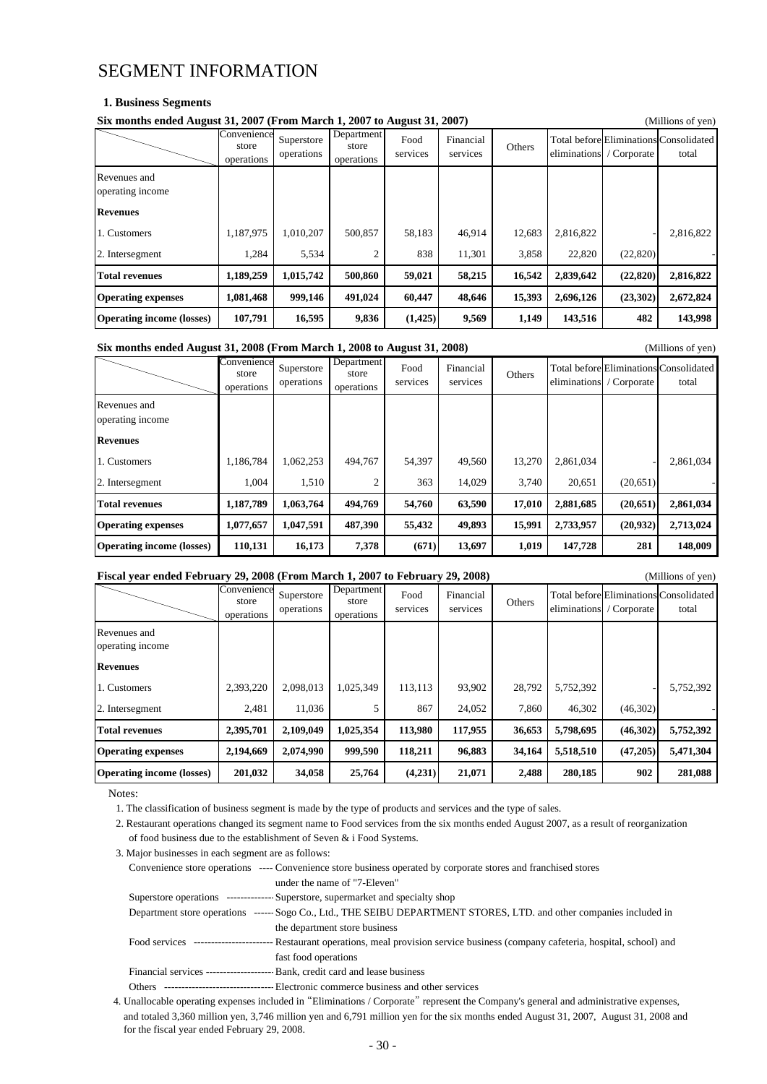### SEGMENT INFORMATION

#### **1. Business Segments**

**Six months ended August 31, 2007 (From March 1, 2007 to August 31, 2007)** (Millions of yen)<br>Convenience Conserved Department Fiscal Library (Text Library Conservations) Revenues and operating income **Revenues** 1. Customers 1,187,975 1,010,207 500,857 58,183 46,914 12,683 2,816,822 - 2,816,822 2. Intersegment 1,284 5,534 2 838 11,301 3,858 22,820 (22,820) **Total revenues 1,189,259 1,015,742 500,860 59,021 58,215 16,542 2,839,642 (22,820) 2,816,822 Operating expenses 1,081,468 999,146 491,024 60,447 48,646 15,393 2,696,126 (23,302) 2,672,824 Operating income (losses) 107,791 16,595 9,836 (1,425) 9,569 1,149 143,516 482 143,998** Convenience Superstore Department Food Financial Others Total before operations operations operations avenience Superstore Department Food Financial Others Total before Eliminations Consolidated services operations of the services of the services of the services of the services of the services of the services of the servic eliminations Food / Corporate

#### **Six months ended August 31, 2008 (From March 1, 2008 to August 31, 2008)** (Millions of yen)

|                                  | Convenience<br>store<br>operations | Superstore<br>operations | Department<br>store<br>operations | Food<br>services | Financial<br>services | Others | eliminations | / Corporate | Total before Eliminations Consolidated<br>total |
|----------------------------------|------------------------------------|--------------------------|-----------------------------------|------------------|-----------------------|--------|--------------|-------------|-------------------------------------------------|
| Revenues and<br>operating income |                                    |                          |                                   |                  |                       |        |              |             |                                                 |
| <b>Revenues</b>                  |                                    |                          |                                   |                  |                       |        |              |             |                                                 |
| 1. Customers                     | 1.186.784                          | 1,062,253                | 494,767                           | 54,397           | 49,560                | 13,270 | 2,861,034    |             | 2,861,034                                       |
| 2. Intersegment                  | 1.004                              | 1,510                    |                                   | 363              | 14,029                | 3,740  | 20,651       | (20.651)    |                                                 |
| <b>Total revenues</b>            | 1,187,789                          | 1,063,764                | 494,769                           | 54,760           | 63,590                | 17,010 | 2,881,685    | (20,651)    | 2,861,034                                       |
| <b>Operating expenses</b>        | 1,077,657                          | 1,047,591                | 487,390                           | 55,432           | 49,893                | 15,991 | 2,733,957    | (20,932)    | 2,713,024                                       |
| <b>Operating income (losses)</b> | 110,131                            | 16,173                   | 7,378                             | (671)            | 13,697                | 1,019  | 147,728      | 281         | 148,009                                         |

#### **Fiscal year ended February 29, 2008 (From March 1, 2007 to February 29, 2008)** (Millions of yen)

| 1 100au 10au 011a0au 1001 aau 1 474 4000 11 10111 111au 011 14 400 1 00 1 00 1 aau 1 474 4000 1 |                                    |                          |                                   |                  |                       |        |           | (1.111110110011, 0.011)  |                                                 |
|-------------------------------------------------------------------------------------------------|------------------------------------|--------------------------|-----------------------------------|------------------|-----------------------|--------|-----------|--------------------------|-------------------------------------------------|
|                                                                                                 | Convenience<br>store<br>operations | Superstore<br>operations | Department<br>store<br>operations | Food<br>services | Financial<br>services | Others |           | eliminations / Corporate | Total before Eliminations Consolidated<br>total |
| Revenues and<br>operating income                                                                |                                    |                          |                                   |                  |                       |        |           |                          |                                                 |
| <b>Revenues</b>                                                                                 |                                    |                          |                                   |                  |                       |        |           |                          |                                                 |
| 1. Customers                                                                                    | 2,393,220                          | 2,098,013                | 1,025,349                         | 113,113          | 93,902                | 28,792 | 5,752,392 |                          | 5,752,392                                       |
| 2. Intersegment                                                                                 | 2,481                              | 11,036                   |                                   | 867              | 24,052                | 7,860  | 46,302    | (46,302)                 |                                                 |
| <b>Total revenues</b>                                                                           | 2,395,701                          | 2,109,049                | 1,025,354                         | 113,980          | 117,955               | 36,653 | 5,798,695 | (46,302)                 | 5,752,392                                       |
| <b>Operating expenses</b>                                                                       | 2,194,669                          | 2,074,990                | 999,590                           | 118,211          | 96,883                | 34.164 | 5,518,510 | (47,205)                 | 5,471,304                                       |
| <b>Operating income (losses)</b>                                                                | 201,032                            | 34,058                   | 25,764                            | (4,231)          | 21,071                | 2,488  | 280,185   | 902                      | 281,088                                         |

Notes:

1. The classification of business segment is made by the type of products and services and the type of sales.

 2. Restaurant operations changed its segment name to Food services from the six months ended August 2007, as a result of reorganization of food business due to the establishment of Seven & i Food Systems.

| 3. Major businesses in each segment are as follows: |
|-----------------------------------------------------|
|                                                     |

|                                       | Convenience store operations ---- Convenience store business operated by corporate stores and franchised stores                             |
|---------------------------------------|---------------------------------------------------------------------------------------------------------------------------------------------|
|                                       | under the name of "7-Eleven"                                                                                                                |
|                                       | Superstore operations --------------- Superstore, supermarket and specialty shop                                                            |
|                                       | Department store operations ------ Sogo Co., Ltd., THE SEIBU DEPARTMENT STORES, LTD. and other companies included in                        |
|                                       | the department store business                                                                                                               |
|                                       | Food services ---------------------------- Restaurant operations, meal provision service business (company cafeteria, hospital, school) and |
|                                       | fast food operations                                                                                                                        |
| Financial services ------------------ | --- Bank, credit card and lease business                                                                                                    |
| Others                                | Electronic commerce business and other services                                                                                             |
|                                       |                                                                                                                                             |

 4. Unallocable operating expenses included in "Eliminations / Corporate" represent the Company's general and administrative expenses, and totaled 3,360 million yen, 3,746 million yen and 6,791 million yen for the six months ended August 31, 2007, August 31, 2008 and for the fiscal year ended February 29, 2008.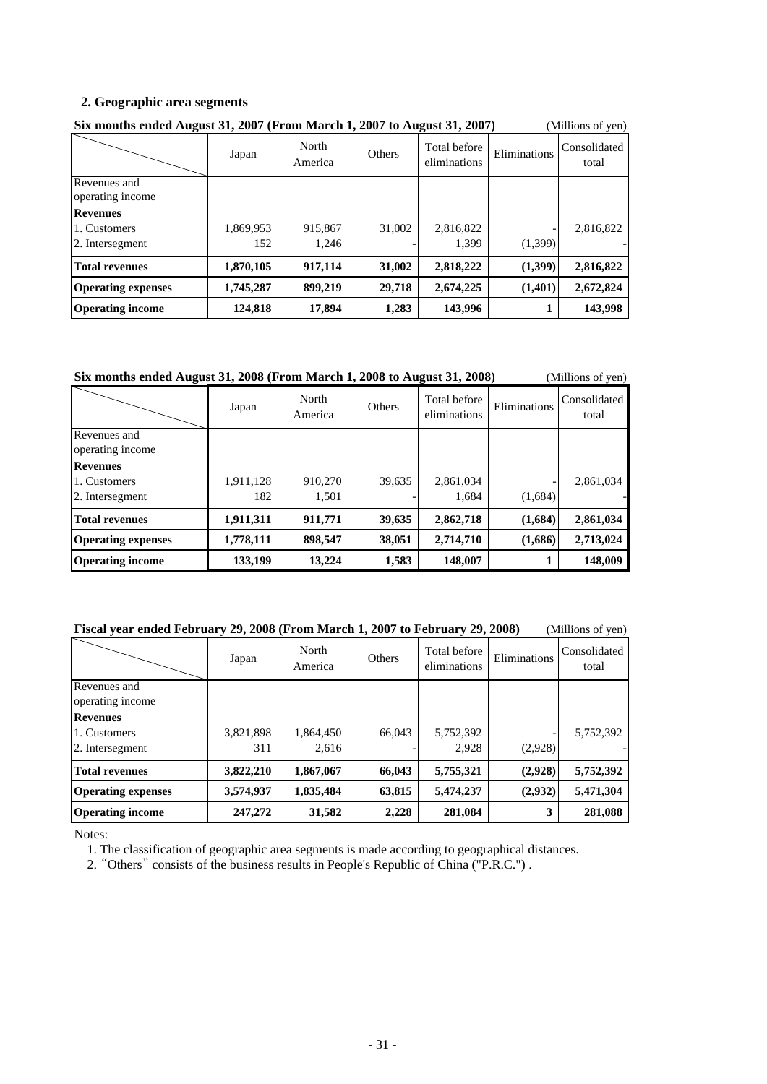#### **2. Geographic area segments**

|                                  | SIX months ended August 31, 2007 (From March 1, 2007 to August 31, 2007)<br>(MHIIONS OL VEN <i>)</i> |                  |        |                              |              |                       |  |  |
|----------------------------------|------------------------------------------------------------------------------------------------------|------------------|--------|------------------------------|--------------|-----------------------|--|--|
|                                  | Japan                                                                                                | North<br>America | Others | Total before<br>eliminations | Eliminations | Consolidated<br>total |  |  |
| Revenues and<br>operating income |                                                                                                      |                  |        |                              |              |                       |  |  |
| <b>Revenues</b>                  |                                                                                                      |                  |        |                              |              |                       |  |  |
| 1. Customers                     | 1,869,953                                                                                            | 915,867          | 31,002 | 2,816,822                    |              | 2,816,822             |  |  |
| 2. Intersegment                  | 152                                                                                                  | 1,246            |        | 1,399                        | (1,399)      |                       |  |  |
| <b>Total revenues</b>            | 1,870,105                                                                                            | 917,114          | 31,002 | 2,818,222                    | (1,399)      | 2,816,822             |  |  |
| <b>Operating expenses</b>        | 1,745,287                                                                                            | 899,219          | 29,718 | 2,674,225                    | (1,401)      | 2,672,824             |  |  |
| <b>Operating income</b>          | 124,818                                                                                              | 17,894           | 1,283  | 143,996                      |              | 143,998               |  |  |

### **Six months ended August 31, 2007 (From March 1, 2007 to August 31, 2007)** (Millions of yen)

#### **Six months ended August 31, 2008 (From March 1, 2008 to August 31, 2008)** (Millions of yen)

|                                          | Japan            | North<br>America | Others | Total before<br>eliminations | Eliminations       | Consolidated<br>total |
|------------------------------------------|------------------|------------------|--------|------------------------------|--------------------|-----------------------|
| Revenues and<br>operating income         |                  |                  |        |                              |                    |                       |
| <b>Revenues</b><br>1. Customers          | 1,911,128<br>182 | 910,270          | 39,635 | 2,861,034                    |                    | 2,861,034             |
| 2. Intersegment<br><b>Total revenues</b> | 1,911,311        | 1,501<br>911,771 | 39,635 | 1,684<br>2,862,718           | (1,684)<br>(1,684) | 2,861,034             |
| <b>Operating expenses</b>                | 1,778,111        | 898,547          | 38,051 | 2,714,710                    | (1,686)            | 2,713,024             |
| <b>Operating income</b>                  | 133,199          | 13,224           | 1,583  | 148,007                      |                    | 148,009               |

### **Fiscal year ended February 29, 2008 (From March 1, 2007 to February 29, 2008)** (Millions of yen)

|                                                    | Japan            | North<br>America   | Others | Total before<br>eliminations | Eliminations | Consolidated<br>total |
|----------------------------------------------------|------------------|--------------------|--------|------------------------------|--------------|-----------------------|
| Revenues and<br>operating income                   |                  |                    |        |                              |              |                       |
| <b>Revenues</b><br>1. Customers<br>2. Intersegment | 3,821,898<br>311 | 1,864,450<br>2,616 | 66,043 | 5,752,392<br>2.928           | (2,928)      | 5,752,392             |
| <b>Total revenues</b>                              | 3,822,210        | 1,867,067          | 66,043 | 5,755,321                    | (2,928)      | 5,752,392             |
| <b>Operating expenses</b>                          | 3,574,937        | 1,835,484          | 63,815 | 5,474,237                    | (2,932)      | 5,471,304             |
| <b>Operating income</b>                            | 247,272          | 31,582             | 2,228  | 281,084                      | 3            | 281,088               |

Notes:

1. The classification of geographic area segments is made according to geographical distances.

2. "Others" consists of the business results in People's Republic of China ("P.R.C.") .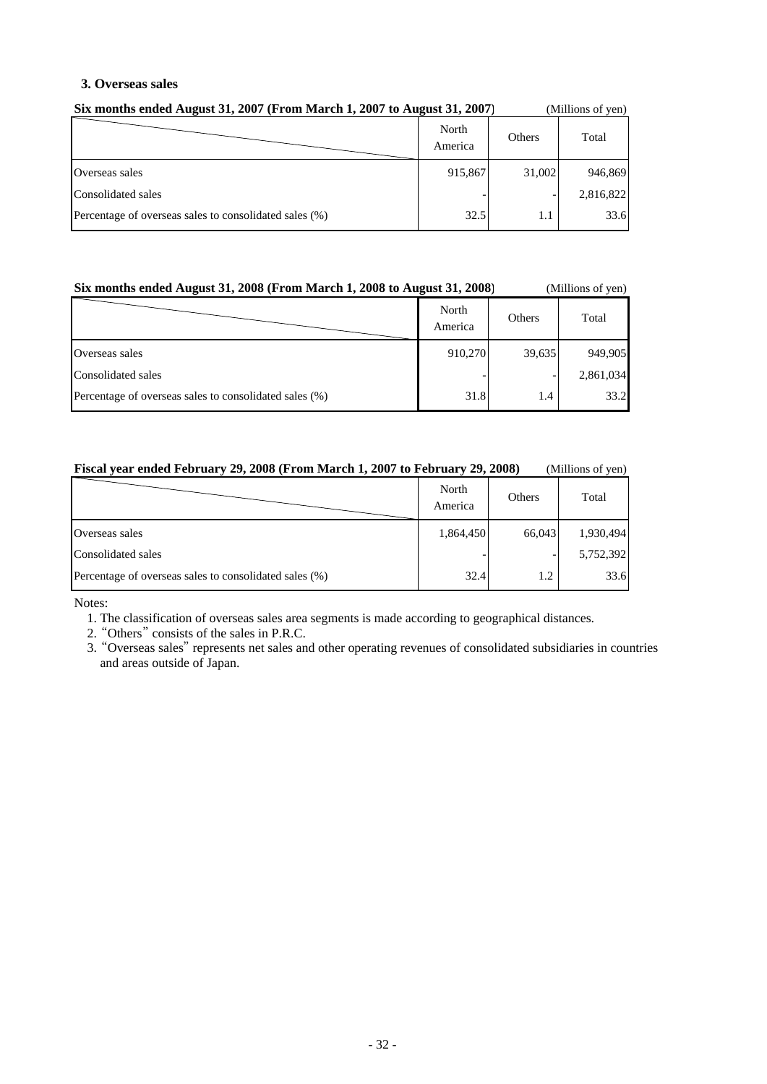#### **3. Overseas sales**

| Six months ended August 31, 2007 (From March 1, 2007 to August 31, 2007) |                  |               | (Millions of yen) |
|--------------------------------------------------------------------------|------------------|---------------|-------------------|
|                                                                          | North<br>America | <b>Others</b> | Total             |
| <b>Overseas sales</b>                                                    | 915,867          | 31,002        | 946,869           |
| Consolidated sales                                                       |                  |               | 2,816,822         |
| Percentage of overseas sales to consolidated sales (%)                   | 32.5             | 1.1           | 33.6              |

#### **Six months ended August 31, 2008 (From March 1, 2008 to August 31, 2008)** (Millions of yen)

|                                                        | North<br>America | Others | Total     |
|--------------------------------------------------------|------------------|--------|-----------|
| Overseas sales                                         | 910,270          | 39,635 | 949,905   |
| Consolidated sales                                     |                  |        | 2,861,034 |
| Percentage of overseas sales to consolidated sales (%) | 31.8             | 1.4    | 33.2      |

#### **Fiscal year ended February 29, 2008 (From March 1, 2007 to February 29, 2008)** (Millions of yen)

|                                                        | North<br>America | Others | Total     |
|--------------------------------------------------------|------------------|--------|-----------|
| Overseas sales                                         | 1,864,450        | 66,043 | 1,930,494 |
| Consolidated sales                                     |                  |        | 5,752,392 |
| Percentage of overseas sales to consolidated sales (%) | 32.4             | 1.2    | 33.6      |

Notes:

1. The classification of overseas sales area segments is made according to geographical distances.

2. "Others" consists of the sales in P.R.C.

 3. "Overseas sales" represents net sales and other operating revenues of consolidated subsidiaries in countries and areas outside of Japan.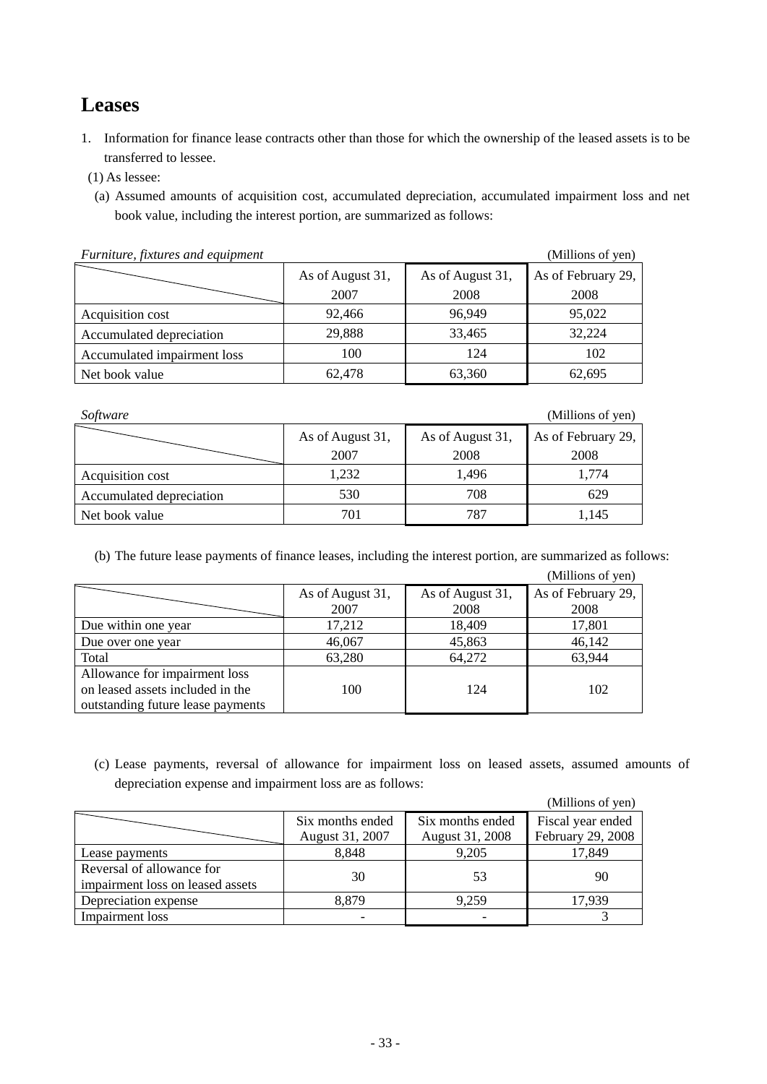### **Leases**

- 1. Information for finance lease contracts other than those for which the ownership of the leased assets is to be transferred to lessee.
- (1) As lessee:
- (a) Assumed amounts of acquisition cost, accumulated depreciation, accumulated impairment loss and net book value, including the interest portion, are summarized as follows:

*Furniture, fixtures and equipment* (Millions of yen)

| The contract of the contract contract of the contract of |                  |                  |                    |  |  |  |
|----------------------------------------------------------|------------------|------------------|--------------------|--|--|--|
|                                                          | As of August 31, | As of August 31, | As of February 29, |  |  |  |
|                                                          | 2007             | 2008             | 2008               |  |  |  |
| Acquisition cost                                         | 92,466           | 96,949           | 95,022             |  |  |  |
| Accumulated depreciation                                 | 29,888           | 33,465           | 32,224             |  |  |  |
| Accumulated impairment loss                              | 100              | 124              | 102                |  |  |  |
| Net book value                                           | 62,478           | 63,360           | 62,695             |  |  |  |

| Software                 | (Millions of yen) |                  |                    |
|--------------------------|-------------------|------------------|--------------------|
|                          | As of August 31,  | As of August 31, | As of February 29, |
|                          | 2007              | 2008             | 2008               |
| Acquisition cost         | 1,232             | 1,496            | 1,774              |
| Accumulated depreciation | 530               | 708              | 629                |
| Net book value           | 701               | 787              | 1,145              |

(b) The future lease payments of finance leases, including the interest portion, are summarized as follows:

|                                   |                  |                  | (Millions of yen)  |
|-----------------------------------|------------------|------------------|--------------------|
|                                   | As of August 31, | As of August 31, | As of February 29, |
|                                   | 2007             | 2008             | 2008               |
| Due within one year               | 17,212           | 18,409           | 17,801             |
| Due over one year                 | 46,067           | 45,863           | 46,142             |
| Total                             | 63,280           | 64,272           | 63,944             |
| Allowance for impairment loss     |                  |                  |                    |
| on leased assets included in the  | 100              | 124              | 102                |
| outstanding future lease payments |                  |                  |                    |

(c) Lease payments, reversal of allowance for impairment loss on leased assets, assumed amounts of depreciation expense and impairment loss are as follows:

|                                                               |                                     |                                     | (Millions of yen)                      |
|---------------------------------------------------------------|-------------------------------------|-------------------------------------|----------------------------------------|
|                                                               | Six months ended<br>August 31, 2007 | Six months ended<br>August 31, 2008 | Fiscal year ended<br>February 29, 2008 |
| Lease payments                                                | 8,848                               | 9,205                               | 17,849                                 |
| Reversal of allowance for<br>impairment loss on leased assets | 30                                  | 53                                  | 90                                     |
| Depreciation expense                                          | 8,879                               | 9,259                               | 17,939                                 |
| Impairment loss                                               |                                     |                                     |                                        |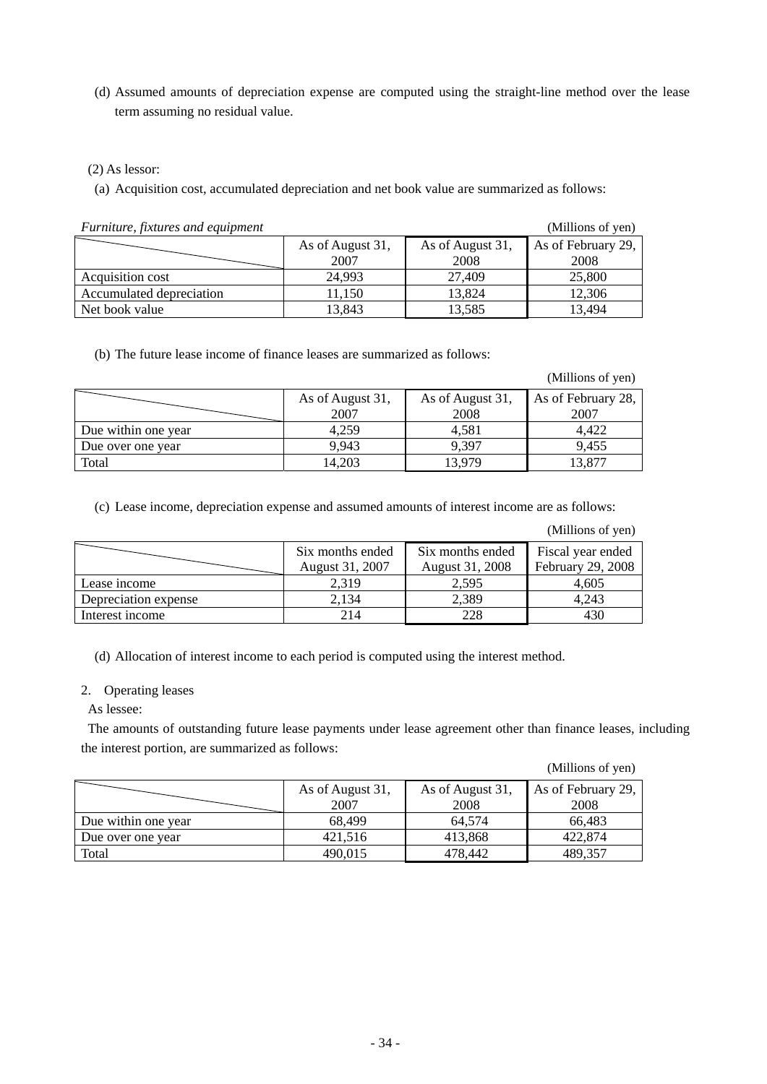- (d) Assumed amounts of depreciation expense are computed using the straight-line method over the lease term assuming no residual value.
- (2) As lessor:
- (a) Acquisition cost, accumulated depreciation and net book value are summarized as follows:

| Furniture, fixtures and equipment |                  |                  | (Millions of yen)  |
|-----------------------------------|------------------|------------------|--------------------|
|                                   | As of August 31, | As of August 31, | As of February 29, |
|                                   | 2007             | 2008             | 2008               |
| Acquisition cost                  | 24.993           | 27,409           | 25,800             |
| Accumulated depreciation          | 11.150           | 13,824           | 12,306             |
| Net book value                    | 13,843           | 13,585           | 13,494             |

(b) The future lease income of finance leases are summarized as follows:

(Millions of yen)

|                     | As of August 31,<br>2007 | As of August 31,<br>2008 | As of February 28,<br>2007 |
|---------------------|--------------------------|--------------------------|----------------------------|
| Due within one year | 4.259                    | 4.581                    | 4.422                      |
| Due over one year   | 9.943                    | 9.397                    | 9.455                      |
| Total               | 14.203                   | 13 979                   | 13.877                     |

(c) Lease income, depreciation expense and assumed amounts of interest income are as follows:

|  | (Millions of yen) |  |  |
|--|-------------------|--|--|
|--|-------------------|--|--|

|                      | Six months ended<br>August 31, 2007 | Six months ended<br>August 31, 2008 | Fiscal year ended<br>February 29, 2008 |  |
|----------------------|-------------------------------------|-------------------------------------|----------------------------------------|--|
| Lease income         | 2.319                               | 2.595                               | 4.605                                  |  |
| Depreciation expense | 2.134                               | 2.389                               | 4.243                                  |  |
| Interest income      | 214                                 | 228                                 | 430                                    |  |

(d) Allocation of interest income to each period is computed using the interest method.

#### 2. Operating leases

As lessee:

The amounts of outstanding future lease payments under lease agreement other than finance leases, including the interest portion, are summarized as follows:

|  | (Millions of yen) |  |  |
|--|-------------------|--|--|
|--|-------------------|--|--|

|                     | As of August 31,<br>2007 | As of August 31,<br>2008 | As of February 29,<br>2008 |
|---------------------|--------------------------|--------------------------|----------------------------|
| Due within one year | 68.499                   | 64.574                   | 66.483                     |
| Due over one year   | 421.516                  | 413,868                  | 422,874                    |
| Total               | 490,015                  | 478,442                  | 489,357                    |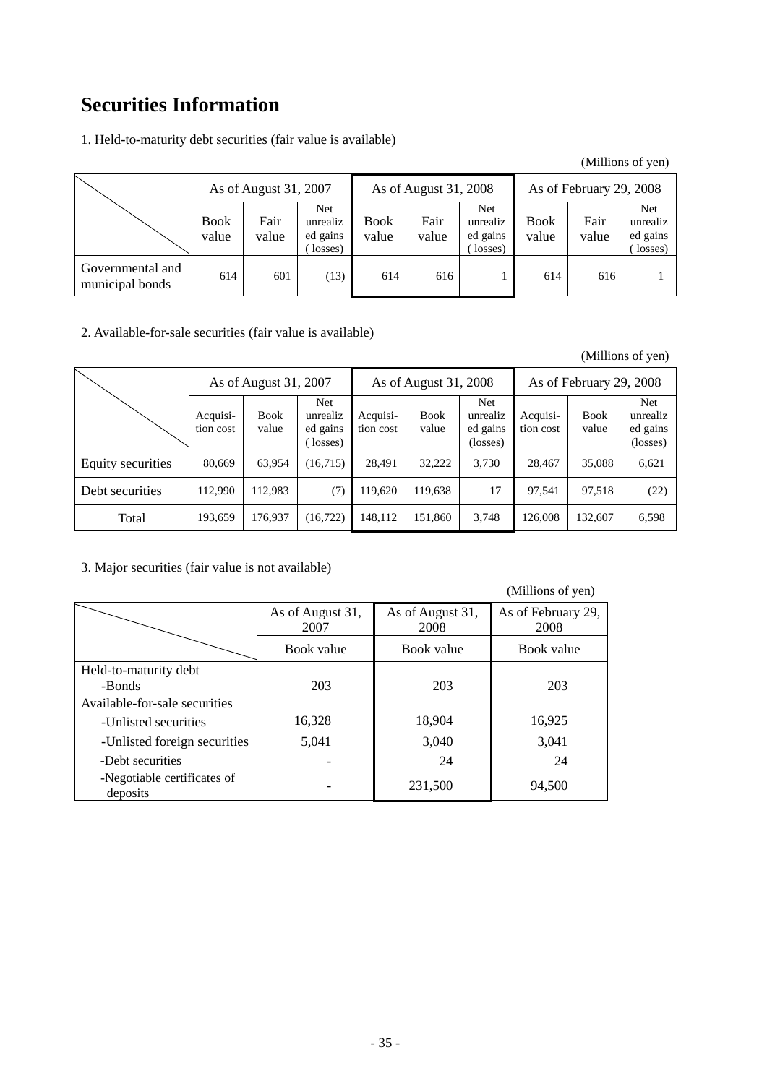### **Securities Information**

1. Held-to-maturity debt securities (fair value is available)

(Millions of yen)

|                                     | As of August 31, 2007 |               |                                        | As of August 31, 2008 |               |                                        | As of February 29, 2008 |               |                                         |  |
|-------------------------------------|-----------------------|---------------|----------------------------------------|-----------------------|---------------|----------------------------------------|-------------------------|---------------|-----------------------------------------|--|
|                                     | <b>Book</b><br>value  | Fair<br>value | Net<br>unrealiz<br>ed gains<br>losses) | Book<br>value         | Fair<br>value | Net<br>unrealiz<br>ed gains<br>losses) | <b>Book</b><br>value    | Fair<br>value | Net.<br>unrealiz<br>ed gains<br>losses) |  |
| Governmental and<br>municipal bonds | 614                   | 601           | (13)                                   | 614                   | 616           |                                        | 614                     | 616           |                                         |  |

2. Available-for-sale securities (fair value is available)

#### (Millions of yen)

|                   | As of August 31, 2007 |                      |                                               | As of August 31, 2008 |                      |                                                | As of February 29, 2008 |                      |                                                |  |
|-------------------|-----------------------|----------------------|-----------------------------------------------|-----------------------|----------------------|------------------------------------------------|-------------------------|----------------------|------------------------------------------------|--|
|                   | Acquisi-<br>tion cost | <b>Book</b><br>value | <b>Net</b><br>unrealiz<br>ed gains<br>losses) | Acquisi-<br>tion cost | <b>Book</b><br>value | <b>Net</b><br>unrealiz<br>ed gains<br>(losses) | Acquisi-<br>tion cost   | <b>Book</b><br>value | <b>Net</b><br>unrealiz<br>ed gains<br>(losses) |  |
| Equity securities | 80,669                | 63,954               | (16,715)                                      | 28.491                | 32,222               | 3,730                                          | 28,467                  | 35,088               | 6,621                                          |  |
| Debt securities   | 112,990               | 112,983              | (7)                                           | 119,620               | 119,638              | 17                                             | 97,541                  | 97,518               | (22)                                           |  |
| Total             | 193,659               | 176,937              | (16, 722)                                     | 148,112               | 151,860              | 3,748                                          | 126,008                 | 132,607              | 6,598                                          |  |

3. Major securities (fair value is not available)

|                                         |                          |                          | (WHIHOIIS OF YEIL)         |  |
|-----------------------------------------|--------------------------|--------------------------|----------------------------|--|
|                                         | As of August 31,<br>2007 | As of August 31,<br>2008 | As of February 29,<br>2008 |  |
|                                         | Book value               | Book value               | Book value                 |  |
| Held-to-maturity debt                   |                          |                          |                            |  |
| -Bonds                                  | 203                      | 203                      | 203                        |  |
| Available-for-sale securities           |                          |                          |                            |  |
| -Unlisted securities                    | 16,328                   | 18,904                   | 16,925                     |  |
| -Unlisted foreign securities            | 5,041                    | 3,040                    | 3,041                      |  |
| -Debt securities                        |                          | 24                       | 24                         |  |
| -Negotiable certificates of<br>deposits |                          | 231,500                  | 94,500                     |  |

#### (Millions of yen)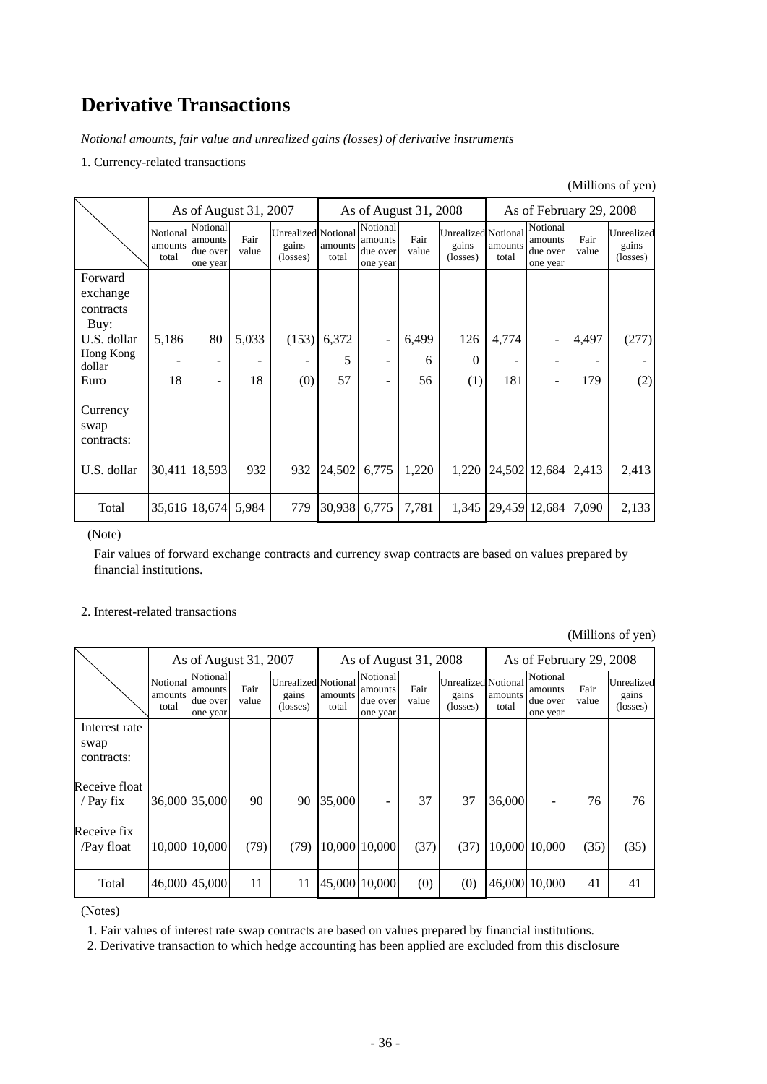### **Derivative Transactions**

*Notional amounts, fair value and unrealized gains (losses) of derivative instruments* 

1. Currency-related transactions

(Millions of yen)

|                                |                              | As of August 31, 2007                       |               |                                                          |                  | As of August 31, 2008<br>As of February 29, 2008 |               |                                                          |                  |                                             |               |                                 |
|--------------------------------|------------------------------|---------------------------------------------|---------------|----------------------------------------------------------|------------------|--------------------------------------------------|---------------|----------------------------------------------------------|------------------|---------------------------------------------|---------------|---------------------------------|
|                                | Notional<br>amounts<br>total | Notional<br>amounts<br>due over<br>one year | Fair<br>value | <b>Unrealized Notional</b><br>gains<br>$(\text{losses})$ | amounts<br>total | Notional<br>amounts<br>due over<br>one year      | Fair<br>value | <b>Unrealized Notional</b><br>gains<br>$(\text{losses})$ | amounts<br>total | Notional<br>amounts<br>due over<br>one year | Fair<br>value | Unrealized<br>gains<br>(losses) |
| Forward                        |                              |                                             |               |                                                          |                  |                                                  |               |                                                          |                  |                                             |               |                                 |
| exchange<br>contracts          |                              |                                             |               |                                                          |                  |                                                  |               |                                                          |                  |                                             |               |                                 |
| Buy:                           |                              |                                             |               |                                                          |                  |                                                  |               |                                                          |                  |                                             |               |                                 |
| U.S. dollar                    | 5,186                        | 80                                          | 5,033         |                                                          | $(153)$ 6,372    | $\overline{\phantom{a}}$                         | 6,499         | 126                                                      | 4,774            |                                             | 4,497         | (277)                           |
| Hong Kong<br>dollar            |                              |                                             |               |                                                          | 5                | $\overline{\phantom{a}}$                         | 6             | $\theta$                                                 |                  | -                                           |               |                                 |
| Euro                           | 18                           | $\overline{\phantom{a}}$                    | 18            | (0)                                                      | 57               | $\overline{\phantom{a}}$                         | 56            | (1)                                                      | 181              | -                                           | 179           | (2)                             |
| Currency<br>swap<br>contracts: |                              |                                             |               |                                                          |                  |                                                  |               |                                                          |                  |                                             |               |                                 |
| U.S. dollar                    |                              | 30,411 18,593                               | 932           | 932                                                      | 24,502           | 6,775                                            | 1,220         |                                                          |                  | 1,220 24,502 12,684 2,413                   |               | 2,413                           |
| Total                          |                              | 35,616 18,674                               | 5,984         | 779                                                      | 30,938           | 6,775                                            | 7,781         | 1,345                                                    |                  | 29,459 12,684                               | 7,090         | 2,133                           |

(Note)

Fair values of forward exchange contracts and currency swap contracts are based on values prepared by financial institutions.

#### 2. Interest-related transactions

(Millions of yen)

|               |                              | As of August 31, 2007                       |               |                                                 |                  | As of August 31, 2008                       |               |                                                 |                  | As of February 29, 2008                     |               |                                 |  |
|---------------|------------------------------|---------------------------------------------|---------------|-------------------------------------------------|------------------|---------------------------------------------|---------------|-------------------------------------------------|------------------|---------------------------------------------|---------------|---------------------------------|--|
|               | Notional<br>amounts<br>total | Notional<br>amounts<br>due over<br>one year | Fair<br>value | <b>Unrealized Notional</b><br>gains<br>(losses) | amounts<br>total | Notional<br>amounts<br>due over<br>one year | Fair<br>value | <b>Unrealized Notional</b><br>gains<br>(losses) | amounts<br>total | Notional<br>amounts<br>due over<br>one year | Fair<br>value | Unrealized<br>gains<br>(losses) |  |
| Interest rate |                              |                                             |               |                                                 |                  |                                             |               |                                                 |                  |                                             |               |                                 |  |
| swap          |                              |                                             |               |                                                 |                  |                                             |               |                                                 |                  |                                             |               |                                 |  |
| contracts:    |                              |                                             |               |                                                 |                  |                                             |               |                                                 |                  |                                             |               |                                 |  |
| Receive float |                              |                                             |               |                                                 |                  |                                             |               |                                                 |                  |                                             |               |                                 |  |
| / Pay $fix$   |                              | 36,000 35,000                               | 90            | 90                                              | 35,000           | $\overline{\phantom{a}}$                    | 37            | 37                                              | 36,000           | $\qquad \qquad -$                           | 76            | 76                              |  |
| Receive fix   |                              |                                             |               |                                                 |                  |                                             |               |                                                 |                  |                                             |               |                                 |  |
| /Pay float    |                              | 10,000 10,000                               | (79)          | (79)                                            |                  | 10,000 10,000                               | (37)          | (37)                                            |                  | 10,000 10,000                               | (35)          | (35)                            |  |
|               |                              |                                             |               |                                                 |                  |                                             |               |                                                 |                  |                                             |               |                                 |  |
| Total         |                              | 46,000 45,000                               | 11            | 11                                              |                  | 45,000 10,000                               | (0)           | (0)                                             |                  | 46,000 10,000                               | 41            | 41                              |  |

(Notes)

1. Fair values of interest rate swap contracts are based on values prepared by financial institutions.

2. Derivative transaction to which hedge accounting has been applied are excluded from this disclosure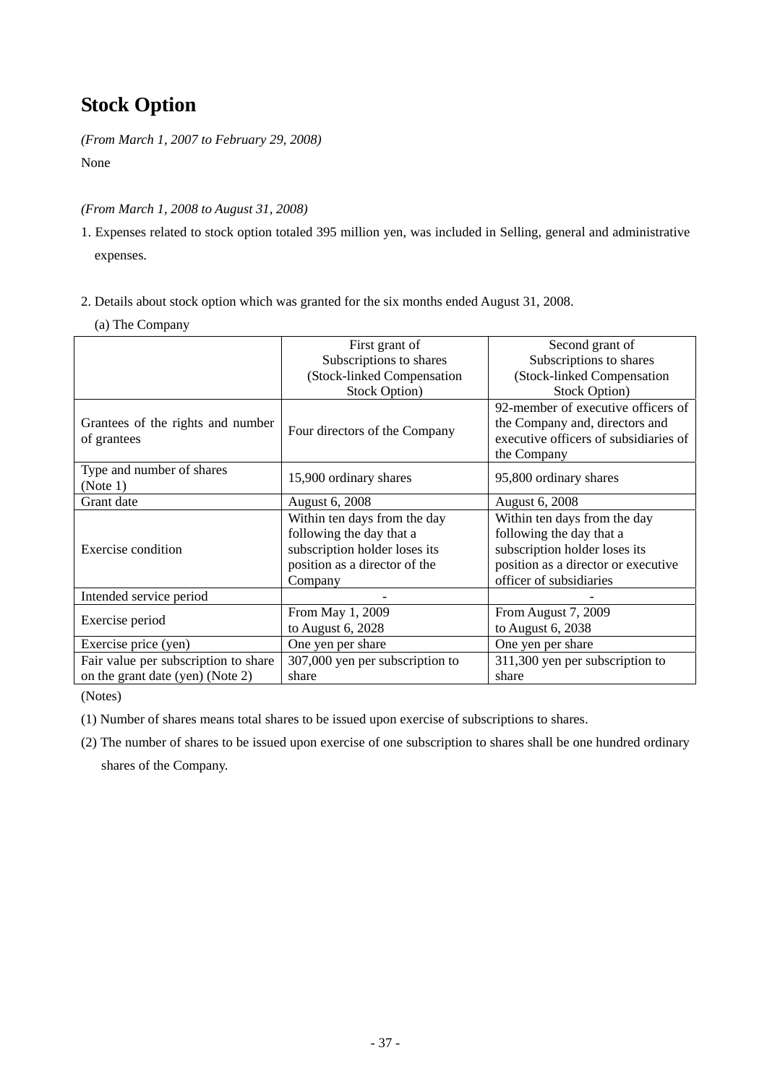## **Stock Option**

*(From March 1, 2007 to February 29, 2008)* None

#### *(From March 1, 2008 to August 31, 2008)*

- 1. Expenses related to stock option totaled 395 million yen, was included in Selling, general and administrative expenses.
- 2. Details about stock option which was granted for the six months ended August 31, 2008.
	- (a) The Company

|                                                                          | First grant of                                                                                                                        | Second grant of                                                                                                                                             |
|--------------------------------------------------------------------------|---------------------------------------------------------------------------------------------------------------------------------------|-------------------------------------------------------------------------------------------------------------------------------------------------------------|
|                                                                          | Subscriptions to shares                                                                                                               | Subscriptions to shares                                                                                                                                     |
|                                                                          | (Stock-linked Compensation                                                                                                            | (Stock-linked Compensation                                                                                                                                  |
|                                                                          | <b>Stock Option</b> )                                                                                                                 | <b>Stock Option</b> )                                                                                                                                       |
| Grantees of the rights and number<br>of grantees                         | Four directors of the Company                                                                                                         | 92-member of executive officers of<br>the Company and, directors and<br>executive officers of subsidiaries of<br>the Company                                |
| Type and number of shares<br>(Note 1)                                    | 15,900 ordinary shares                                                                                                                | 95,800 ordinary shares                                                                                                                                      |
| Grant date                                                               | August 6, 2008                                                                                                                        | August 6, 2008                                                                                                                                              |
| Exercise condition                                                       | Within ten days from the day<br>following the day that a<br>subscription holder loses its<br>position as a director of the<br>Company | Within ten days from the day<br>following the day that a<br>subscription holder loses its<br>position as a director or executive<br>officer of subsidiaries |
| Intended service period                                                  |                                                                                                                                       |                                                                                                                                                             |
| Exercise period                                                          | From May 1, 2009<br>to August 6, 2028                                                                                                 | From August 7, 2009<br>to August 6, 2038                                                                                                                    |
| Exercise price (yen)                                                     | One yen per share                                                                                                                     | One yen per share                                                                                                                                           |
| Fair value per subscription to share<br>on the grant date (yen) (Note 2) | 307,000 yen per subscription to<br>share                                                                                              | 311,300 yen per subscription to<br>share                                                                                                                    |

(Notes)

(1) Number of shares means total shares to be issued upon exercise of subscriptions to shares.

(2) The number of shares to be issued upon exercise of one subscription to shares shall be one hundred ordinary shares of the Company.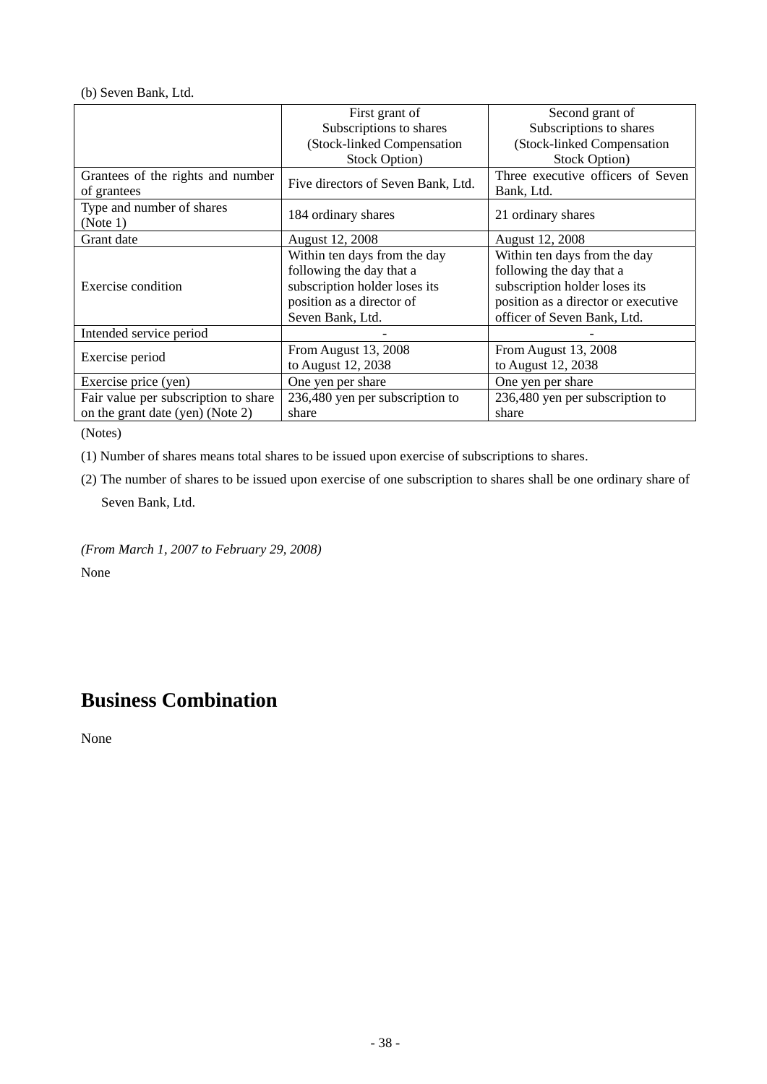#### (b) Seven Bank, Ltd.

|                                      | First grant of                     | Second grant of                     |
|--------------------------------------|------------------------------------|-------------------------------------|
|                                      | Subscriptions to shares            | Subscriptions to shares             |
|                                      | (Stock-linked Compensation         | (Stock-linked Compensation          |
|                                      | <b>Stock Option</b> )              | <b>Stock Option</b> )               |
| Grantees of the rights and number    | Five directors of Seven Bank, Ltd. | Three executive officers of Seven   |
| of grantees                          |                                    | Bank, Ltd.                          |
| Type and number of shares            | 184 ordinary shares                | 21 ordinary shares                  |
| (Note 1)                             |                                    |                                     |
| Grant date                           | August 12, 2008                    | August 12, 2008                     |
|                                      | Within ten days from the day       | Within ten days from the day        |
|                                      | following the day that a           | following the day that a            |
| Exercise condition                   | subscription holder loses its      | subscription holder loses its       |
|                                      | position as a director of          | position as a director or executive |
|                                      | Seven Bank, Ltd.                   | officer of Seven Bank, Ltd.         |
| Intended service period              |                                    |                                     |
|                                      | From August 13, 2008               | From August 13, 2008                |
| Exercise period                      | to August 12, 2038                 | to August 12, 2038                  |
| Exercise price (yen)                 | One yen per share                  | One yen per share                   |
| Fair value per subscription to share | 236,480 yen per subscription to    | 236,480 yen per subscription to     |
| on the grant date (yen) (Note 2)     | share                              | share                               |

(Notes)

(1) Number of shares means total shares to be issued upon exercise of subscriptions to shares.

(2) The number of shares to be issued upon exercise of one subscription to shares shall be one ordinary share of Seven Bank, Ltd.

*(From March 1, 2007 to February 29, 2008)* None

## **Business Combination**

None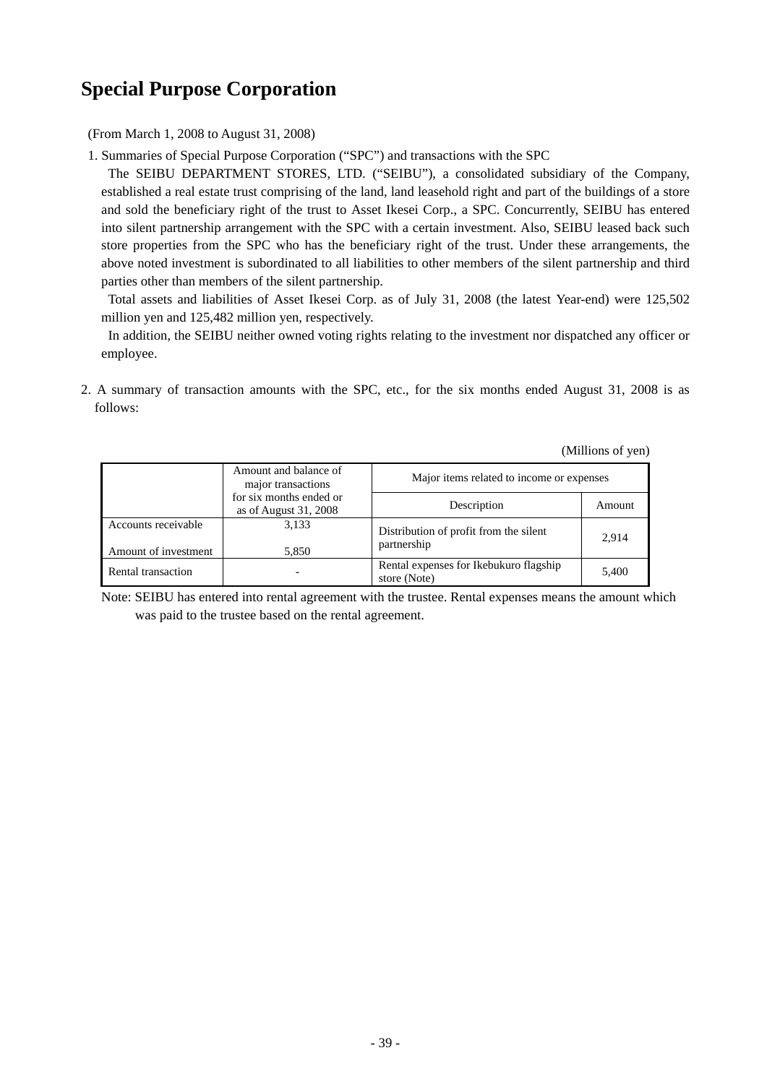### **Special Purpose Corporation**

(From March 1, 2008 to August 31, 2008)

1. Summaries of Special Purpose Corporation ("SPC") and transactions with the SPC

The SEIBU DEPARTMENT STORES, LTD. ("SEIBU"), a consolidated subsidiary of the Company, established a real estate trust comprising of the land, land leasehold right and part of the buildings of a store and sold the beneficiary right of the trust to Asset Ikesei Corp., a SPC. Concurrently, SEIBU has entered into silent partnership arrangement with the SPC with a certain investment. Also, SEIBU leased back such store properties from the SPC who has the beneficiary right of the trust. Under these arrangements, the above noted investment is subordinated to all liabilities to other members of the silent partnership and third parties other than members of the silent partnership.

 Total assets and liabilities of Asset Ikesei Corp. as of July 31, 2008 (the latest Year-end) were 125,502 million yen and 125,482 million yen, respectively.

In addition, the SEIBU neither owned voting rights relating to the investment nor dispatched any officer or employee.

2. A summary of transaction amounts with the SPC, etc., for the six months ended August 31, 2008 is as follows:

(Millions of yen)

|                      | Amount and balance of<br>major transactions       | Major items related to income or expenses              |        |  |  |
|----------------------|---------------------------------------------------|--------------------------------------------------------|--------|--|--|
|                      | for six months ended or<br>as of August $31,2008$ | Description                                            | Amount |  |  |
| Accounts receivable  | 3,133                                             | Distribution of profit from the silent                 | 2.914  |  |  |
| Amount of investment | 5,850                                             | partnership                                            |        |  |  |
| Rental transaction   |                                                   | Rental expenses for Ikebukuro flagship<br>store (Note) | 5,400  |  |  |

 Note: SEIBU has entered into rental agreement with the trustee. Rental expenses means the amount which was paid to the trustee based on the rental agreement.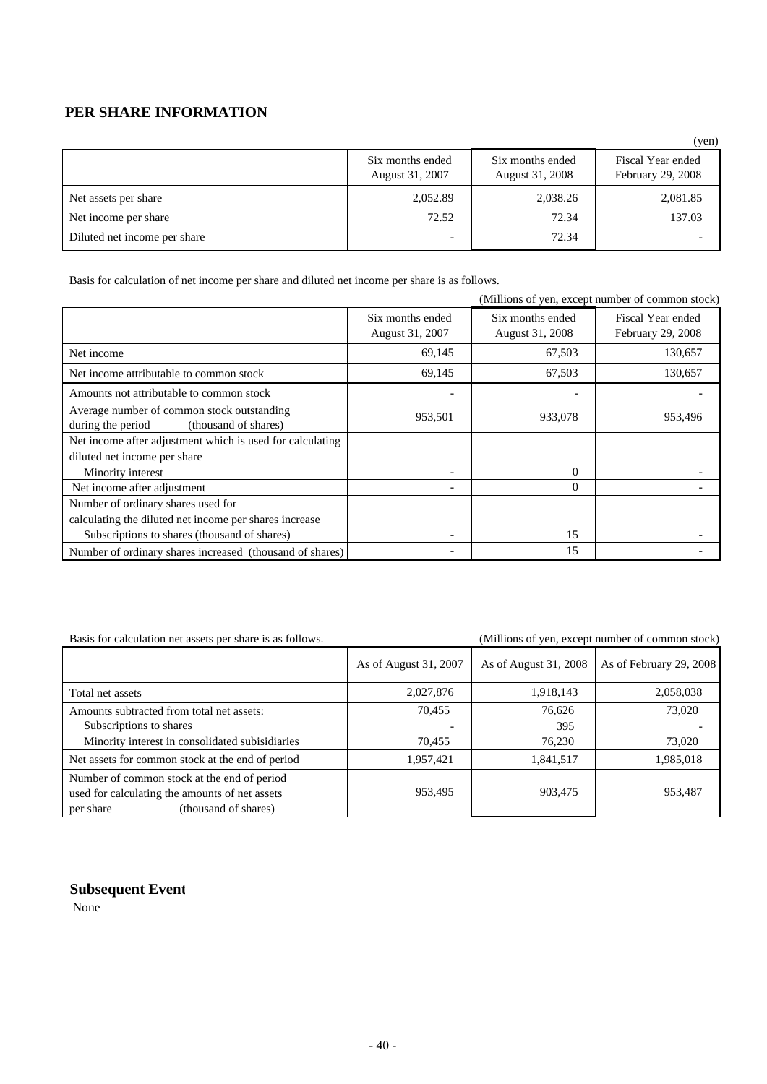### **PER SHARE INFORMATION**

|                              |                                     |                                     | $($ yen $)$                            |
|------------------------------|-------------------------------------|-------------------------------------|----------------------------------------|
|                              | Six months ended<br>August 31, 2007 | Six months ended<br>August 31, 2008 | Fiscal Year ended<br>February 29, 2008 |
| Net assets per share         | 2,052.89                            | 2,038.26                            | 2,081.85                               |
| Net income per share         | 72.52                               | 72.34                               | 137.03                                 |
| Diluted net income per share | $\overline{\phantom{a}}$            | 72.34                               |                                        |

Basis for calculation of net income per share and diluted net income per share is as follows.

|                                                                                         |                                     |                                     | (Millions of yen, except number of common stock) |
|-----------------------------------------------------------------------------------------|-------------------------------------|-------------------------------------|--------------------------------------------------|
|                                                                                         | Six months ended<br>August 31, 2007 | Six months ended<br>August 31, 2008 | Fiscal Year ended<br>February 29, 2008           |
| Net income                                                                              | 69,145                              | 67,503                              | 130,657                                          |
| Net income attributable to common stock                                                 | 69,145                              | 67,503                              | 130,657                                          |
| Amounts not attributable to common stock                                                |                                     |                                     |                                                  |
| Average number of common stock outstanding<br>(thousand of shares)<br>during the period | 953,501                             | 933,078                             | 953,496                                          |
| Net income after adjustment which is used for calculating                               |                                     |                                     |                                                  |
| diluted net income per share                                                            |                                     |                                     |                                                  |
| Minority interest                                                                       | $\overline{\phantom{0}}$            | $\Omega$                            |                                                  |
| Net income after adjustment                                                             |                                     | $\Omega$                            |                                                  |
| Number of ordinary shares used for                                                      |                                     |                                     |                                                  |
| calculating the diluted net income per shares increase                                  |                                     |                                     |                                                  |
| Subscriptions to shares (thousand of shares)                                            | $\overline{\phantom{0}}$            | 15                                  |                                                  |
| Number of ordinary shares increased (thousand of shares)                                | $\overline{\phantom{a}}$            | 15                                  |                                                  |

| Basis for calculation net assets per share is as follows. |  | (Millions of ven. except number of common stock) |
|-----------------------------------------------------------|--|--------------------------------------------------|
|                                                           |  |                                                  |

|                                                  | As of August 31, 2007    | As of August 31, 2008 | As of February 29, 2008 |
|--------------------------------------------------|--------------------------|-----------------------|-------------------------|
| Total net assets                                 | 2,027,876                | 1,918,143             | 2,058,038               |
| Amounts subtracted from total net assets:        | 70,455                   | 76,626                | 73,020                  |
| Subscriptions to shares                          | $\overline{\phantom{a}}$ | 395                   |                         |
| Minority interest in consolidated subisidiaries  | 70,455                   | 76,230                | 73,020                  |
| Net assets for common stock at the end of period | 1,957,421                | 1,841,517             | 1,985,018               |
| Number of common stock at the end of period      |                          |                       |                         |
| used for calculating the amounts of net assets   | 953,495                  | 903,475               | 953,487                 |
| (thousand of shares)<br>per share                |                          |                       |                         |

### **Subsequent Event**

None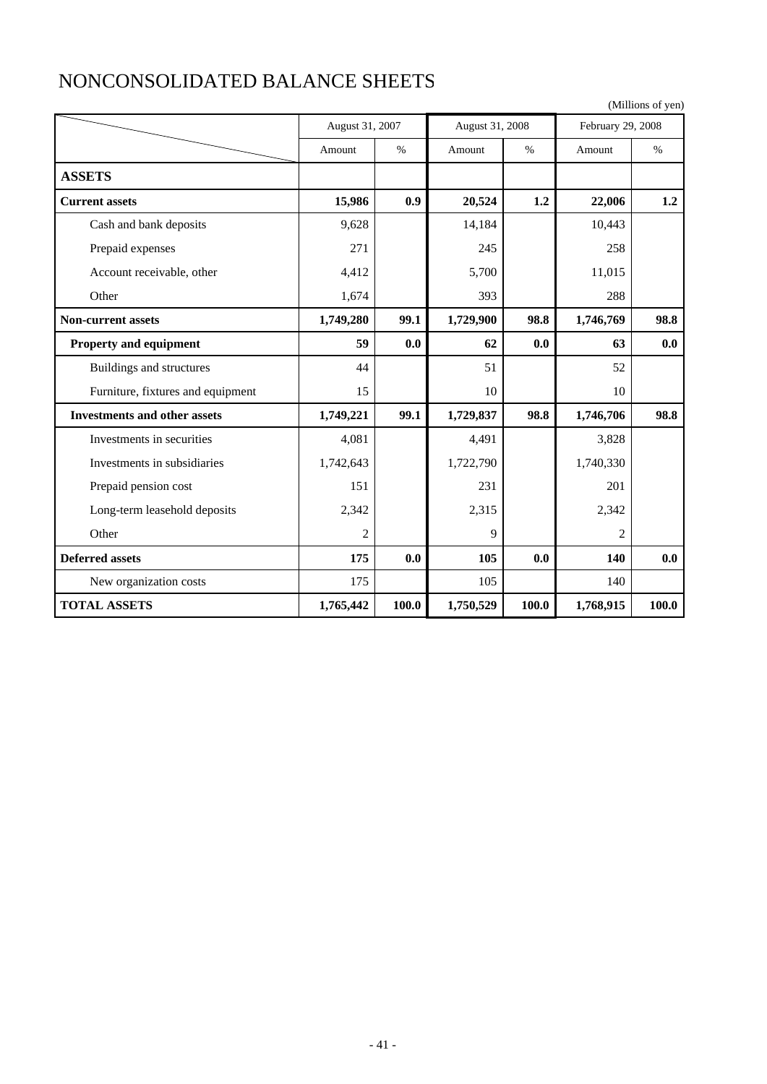|                                     | (Millions of yen)<br>February 29, 2008<br>August 31, 2007<br>August 31, 2008 |       |           |       |                |       |
|-------------------------------------|------------------------------------------------------------------------------|-------|-----------|-------|----------------|-------|
|                                     |                                                                              |       |           |       |                |       |
|                                     | Amount                                                                       | $\%$  | Amount    | $\%$  | Amount         | $\%$  |
| <b>ASSETS</b>                       |                                                                              |       |           |       |                |       |
| <b>Current assets</b>               | 15,986                                                                       | 0.9   | 20,524    | 1.2   | 22,006         | 1.2   |
| Cash and bank deposits              | 9,628                                                                        |       | 14,184    |       | 10,443         |       |
| Prepaid expenses                    | 271                                                                          |       | 245       |       | 258            |       |
| Account receivable, other           | 4,412                                                                        |       | 5,700     |       | 11,015         |       |
| Other                               | 1,674                                                                        |       | 393       |       | 288            |       |
| <b>Non-current assets</b>           | 1,749,280                                                                    | 99.1  | 1,729,900 | 98.8  | 1,746,769      | 98.8  |
| <b>Property and equipment</b>       | 59                                                                           | 0.0   | 62        | 0.0   | 63             | 0.0   |
| <b>Buildings and structures</b>     | 44                                                                           |       | 51        |       | 52             |       |
| Furniture, fixtures and equipment   | 15                                                                           |       | 10        |       | 10             |       |
| <b>Investments and other assets</b> | 1,749,221                                                                    | 99.1  | 1,729,837 | 98.8  | 1,746,706      | 98.8  |
| Investments in securities           | 4,081                                                                        |       | 4,491     |       | 3,828          |       |
| Investments in subsidiaries         | 1,742,643                                                                    |       | 1,722,790 |       | 1,740,330      |       |
| Prepaid pension cost                | 151                                                                          |       | 231       |       | 201            |       |
| Long-term leasehold deposits        | 2,342                                                                        |       | 2,315     |       | 2,342          |       |
| Other                               | $\overline{c}$                                                               |       | 9         |       | $\overline{c}$ |       |
| <b>Deferred assets</b>              | 175                                                                          | 0.0   | 105       | 0.0   | 140            | 0.0   |
| New organization costs              | 175                                                                          |       | 105       |       | 140            |       |
| <b>TOTAL ASSETS</b>                 | 1,765,442                                                                    | 100.0 | 1,750,529 | 100.0 | 1,768,915      | 100.0 |

## NONCONSOLIDATED BALANCE SHEETS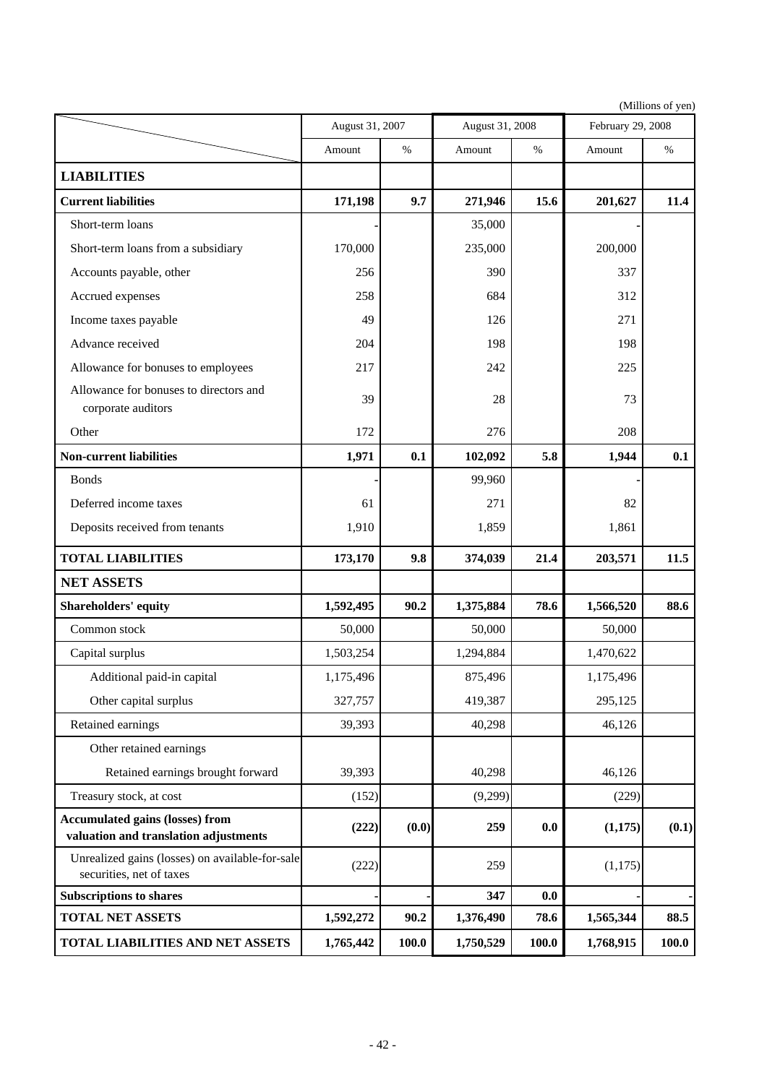|                                                                                 |           | August 31, 2008<br>August 31, 2007 |           |       | (Millions of yen)<br>February 29, 2008 |       |
|---------------------------------------------------------------------------------|-----------|------------------------------------|-----------|-------|----------------------------------------|-------|
|                                                                                 |           |                                    |           |       |                                        |       |
|                                                                                 | Amount    | $\%$                               | Amount    | $\%$  | Amount                                 | $\%$  |
| <b>LIABILITIES</b>                                                              |           |                                    |           |       |                                        |       |
| <b>Current liabilities</b>                                                      | 171,198   | 9.7                                | 271,946   | 15.6  | 201,627                                | 11.4  |
| Short-term loans                                                                |           |                                    | 35,000    |       |                                        |       |
| Short-term loans from a subsidiary                                              | 170,000   |                                    | 235,000   |       | 200,000                                |       |
| Accounts payable, other                                                         | 256       |                                    | 390       |       | 337                                    |       |
| Accrued expenses                                                                | 258       |                                    | 684       |       | 312                                    |       |
| Income taxes payable                                                            | 49        |                                    | 126       |       | 271                                    |       |
| Advance received                                                                | 204       |                                    | 198       |       | 198                                    |       |
| Allowance for bonuses to employees                                              | 217       |                                    | 242       |       | 225                                    |       |
| Allowance for bonuses to directors and<br>corporate auditors                    | 39        |                                    | 28        |       | 73                                     |       |
| Other                                                                           | 172       |                                    | 276       |       | 208                                    |       |
| <b>Non-current liabilities</b>                                                  | 1,971     | 0.1                                | 102,092   | 5.8   | 1,944                                  | 0.1   |
| <b>Bonds</b>                                                                    |           |                                    | 99,960    |       |                                        |       |
| Deferred income taxes                                                           | 61        |                                    | 271       |       | 82                                     |       |
| Deposits received from tenants                                                  | 1,910     |                                    | 1,859     |       | 1,861                                  |       |
| <b>TOTAL LIABILITIES</b>                                                        | 173,170   | 9.8                                | 374,039   | 21.4  | 203,571                                | 11.5  |
| <b>NET ASSETS</b>                                                               |           |                                    |           |       |                                        |       |
| Shareholders' equity                                                            | 1,592,495 | 90.2                               | 1,375,884 | 78.6  | 1,566,520                              | 88.6  |
| Common stock                                                                    | 50,000    |                                    | 50,000    |       | 50,000                                 |       |
| Capital surplus                                                                 | 1,503,254 |                                    | 1,294,884 |       | 1,470,622                              |       |
| Additional paid-in capital                                                      | 1,175,496 |                                    | 875,496   |       | 1,175,496                              |       |
| Other capital surplus                                                           | 327,757   |                                    | 419,387   |       | 295,125                                |       |
| Retained earnings                                                               | 39,393    |                                    | 40,298    |       | 46,126                                 |       |
| Other retained earnings                                                         |           |                                    |           |       |                                        |       |
| Retained earnings brought forward                                               | 39,393    |                                    | 40,298    |       | 46,126                                 |       |
| Treasury stock, at cost                                                         | (152)     |                                    | (9,299)   |       | (229)                                  |       |
| <b>Accumulated gains (losses) from</b><br>valuation and translation adjustments | (222)     | (0.0)                              | 259       | 0.0   | (1,175)                                | (0.1) |
| Unrealized gains (losses) on available-for-sale<br>securities, net of taxes     | (222)     |                                    | 259       |       | (1,175)                                |       |
| <b>Subscriptions to shares</b>                                                  |           |                                    | 347       | 0.0   |                                        |       |
| <b>TOTAL NET ASSETS</b>                                                         | 1,592,272 | 90.2                               | 1,376,490 | 78.6  | 1,565,344                              | 88.5  |
| TOTAL LIABILITIES AND NET ASSETS                                                | 1,765,442 | 100.0                              | 1,750,529 | 100.0 | 1,768,915                              | 100.0 |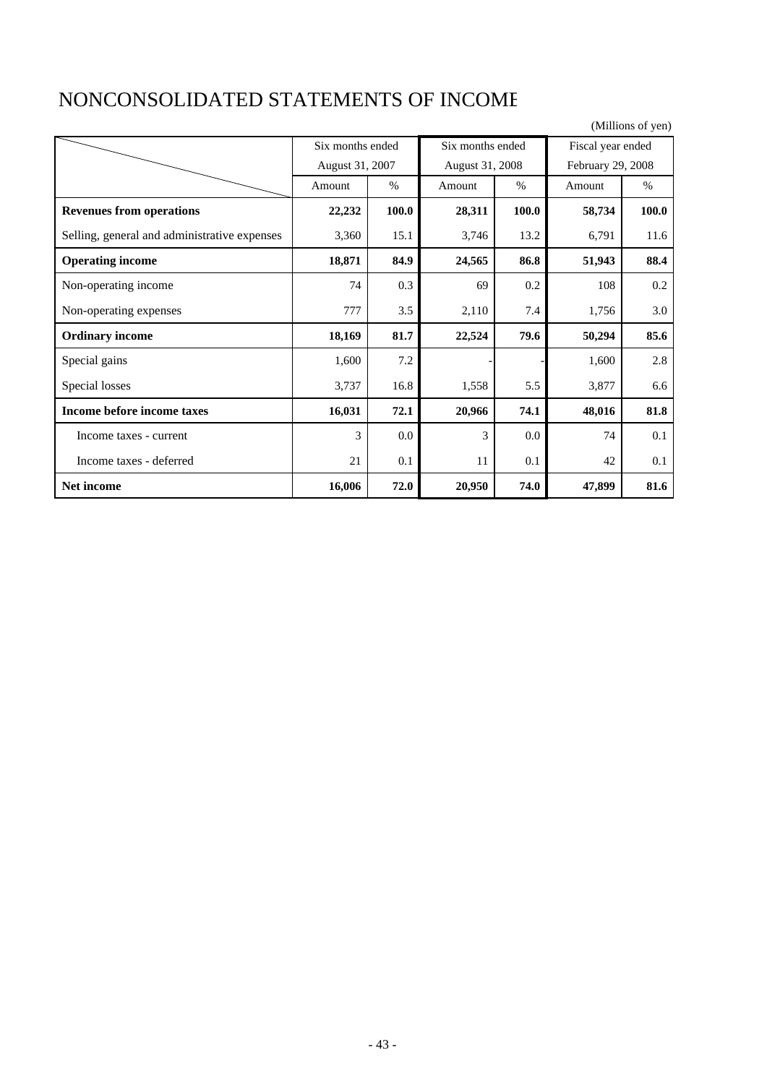### NONCONSOLIDATED STATEMENTS OF INCOME

(Millions of yen) **Revenues from operations 22,232** 100.0 28,311 100.0 58,734 100.0 Selling, general and administrative expenses 3,360 15.1 3,746 13.2 6,791 11.6 **Operating income** 18,871 84.9 24,565 86.8 51,943 88.4 Non-operating income 74 0.3 69 0.2 108 0.2 Non-operating expenses 1 777 3.5 2,110 7.4 1,756 3.0 **Ordinary income 18,169 18,169 18,169 22,524 79.6 50,294 85.6** Special gains 1,600 7.2 - 1,600 2.8 Special losses 3,737 16.8 1,558 5.5 3,877 6.6 **Income before income taxes 16,031** 72.1 20,966 74.1 48,016 81.8 Income taxes - current  $\begin{vmatrix} 3 & 0.0 & 3 & 0.0 \\ 0 & 0 & 3 & 0.0 \\ 0 & 0 & 0 & 74 \end{vmatrix}$  0.1 Income taxes - deferred  $21 \t 21 \t 0.1 \t 11 \t 0.1 \t 42 \t 0.1$ **Net income 16,006 72.0 20,950 74.0 47,899 81.6** Fiscal year ended February 29, 2008 Six months ended Amount | % | Amount | % | Amount | % August 31, 2007 Six months ended August 31, 2008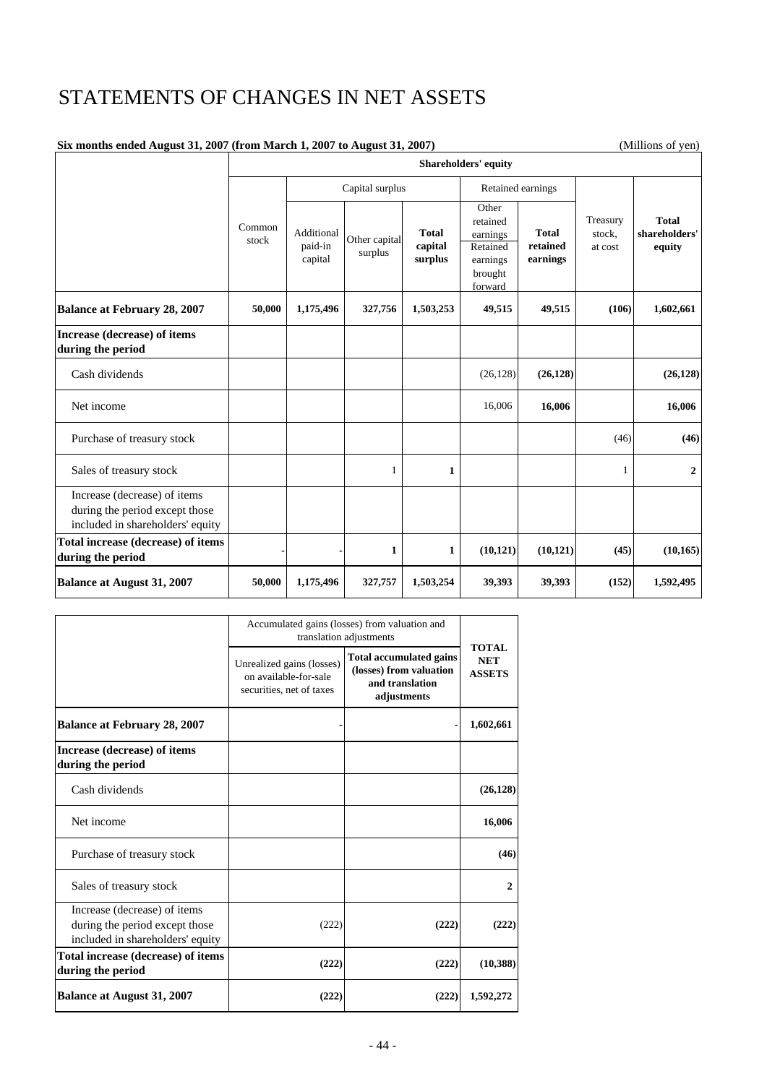# STATEMENTS OF CHANGES IN NET ASSETS

| Six months ended August 31, 2007 (from March 1, 2007 to August 31, 2007)<br>(Millions of yen)      |                             |                                      |                          |                                    |                                                                             |                                      |                               |                                         |
|----------------------------------------------------------------------------------------------------|-----------------------------|--------------------------------------|--------------------------|------------------------------------|-----------------------------------------------------------------------------|--------------------------------------|-------------------------------|-----------------------------------------|
|                                                                                                    | <b>Shareholders' equity</b> |                                      |                          |                                    |                                                                             |                                      |                               |                                         |
|                                                                                                    |                             | Capital surplus<br>Retained earnings |                          |                                    |                                                                             |                                      |                               |                                         |
|                                                                                                    | Common<br>stock             | Additional<br>paid-in<br>capital     | Other capital<br>surplus | <b>Total</b><br>capital<br>surplus | Other<br>retained<br>earnings<br>Retained<br>earnings<br>brought<br>forward | <b>Total</b><br>retained<br>earnings | Treasury<br>stock.<br>at cost | <b>Total</b><br>shareholders'<br>equity |
| <b>Balance at February 28, 2007</b>                                                                | 50,000                      | 1,175,496                            | 327,756                  | 1,503,253                          | 49,515                                                                      | 49,515                               | (106)                         | 1,602,661                               |
| Increase (decrease) of items<br>during the period                                                  |                             |                                      |                          |                                    |                                                                             |                                      |                               |                                         |
| Cash dividends                                                                                     |                             |                                      |                          |                                    | (26, 128)                                                                   | (26, 128)                            |                               | (26, 128)                               |
| Net income                                                                                         |                             |                                      |                          |                                    | 16,006                                                                      | 16,006                               |                               | 16,006                                  |
| Purchase of treasury stock                                                                         |                             |                                      |                          |                                    |                                                                             |                                      | (46)                          | (46)                                    |
| Sales of treasury stock                                                                            |                             |                                      | 1                        | $\mathbf{1}$                       |                                                                             |                                      | 1                             | $\overline{2}$                          |
| Increase (decrease) of items<br>during the period except those<br>included in shareholders' equity |                             |                                      |                          |                                    |                                                                             |                                      |                               |                                         |
| Total increase (decrease) of items<br>during the period                                            |                             |                                      | 1                        | 1                                  | (10, 121)                                                                   | (10, 121)                            | (45)                          | (10, 165)                               |
| <b>Balance at August 31, 2007</b>                                                                  | 50,000                      | 1,175,496                            | 327,757                  | 1,503,254                          | 39,393                                                                      | 39,393                               | (152)                         | 1,592,495                               |

|                                                                                                    | Accumulated gains (losses) from valuation and<br>translation adjustments       |                                                                                             |                                             |
|----------------------------------------------------------------------------------------------------|--------------------------------------------------------------------------------|---------------------------------------------------------------------------------------------|---------------------------------------------|
|                                                                                                    | Unrealized gains (losses)<br>on available-for-sale<br>securities, net of taxes | <b>Total accumulated gains</b><br>(losses) from valuation<br>and translation<br>adjustments | <b>TOTAL</b><br><b>NET</b><br><b>ASSETS</b> |
| <b>Balance at February 28, 2007</b>                                                                |                                                                                |                                                                                             | 1,602,661                                   |
| Increase (decrease) of items<br>during the period                                                  |                                                                                |                                                                                             |                                             |
| Cash dividends                                                                                     |                                                                                |                                                                                             | (26, 128)                                   |
| Net income                                                                                         |                                                                                |                                                                                             | 16,006                                      |
| Purchase of treasury stock                                                                         |                                                                                |                                                                                             | (46)                                        |
| Sales of treasury stock                                                                            |                                                                                |                                                                                             | $\mathbf{2}$                                |
| Increase (decrease) of items<br>during the period except those<br>included in shareholders' equity | (222)                                                                          | (222)                                                                                       | (222)                                       |
| Total increase (decrease) of items<br>during the period                                            | (222)                                                                          | (222)                                                                                       | (10, 388)                                   |
| <b>Balance at August 31, 2007</b>                                                                  | (222)                                                                          | (222)                                                                                       | 1,592,272                                   |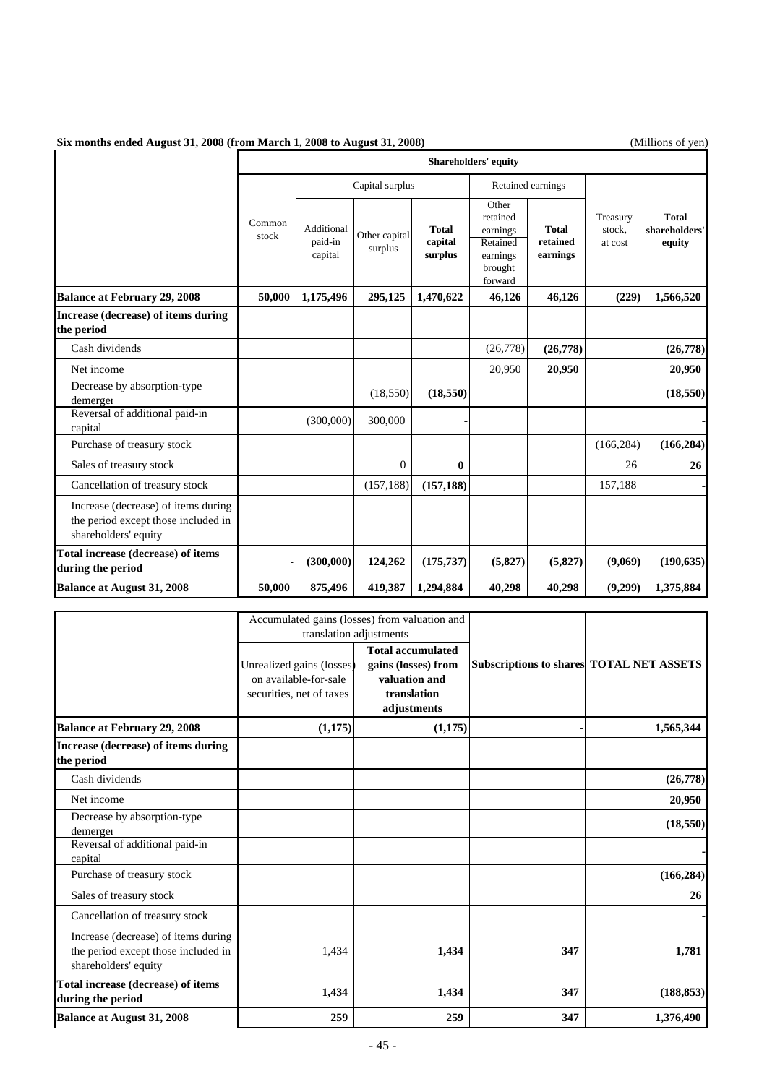**Six months ended August 31, 2008 (from March 1, 2008 to August 31, 2008)** (Millions of yen)

**Other** retained earnings Retained earnings brought forward **Balance at February 29, 2008** 50,000 1,175,496 295,125 1,470,622 46,126 46,126 (229) 1,566,520 Cash dividends (26,778) **(26,778) (26,778)** Net income 20,950 **20,950** 20,950 **20,950** 20,950 **20,950** Decrease by absorption-type demerger (18,550) **(18,550)** (18,550) **(18,550)** (18,550) **(18,550)** (18,550) Reversal of additional paid-in capital (300,000) 300,000 **- -** Purchase of treasury stock (166,284) **(166,284)** (166,284) Sales of treasury stock 0 **0** 26 **26 Cancellation of treasury stock** (157,188) 157,188 **-** (157,188) 157,188 **-** (157,188 **-** 157,188 **-** 157,188 **-**  $\frac{157}{157}$ Increase (decrease) of items during the period except those included in shareholders' equity **- (300,000) 124,262 (175,737) (5,827) (5,827) (9,069) (190,635) Balance at August 31, 2008 50,000 875,496 419,387 1,294,884 40,298 40,298 (9,299) 1,375,884** Capital surplus **Increase (decrease) of items during the period Total increase (decrease) of items during the period** Treasury stock, at cost **Total shareholders' equity Shareholders' equity** Additional paid-in capital Other capital surplus **Total capital surplus** Retained earnings **Total retained earnings** Common stock

|                                                                                                    |                                                                                | Accumulated gains (losses) from valuation and<br>translation adjustments                       |     |                                                 |
|----------------------------------------------------------------------------------------------------|--------------------------------------------------------------------------------|------------------------------------------------------------------------------------------------|-----|-------------------------------------------------|
|                                                                                                    | Unrealized gains (losses)<br>on available-for-sale<br>securities, net of taxes | <b>Total accumulated</b><br>gains (losses) from<br>valuation and<br>translation<br>adjustments |     | <b>Subscriptions to shares TOTAL NET ASSETS</b> |
| <b>Balance at February 29, 2008</b>                                                                | (1, 175)                                                                       | (1,175)                                                                                        |     | 1,565,344                                       |
| Increase (decrease) of items during<br>the period                                                  |                                                                                |                                                                                                |     |                                                 |
| Cash dividends                                                                                     |                                                                                |                                                                                                |     | (26, 778)                                       |
| Net income                                                                                         |                                                                                |                                                                                                |     | 20,950                                          |
| Decrease by absorption-type<br>demerger                                                            |                                                                                |                                                                                                |     | (18, 550)                                       |
| Reversal of additional paid-in<br>capital                                                          |                                                                                |                                                                                                |     |                                                 |
| Purchase of treasury stock                                                                         |                                                                                |                                                                                                |     | (166, 284)                                      |
| Sales of treasury stock                                                                            |                                                                                |                                                                                                |     | 26                                              |
| Cancellation of treasury stock                                                                     |                                                                                |                                                                                                |     |                                                 |
| Increase (decrease) of items during<br>the period except those included in<br>shareholders' equity | 1,434                                                                          | 1,434                                                                                          | 347 | 1,781                                           |
| Total increase (decrease) of items<br>during the period                                            | 1,434                                                                          | 1,434                                                                                          | 347 | (188, 853)                                      |
| <b>Balance at August 31, 2008</b>                                                                  | 259                                                                            | 259                                                                                            | 347 | 1,376,490                                       |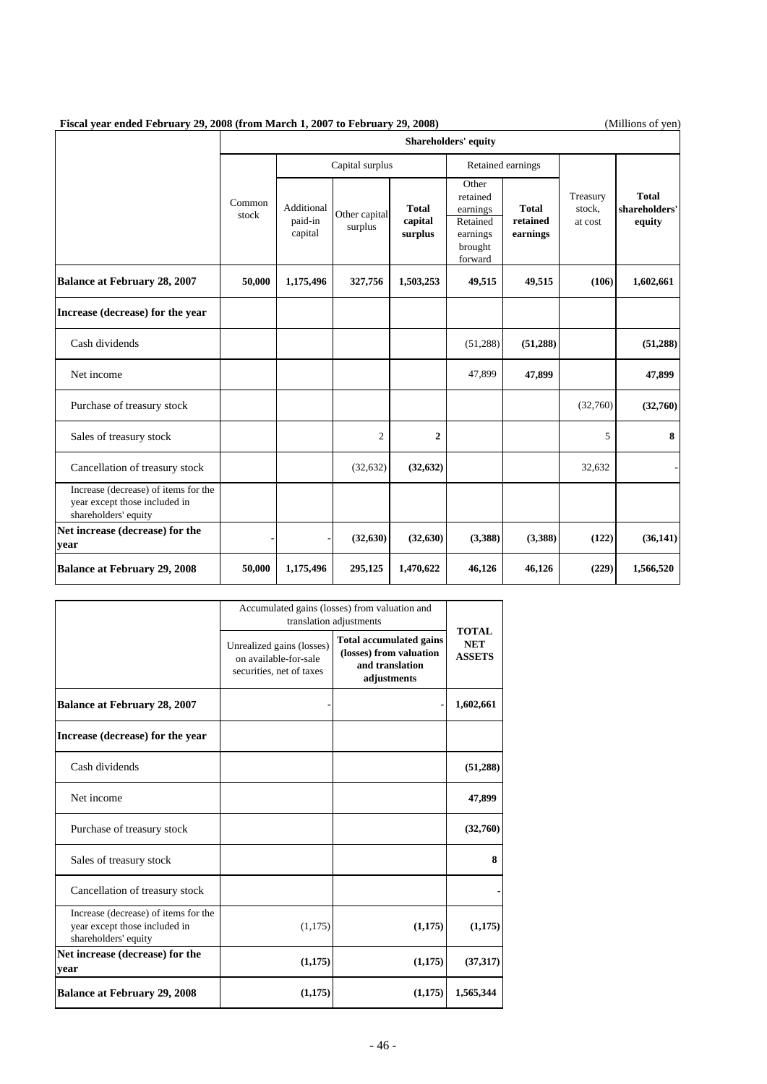| Piscar year ended Pebruary 29, 2000 (from March 1, 2007 to Pebruary 29, 2000)                 |                 |                                  |                          |                                    |                                                                             |                                      |                               | <i>(TATHHOHS OF YOR)</i>                |
|-----------------------------------------------------------------------------------------------|-----------------|----------------------------------|--------------------------|------------------------------------|-----------------------------------------------------------------------------|--------------------------------------|-------------------------------|-----------------------------------------|
|                                                                                               |                 | <b>Shareholders' equity</b>      |                          |                                    |                                                                             |                                      |                               |                                         |
|                                                                                               |                 | Capital surplus                  |                          |                                    | Retained earnings                                                           |                                      |                               |                                         |
|                                                                                               | Common<br>stock | Additional<br>paid-in<br>capital | Other capital<br>surplus | <b>Total</b><br>capital<br>surplus | Other<br>retained<br>earnings<br>Retained<br>earnings<br>brought<br>forward | <b>Total</b><br>retained<br>earnings | Treasury<br>stock,<br>at cost | <b>Total</b><br>shareholders'<br>equity |
| <b>Balance at February 28, 2007</b>                                                           | 50,000          | 1,175,496                        | 327,756                  | 1,503,253                          | 49,515                                                                      | 49,515                               | (106)                         | 1,602,661                               |
| Increase (decrease) for the year                                                              |                 |                                  |                          |                                    |                                                                             |                                      |                               |                                         |
| Cash dividends                                                                                |                 |                                  |                          |                                    | (51, 288)                                                                   | (51, 288)                            |                               | (51, 288)                               |
| Net income                                                                                    |                 |                                  |                          |                                    | 47,899                                                                      | 47,899                               |                               | 47,899                                  |
| Purchase of treasury stock                                                                    |                 |                                  |                          |                                    |                                                                             |                                      | (32,760)                      | (32,760)                                |
| Sales of treasury stock                                                                       |                 |                                  | $\overline{c}$           | $\overline{2}$                     |                                                                             |                                      | 5                             | 8                                       |
| Cancellation of treasury stock                                                                |                 |                                  | (32, 632)                | (32, 632)                          |                                                                             |                                      | 32,632                        |                                         |
| Increase (decrease) of items for the<br>year except those included in<br>shareholders' equity |                 |                                  |                          |                                    |                                                                             |                                      |                               |                                         |
| Net increase (decrease) for the<br>year                                                       |                 |                                  | (32, 630)                | (32, 630)                          | (3,388)                                                                     | (3,388)                              | (122)                         | (36, 141)                               |
| <b>Balance at February 29, 2008</b>                                                           | 50,000          | 1,175,496                        | 295,125                  | 1,470,622                          | 46,126                                                                      | 46,126                               | (229)                         | 1,566,520                               |

|                                                                                               | Accumulated gains (losses) from valuation and<br>translation adjustments       |                                                                                             |                                             |
|-----------------------------------------------------------------------------------------------|--------------------------------------------------------------------------------|---------------------------------------------------------------------------------------------|---------------------------------------------|
|                                                                                               | Unrealized gains (losses)<br>on available-for-sale<br>securities, net of taxes | <b>Total accumulated gains</b><br>(losses) from valuation<br>and translation<br>adjustments | <b>TOTAL</b><br><b>NET</b><br><b>ASSETS</b> |
| <b>Balance at February 28, 2007</b>                                                           |                                                                                |                                                                                             | 1,602,661                                   |
| Increase (decrease) for the year                                                              |                                                                                |                                                                                             |                                             |
| Cash dividends                                                                                |                                                                                |                                                                                             | (51, 288)                                   |
| Net income                                                                                    |                                                                                |                                                                                             | 47,899                                      |
| Purchase of treasury stock                                                                    |                                                                                |                                                                                             | (32,760)                                    |
| Sales of treasury stock                                                                       |                                                                                |                                                                                             | 8                                           |
| Cancellation of treasury stock                                                                |                                                                                |                                                                                             |                                             |
| Increase (decrease) of items for the<br>year except those included in<br>shareholders' equity | (1,175)                                                                        | (1, 175)                                                                                    | (1, 175)                                    |
| Net increase (decrease) for the<br>year                                                       | (1,175)                                                                        | (1, 175)                                                                                    | (37,317)                                    |
| <b>Balance at February 29, 2008</b>                                                           | (1,175)                                                                        | (1,175)                                                                                     | 1,565,344                                   |

### **Fiscal year ended February 29, 2008 (from March 1, 2007 to February 29, 2008)** (Millions of yen)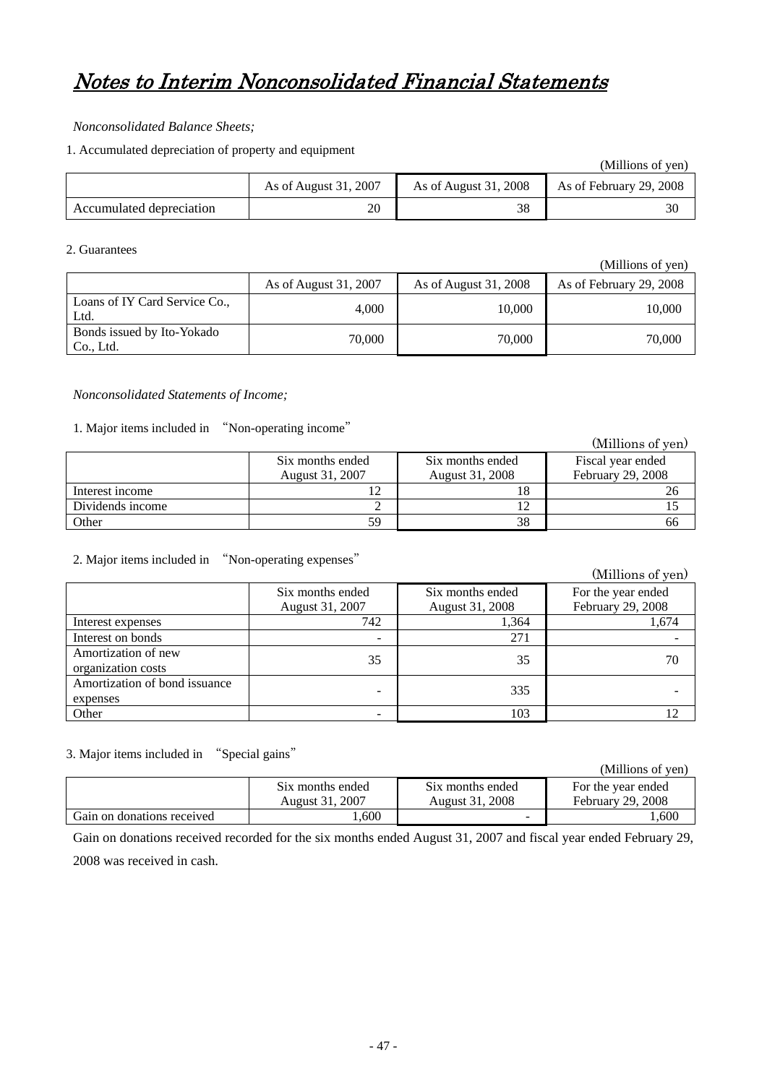# Notes to Interim Nonconsolidated Financial Statements

#### *Nonconsolidated Balance Sheets;*

#### 1. Accumulated depreciation of property and equipment

|                          |                       |                       | (Millions of yen)       |
|--------------------------|-----------------------|-----------------------|-------------------------|
|                          | As of August 31, 2007 | As of August 31, 2008 | As of February 29, 2008 |
| Accumulated depreciation | 20                    | 38                    |                         |

#### 2. Guarantees

|                                           |                       |                       | (Millions of yen)       |
|-------------------------------------------|-----------------------|-----------------------|-------------------------|
|                                           | As of August 31, 2007 | As of August 31, 2008 | As of February 29, 2008 |
| Loans of IY Card Service Co.,<br>Ltd.     | 4,000                 | 10,000                | 10,000                  |
| Bonds issued by Ito-Yokado<br>$Co$ , Ltd. | 70,000                | 70,000                | 70,000                  |

#### *Nonconsolidated Statements of Income;*

#### 1. Major items included in "Non-operating income"

|                  |                  |                  | (Millions of yen) |
|------------------|------------------|------------------|-------------------|
|                  | Six months ended | Six months ended | Fiscal year ended |
|                  | August 31, 2007  | August 31, 2008  | February 29, 2008 |
| Interest income  |                  | 18               |                   |
| Dividends income |                  |                  |                   |
| Other            | 59               | 38               | 66                |

#### 2. Major items included in "Non-operating expenses"

| $\Xi$ . $\mathcal{L}(\mathbf{u})$ is not increased in | 110H operating expenses             |                                     | (Millions of yen)                       |
|-------------------------------------------------------|-------------------------------------|-------------------------------------|-----------------------------------------|
|                                                       | Six months ended<br>August 31, 2007 | Six months ended<br>August 31, 2008 | For the year ended<br>February 29, 2008 |
| Interest expenses                                     | 742                                 | 1,364                               | 1,674                                   |
| Interest on bonds                                     | -                                   | 271                                 |                                         |
| Amortization of new<br>organization costs             | 35                                  | 35                                  | 70                                      |
| Amortization of bond issuance<br>expenses             | -                                   | 335                                 |                                         |
| Other                                                 |                                     | 103                                 | 12                                      |

3. Major items included in "Special gains"

|                            |                  |                  | (Millions of yen)  |
|----------------------------|------------------|------------------|--------------------|
|                            | Six months ended | Six months ended | For the year ended |
|                            | August 31, 2007  | August 31, 2008  | February 29, 2008  |
| Gain on donations received | .600             | -                | .600               |

Gain on donations received recorded for the six months ended August 31, 2007 and fiscal year ended February 29, 2008 was received in cash.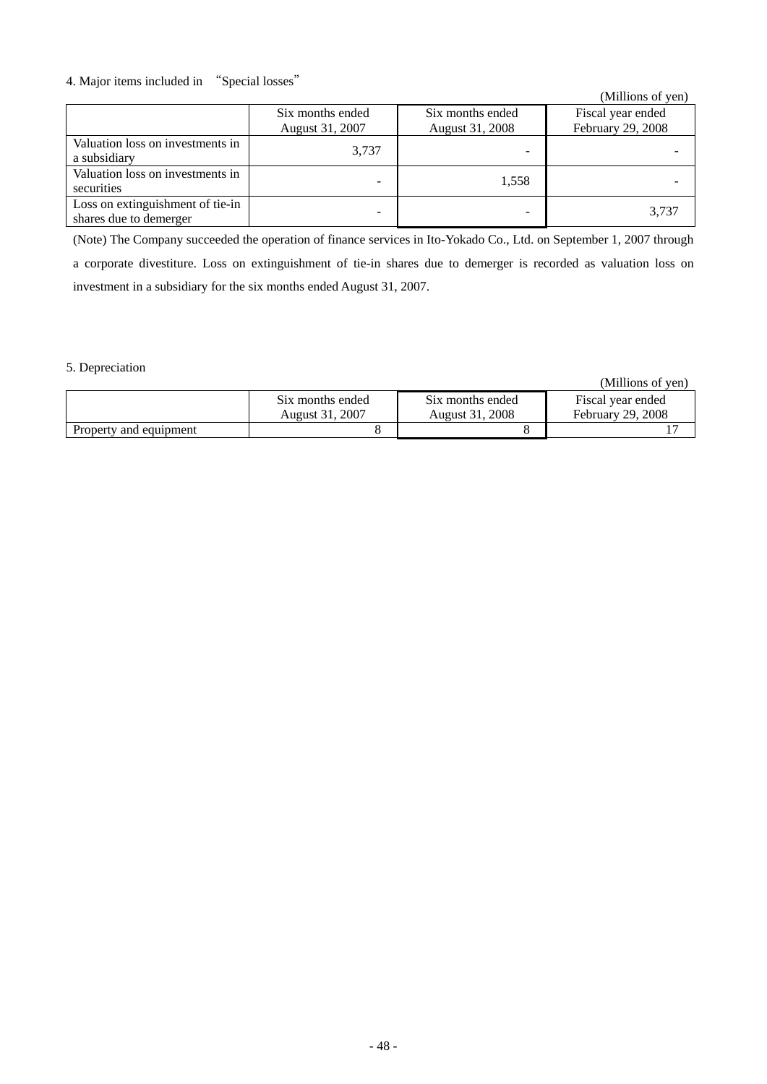#### 4. Major items included in "Special losses"

| $\ldots$ $\ldots$ $\ldots$ $\ldots$ $\ldots$               | ppeeran robbed                      |                                     |                                        |
|------------------------------------------------------------|-------------------------------------|-------------------------------------|----------------------------------------|
|                                                            |                                     |                                     | (Millions of yen)                      |
|                                                            | Six months ended<br>August 31, 2007 | Six months ended<br>August 31, 2008 | Fiscal year ended<br>February 29, 2008 |
| Valuation loss on investments in<br>a subsidiary           | 3.737                               |                                     |                                        |
| Valuation loss on investments in<br>securities             |                                     | 1,558                               |                                        |
| Loss on extinguishment of tie-in<br>shares due to demerger |                                     |                                     | 3,737                                  |

(Note) The Company succeeded the operation of finance services in Ito-Yokado Co., Ltd. on September 1, 2007 through a corporate divestiture. Loss on extinguishment of tie-in shares due to demerger is recorded as valuation loss on investment in a subsidiary for the six months ended August 31, 2007.

#### 5. Depreciation

(Millions of yen)

|                        | Six months ended | Six months ended | Fiscal year ended        |
|------------------------|------------------|------------------|--------------------------|
|                        | August 31, 2007  | August 31, 2008  | <b>February 29, 2008</b> |
| Property and equipment |                  |                  |                          |